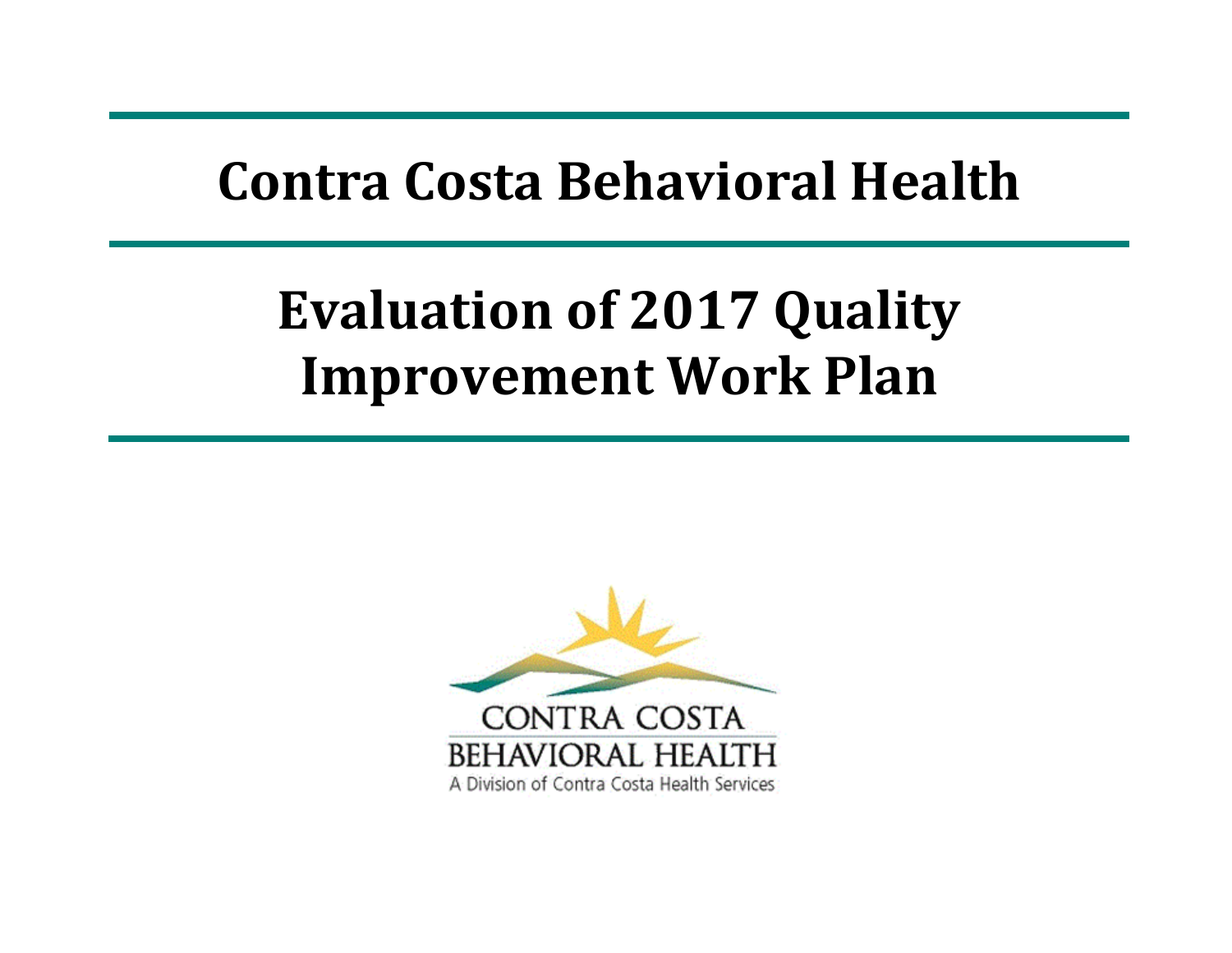# **Contra Costa Behavioral Health**

# **Evaluation of 2017 Quality Improvement Work Plan**

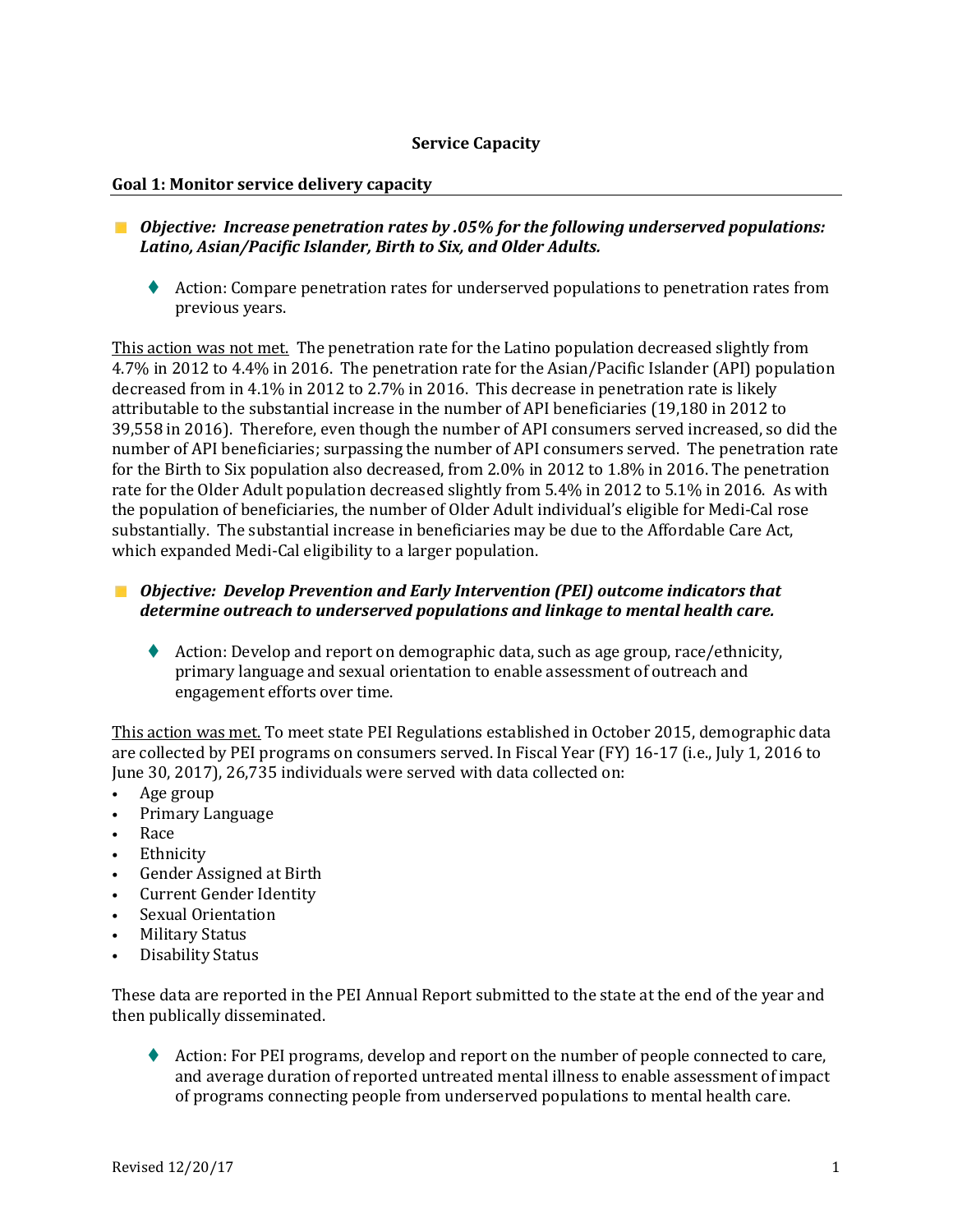## **Service Capacity**

## **Goal 1: Monitor service delivery capacity**

- *Objective: Increase penetration rates by .05% for the following underserved populations: Latino, Asian/Pacific Islander, Birth to Six, and Older Adults.*
	- Action: Compare penetration rates for underserved populations to penetration rates from previous years.

This action was not met. The penetration rate for the Latino population decreased slightly from 4.7% in 2012 to 4.4% in 2016. The penetration rate for the Asian/Pacific Islander (API) population decreased from in 4.1% in 2012 to 2.7% in 2016. This decrease in penetration rate is likely attributable to the substantial increase in the number of API beneficiaries (19,180 in 2012 to 39,558 in 2016). Therefore, even though the number of API consumers served increased, so did the number of API beneficiaries; surpassing the number of API consumers served. The penetration rate for the Birth to Six population also decreased, from 2.0% in 2012 to 1.8% in 2016. The penetration rate for the Older Adult population decreased slightly from 5.4% in 2012 to 5.1% in 2016. As with the population of beneficiaries, the number of Older Adult individual's eligible for Medi-Cal rose substantially. The substantial increase in beneficiaries may be due to the Affordable Care Act, which expanded Medi-Cal eligibility to a larger population.

## *Objective: Develop Prevention and Early Intervention (PEI) outcome indicators that determine outreach to underserved populations and linkage to mental health care.*

◆ Action: Develop and report on demographic data, such as age group, race/ethnicity, primary language and sexual orientation to enable assessment of outreach and engagement efforts over time.

This action was met. To meet state PEI Regulations established in October 2015, demographic data are collected by PEI programs on consumers served. In Fiscal Year (FY) 16-17 (i.e., July 1, 2016 to June 30, 2017), 26,735 individuals were served with data collected on:<br>• Age group

- Age group<br>• Primary La
- Primary Language
- Race
- **Ethnicity**
- Gender Assigned at Birth
- Current Gender Identity
- Sexual Orientation
- Military Status<br>• Disability Statu
- Disability Status

These data are reported in the PEI Annual Report submitted to the state at the end of the year and then publically disseminated.

 Action: For PEI programs, develop and report on the number of people connected to care, and average duration of reported untreated mental illness to enable assessment of impact of programs connecting people from underserved populations to mental health care.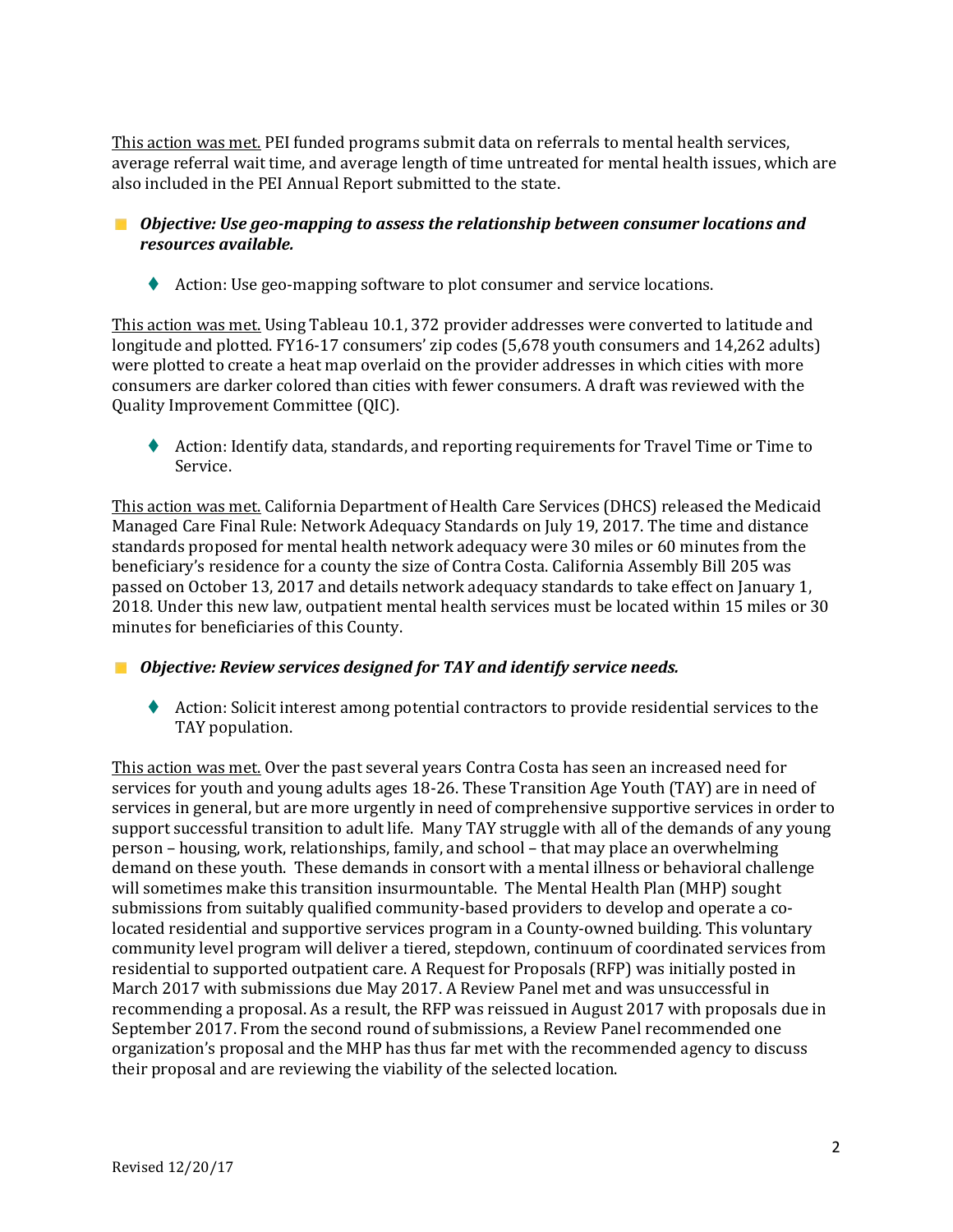This action was met. PEI funded programs submit data on referrals to mental health services, average referral wait time, and average length of time untreated for mental health issues, which are also included in the PEI Annual Report submitted to the state.

- *Objective: Use geo-mapping to assess the relationship between consumer locations and resources available.*
	- ◆ Action: Use geo-mapping software to plot consumer and service locations.

This action was met. Using Tableau 10.1, 372 provider addresses were converted to latitude and longitude and plotted. FY16-17 consumers' zip codes (5,678 youth consumers and 14,262 adults) were plotted to create a heat map overlaid on the provider addresses in which cities with more consumers are darker colored than cities with fewer consumers. A draft was reviewed with the Quality Improvement Committee (QIC).

 Action: Identify data, standards, and reporting requirements for Travel Time or Time to Service.

This action was met. California Department of Health Care Services (DHCS) released the Medicaid Managed Care Final Rule: Network Adequacy Standards on July 19, 2017. The time and distance standards proposed for mental health network adequacy were 30 miles or 60 minutes from the beneficiary's residence for a county the size of Contra Costa. California Assembly Bill 205 was passed on October 13, 2017 and details network adequacy standards to take effect on January 1, 2018. Under this new law, outpatient mental health services must be located within 15 miles or 30 minutes for beneficiaries of this County.

*Objective: Review services designed for TAY and identify service needs.*

 Action: Solicit interest among potential contractors to provide residential services to the TAY population.

This action was met. Over the past several years Contra Costa has seen an increased need for services for youth and young adults ages 18-26. These Transition Age Youth (TAY) are in need of services in general, but are more urgently in need of comprehensive supportive services in order to support successful transition to adult life. Many TAY struggle with all of the demands of any young person – housing, work, relationships, family, and school – that may place an overwhelming demand on these youth. These demands in consort with a mental illness or behavioral challenge will sometimes make this transition insurmountable. The Mental Health Plan (MHP) sought submissions from suitably qualified community-based providers to develop and operate a colocated residential and supportive services program in a County-owned building. This voluntary community level program will deliver a tiered, stepdown, continuum of coordinated services from residential to supported outpatient care. A Request for Proposals (RFP) was initially posted in March 2017 with submissions due May 2017. A Review Panel met and was unsuccessful in recommending a proposal. As a result, the RFP was reissued in August 2017 with proposals due in September 2017. From the second round of submissions, a Review Panel recommended one organization's proposal and the MHP has thus far met with the recommended agency to discuss their proposal and are reviewing the viability of the selected location.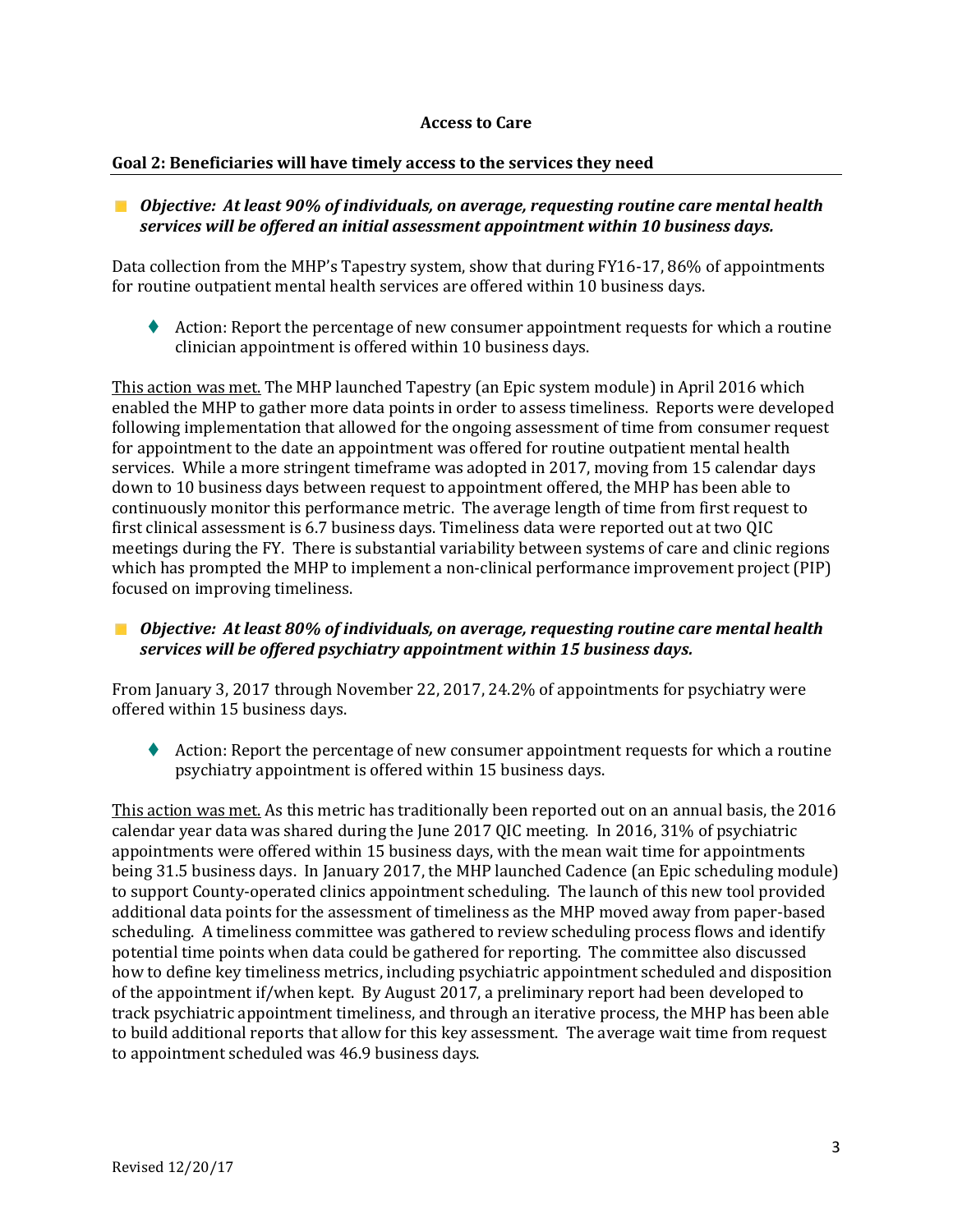## **Access to Care**

## **Goal 2: Beneficiaries will have timely access to the services they need**

*Objective: At least 90% of individuals, on average, requesting routine care mental health services will be offered an initial assessment appointment within 10 business days.*

Data collection from the MHP's Tapestry system, show that during FY16-17, 86% of appointments for routine outpatient mental health services are offered within 10 business days.

♦ Action: Report the percentage of new consumer appointment requests for which a routine clinician appointment is offered within 10 business days.

This action was met. The MHP launched Tapestry (an Epic system module) in April 2016 which enabled the MHP to gather more data points in order to assess timeliness. Reports were developed following implementation that allowed for the ongoing assessment of time from consumer request for appointment to the date an appointment was offered for routine outpatient mental health services. While a more stringent timeframe was adopted in 2017, moving from 15 calendar days down to 10 business days between request to appointment offered, the MHP has been able to continuously monitor this performance metric. The average length of time from first request to first clinical assessment is 6.7 business days. Timeliness data were reported out at two QIC meetings during the FY. There is substantial variability between systems of care and clinic regions which has prompted the MHP to implement a non-clinical performance improvement project (PIP) focused on improving timeliness.

## *Objective: At least 80% of individuals, on average, requesting routine care mental health services will be offered psychiatry appointment within 15 business days.*

From January 3, 2017 through November 22, 2017, 24.2% of appointments for psychiatry were offered within 15 business days.

 Action: Report the percentage of new consumer appointment requests for which a routine psychiatry appointment is offered within 15 business days.

This action was met. As this metric has traditionally been reported out on an annual basis, the 2016 calendar year data was shared during the June 2017 QIC meeting. In 2016, 31% of psychiatric appointments were offered within 15 business days, with the mean wait time for appointments being 31.5 business days. In January 2017, the MHP launched Cadence (an Epic scheduling module) to support County-operated clinics appointment scheduling. The launch of this new tool provided additional data points for the assessment of timeliness as the MHP moved away from paper-based scheduling. A timeliness committee was gathered to review scheduling process flows and identify potential time points when data could be gathered for reporting. The committee also discussed how to define key timeliness metrics, including psychiatric appointment scheduled and disposition of the appointment if/when kept. By August 2017, a preliminary report had been developed to track psychiatric appointment timeliness, and through an iterative process, the MHP has been able to build additional reports that allow for this key assessment. The average wait time from request to appointment scheduled was 46.9 business days.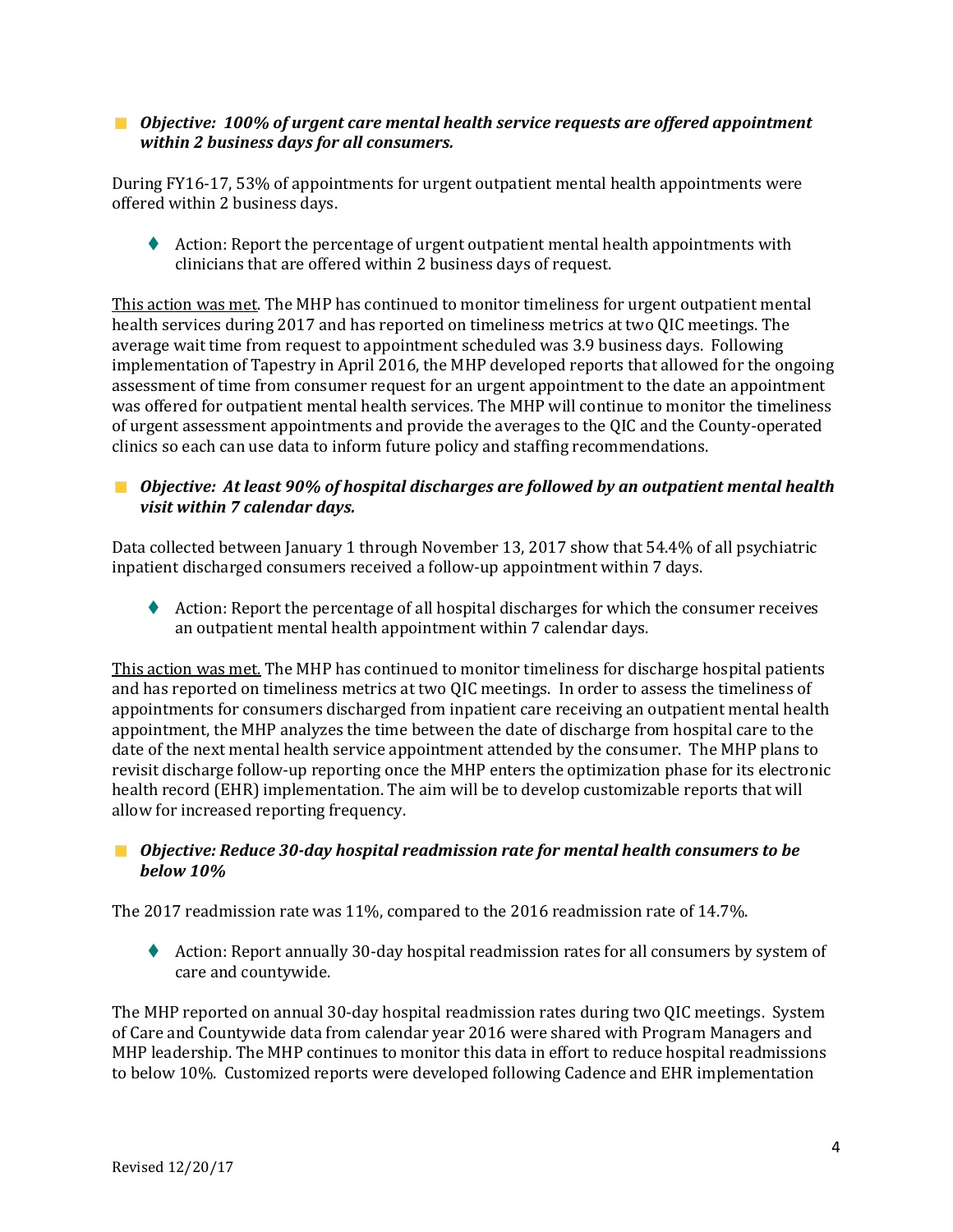## *Objective: 100% of urgent care mental health service requests are offered appointment within 2 business days for all consumers.*

During FY16-17, 53% of appointments for urgent outpatient mental health appointments were offered within 2 business days.

 Action: Report the percentage of urgent outpatient mental health appointments with clinicians that are offered within 2 business days of request.

This action was met. The MHP has continued to monitor timeliness for urgent outpatient mental health services during 2017 and has reported on timeliness metrics at two QIC meetings. The average wait time from request to appointment scheduled was 3.9 business days. Following implementation of Tapestry in April 2016, the MHP developed reports that allowed for the ongoing assessment of time from consumer request for an urgent appointment to the date an appointment was offered for outpatient mental health services. The MHP will continue to monitor the timeliness of urgent assessment appointments and provide the averages to the QIC and the County-operated clinics so each can use data to inform future policy and staffing recommendations.

## *Objective: At least 90% of hospital discharges are followed by an outpatient mental health visit within 7 calendar days.*

Data collected between January 1 through November 13, 2017 show that 54.4% of all psychiatric inpatient discharged consumers received a follow-up appointment within 7 days.

◆ Action: Report the percentage of all hospital discharges for which the consumer receives an outpatient mental health appointment within 7 calendar days.

This action was met. The MHP has continued to monitor timeliness for discharge hospital patients and has reported on timeliness metrics at two QIC meetings. In order to assess the timeliness of appointments for consumers discharged from inpatient care receiving an outpatient mental health appointment, the MHP analyzes the time between the date of discharge from hospital care to the date of the next mental health service appointment attended by the consumer. The MHP plans to revisit discharge follow-up reporting once the MHP enters the optimization phase for its electronic health record (EHR) implementation. The aim will be to develop customizable reports that will allow for increased reporting frequency.

## *Objective: Reduce 30-day hospital readmission rate for mental health consumers to be below 10%*

The 2017 readmission rate was 11%, compared to the 2016 readmission rate of 14.7%.

 Action: Report annually 30-day hospital readmission rates for all consumers by system of care and countywide.

The MHP reported on annual 30-day hospital readmission rates during two QIC meetings. System of Care and Countywide data from calendar year 2016 were shared with Program Managers and MHP leadership. The MHP continues to monitor this data in effort to reduce hospital readmissions to below 10%. Customized reports were developed following Cadence and EHR implementation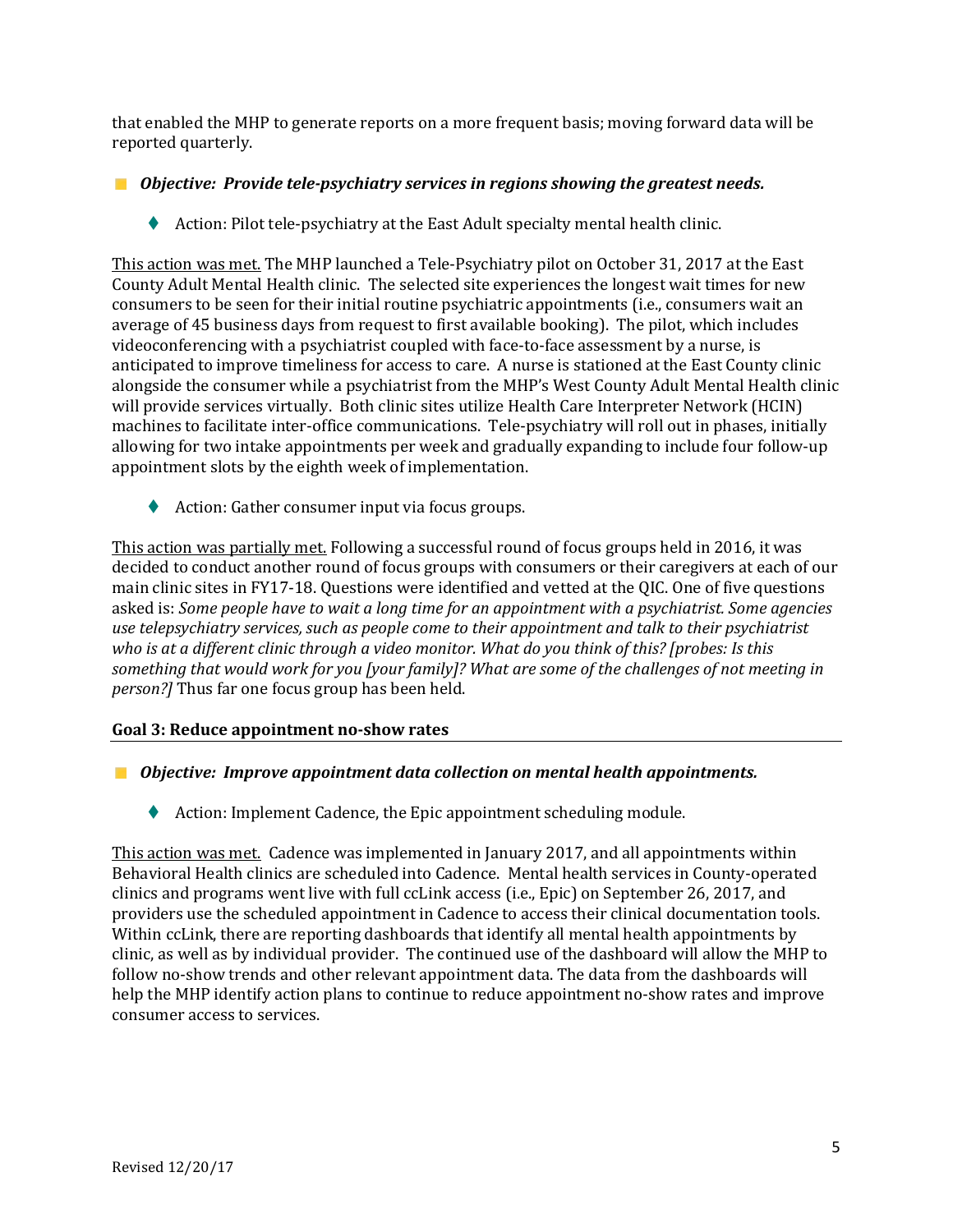that enabled the MHP to generate reports on a more frequent basis; moving forward data will be reported quarterly.

*Objective: Provide tele-psychiatry services in regions showing the greatest needs.*

◆ Action: Pilot tele-psychiatry at the East Adult specialty mental health clinic.

This action was met. The MHP launched a Tele-Psychiatry pilot on October 31, 2017 at the East County Adult Mental Health clinic. The selected site experiences the longest wait times for new consumers to be seen for their initial routine psychiatric appointments (i.e., consumers wait an average of 45 business days from request to first available booking). The pilot, which includes videoconferencing with a psychiatrist coupled with face-to-face assessment by a nurse, is anticipated to improve timeliness for access to care. A nurse is stationed at the East County clinic alongside the consumer while a psychiatrist from the MHP's West County Adult Mental Health clinic will provide services virtually. Both clinic sites utilize Health Care Interpreter Network (HCIN) machines to facilitate inter-office communications. Tele-psychiatry will roll out in phases, initially allowing for two intake appointments per week and gradually expanding to include four follow-up appointment slots by the eighth week of implementation.

◆ Action: Gather consumer input via focus groups.

This action was partially met. Following a successful round of focus groups held in 2016, it was decided to conduct another round of focus groups with consumers or their caregivers at each of our main clinic sites in FY17-18. Questions were identified and vetted at the QIC. One of five questions asked is: *Some people have to wait a long time for an appointment with a psychiatrist. Some agencies use telepsychiatry services, such as people come to their appointment and talk to their psychiatrist who is at a different clinic through a video monitor. What do you think of this? [probes: Is this something that would work for you [your family]? What are some of the challenges of not meeting in person?]* Thus far one focus group has been held.

## **Goal 3: Reduce appointment no-show rates**

## *Objective: Improve appointment data collection on mental health appointments.*

◆ Action: Implement Cadence, the Epic appointment scheduling module.

This action was met. Cadence was implemented in January 2017, and all appointments within Behavioral Health clinics are scheduled into Cadence. Mental health services in County-operated clinics and programs went live with full ccLink access (i.e., Epic) on September 26, 2017, and providers use the scheduled appointment in Cadence to access their clinical documentation tools. Within ccLink, there are reporting dashboards that identify all mental health appointments by clinic, as well as by individual provider. The continued use of the dashboard will allow the MHP to follow no-show trends and other relevant appointment data. The data from the dashboards will help the MHP identify action plans to continue to reduce appointment no-show rates and improve consumer access to services.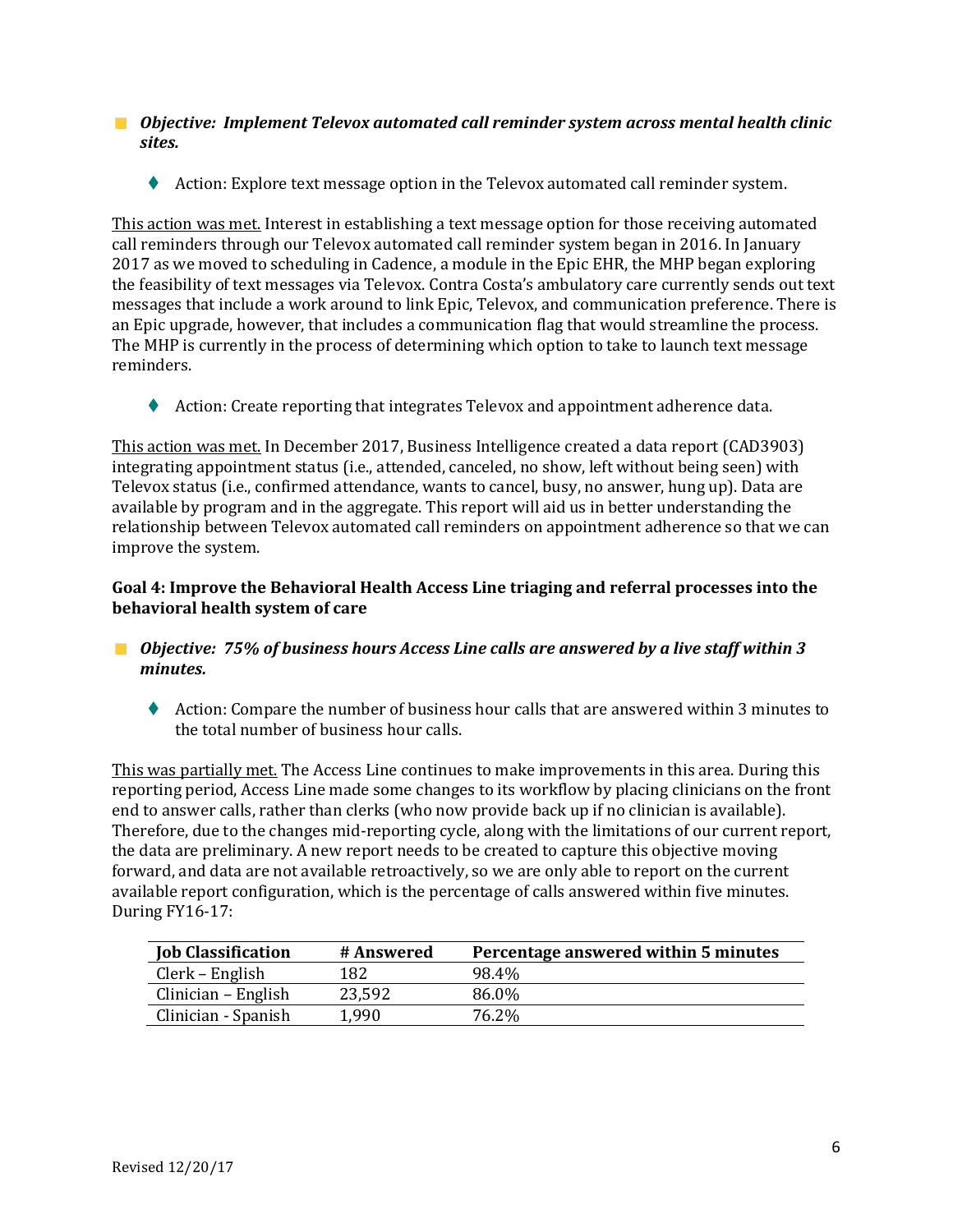## *Objective: Implement Televox automated call reminder system across mental health clinic sites.*

Action: Explore text message option in the Televox automated call reminder system.

This action was met. Interest in establishing a text message option for those receiving automated call reminders through our Televox automated call reminder system began in 2016. In January 2017 as we moved to scheduling in Cadence, a module in the Epic EHR, the MHP began exploring the feasibility of text messages via Televox. Contra Costa's ambulatory care currently sends out text messages that include a work around to link Epic, Televox, and communication preference. There is an Epic upgrade, however, that includes a communication flag that would streamline the process. The MHP is currently in the process of determining which option to take to launch text message reminders.

Action: Create reporting that integrates Televox and appointment adherence data.

This action was met. In December 2017, Business Intelligence created a data report (CAD3903) integrating appointment status (i.e., attended, canceled, no show, left without being seen) with Televox status (i.e., confirmed attendance, wants to cancel, busy, no answer, hung up). Data are available by program and in the aggregate. This report will aid us in better understanding the relationship between Televox automated call reminders on appointment adherence so that we can improve the system.

## **Goal 4: Improve the Behavioral Health Access Line triaging and referral processes into the behavioral health system of care**

- *Objective: 75% of business hours Access Line calls are answered by a live staff within 3 minutes.*
	- Action: Compare the number of business hour calls that are answered within 3 minutes to the total number of business hour calls.

This was partially met. The Access Line continues to make improvements in this area. During this reporting period, Access Line made some changes to its workflow by placing clinicians on the front end to answer calls, rather than clerks (who now provide back up if no clinician is available). Therefore, due to the changes mid-reporting cycle, along with the limitations of our current report, the data are preliminary. A new report needs to be created to capture this objective moving forward, and data are not available retroactively, so we are only able to report on the current available report configuration, which is the percentage of calls answered within five minutes. During FY16-17:

| <b>Job Classification</b> | # Answered | Percentage answered within 5 minutes |
|---------------------------|------------|--------------------------------------|
| Clerk – English           | 182        | 98.4%                                |
| Clinician – English       | 23,592     | 86.0%                                |
| Clinician - Spanish       | 1.990      | 76.2%                                |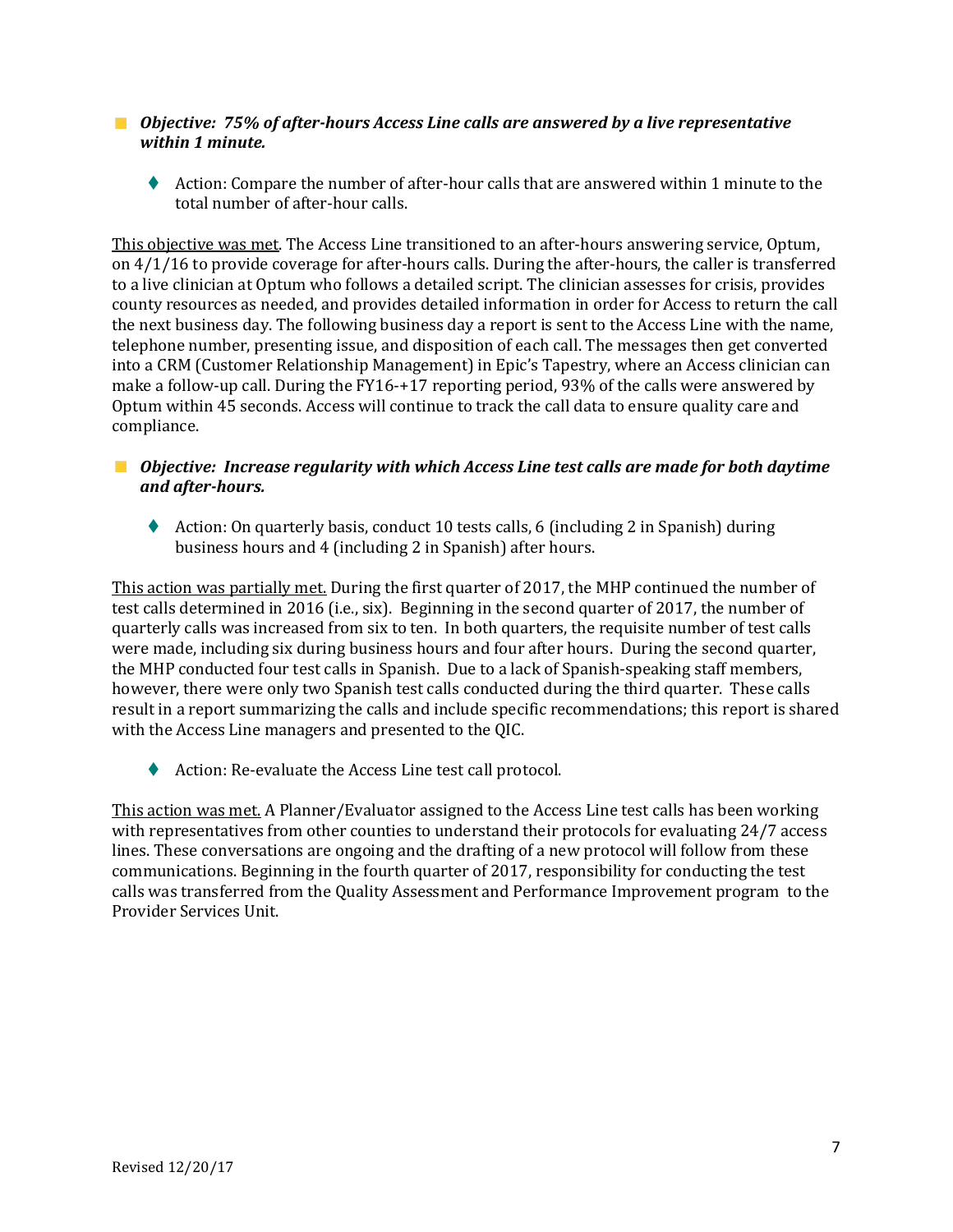## *Objective: 75% of after-hours Access Line calls are answered by a live representative within 1 minute.*

 Action: Compare the number of after-hour calls that are answered within 1 minute to the total number of after-hour calls.

This objective was met. The Access Line transitioned to an after-hours answering service, Optum, on 4/1/16 to provide coverage for after-hours calls. During the after-hours, the caller is transferred to a live clinician at Optum who follows a detailed script. The clinician assesses for crisis, provides county resources as needed, and provides detailed information in order for Access to return the call the next business day. The following business day a report is sent to the Access Line with the name, telephone number, presenting issue, and disposition of each call. The messages then get converted into a CRM (Customer Relationship Management) in Epic's Tapestry, where an Access clinician can make a follow-up call. During the FY16-+17 reporting period, 93% of the calls were answered by Optum within 45 seconds. Access will continue to track the call data to ensure quality care and compliance.

## *Objective: Increase regularity with which Access Line test calls are made for both daytime and after-hours.*

Action: On quarterly basis, conduct 10 tests calls, 6 (including 2 in Spanish) during business hours and 4 (including 2 in Spanish) after hours.

This action was partially met. During the first quarter of 2017, the MHP continued the number of test calls determined in 2016 (i.e., six). Beginning in the second quarter of 2017, the number of quarterly calls was increased from six to ten. In both quarters, the requisite number of test calls were made, including six during business hours and four after hours. During the second quarter, the MHP conducted four test calls in Spanish. Due to a lack of Spanish-speaking staff members, however, there were only two Spanish test calls conducted during the third quarter. These calls result in a report summarizing the calls and include specific recommendations; this report is shared with the Access Line managers and presented to the QIC.

◆ Action: Re-evaluate the Access Line test call protocol.

This action was met. A Planner/Evaluator assigned to the Access Line test calls has been working with representatives from other counties to understand their protocols for evaluating 24/7 access lines. These conversations are ongoing and the drafting of a new protocol will follow from these communications. Beginning in the fourth quarter of 2017, responsibility for conducting the test calls was transferred from the Quality Assessment and Performance Improvement program to the Provider Services Unit.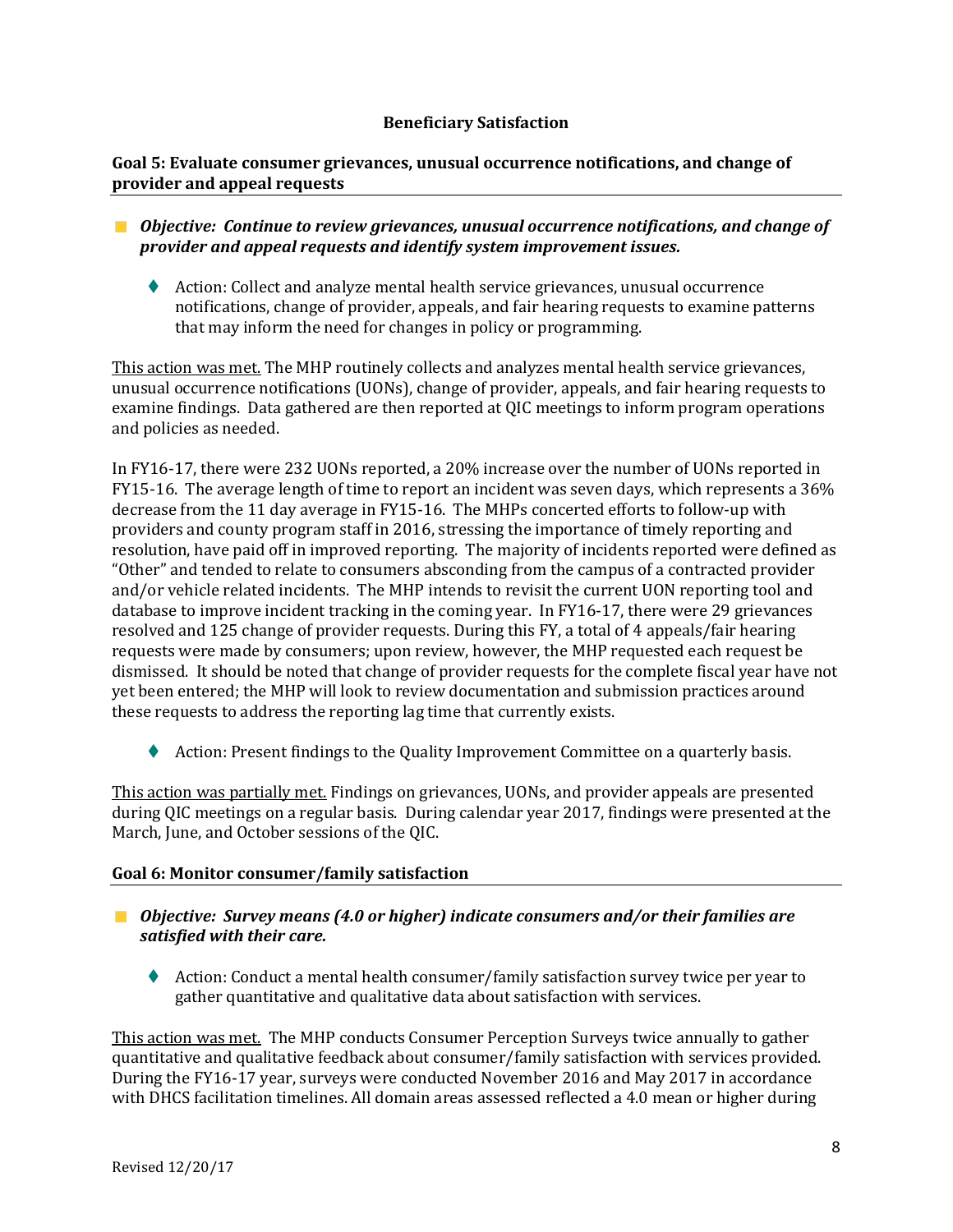## **Beneficiary Satisfaction**

## **Goal 5: Evaluate consumer grievances, unusual occurrence notifications, and change of provider and appeal requests**

- *Objective: Continue to review grievances, unusual occurrence notifications, and change of provider and appeal requests and identify system improvement issues.*
	- ◆ Action: Collect and analyze mental health service grievances, unusual occurrence notifications, change of provider, appeals, and fair hearing requests to examine patterns that may inform the need for changes in policy or programming.

This action was met. The MHP routinely collects and analyzes mental health service grievances, unusual occurrence notifications (UONs), change of provider, appeals, and fair hearing requests to examine findings. Data gathered are then reported at QIC meetings to inform program operations and policies as needed.

In FY16-17, there were 232 UONs reported, a 20% increase over the number of UONs reported in FY15-16. The average length of time to report an incident was seven days, which represents a 36% decrease from the 11 day average in FY15-16. The MHPs concerted efforts to follow-up with providers and county program staff in 2016, stressing the importance of timely reporting and resolution, have paid off in improved reporting. The majority of incidents reported were defined as "Other" and tended to relate to consumers absconding from the campus of a contracted provider and/or vehicle related incidents. The MHP intends to revisit the current UON reporting tool and database to improve incident tracking in the coming year. In FY16-17, there were 29 grievances resolved and 125 change of provider requests. During this FY, a total of 4 appeals/fair hearing requests were made by consumers; upon review, however, the MHP requested each request be dismissed. It should be noted that change of provider requests for the complete fiscal year have not yet been entered; the MHP will look to review documentation and submission practices around these requests to address the reporting lag time that currently exists.

Action: Present findings to the Quality Improvement Committee on a quarterly basis.

This action was partially met. Findings on grievances, UONs, and provider appeals are presented during QIC meetings on a regular basis. During calendar year 2017, findings were presented at the March, June, and October sessions of the QIC.

## **Goal 6: Monitor consumer/family satisfaction**

## *Objective: Survey means (4.0 or higher) indicate consumers and/or their families are satisfied with their care.*

 Action: Conduct a mental health consumer/family satisfaction survey twice per year to gather quantitative and qualitative data about satisfaction with services.

This action was met. The MHP conducts Consumer Perception Surveys twice annually to gather quantitative and qualitative feedback about consumer/family satisfaction with services provided. During the FY16-17 year, surveys were conducted November 2016 and May 2017 in accordance with DHCS facilitation timelines. All domain areas assessed reflected a 4.0 mean or higher during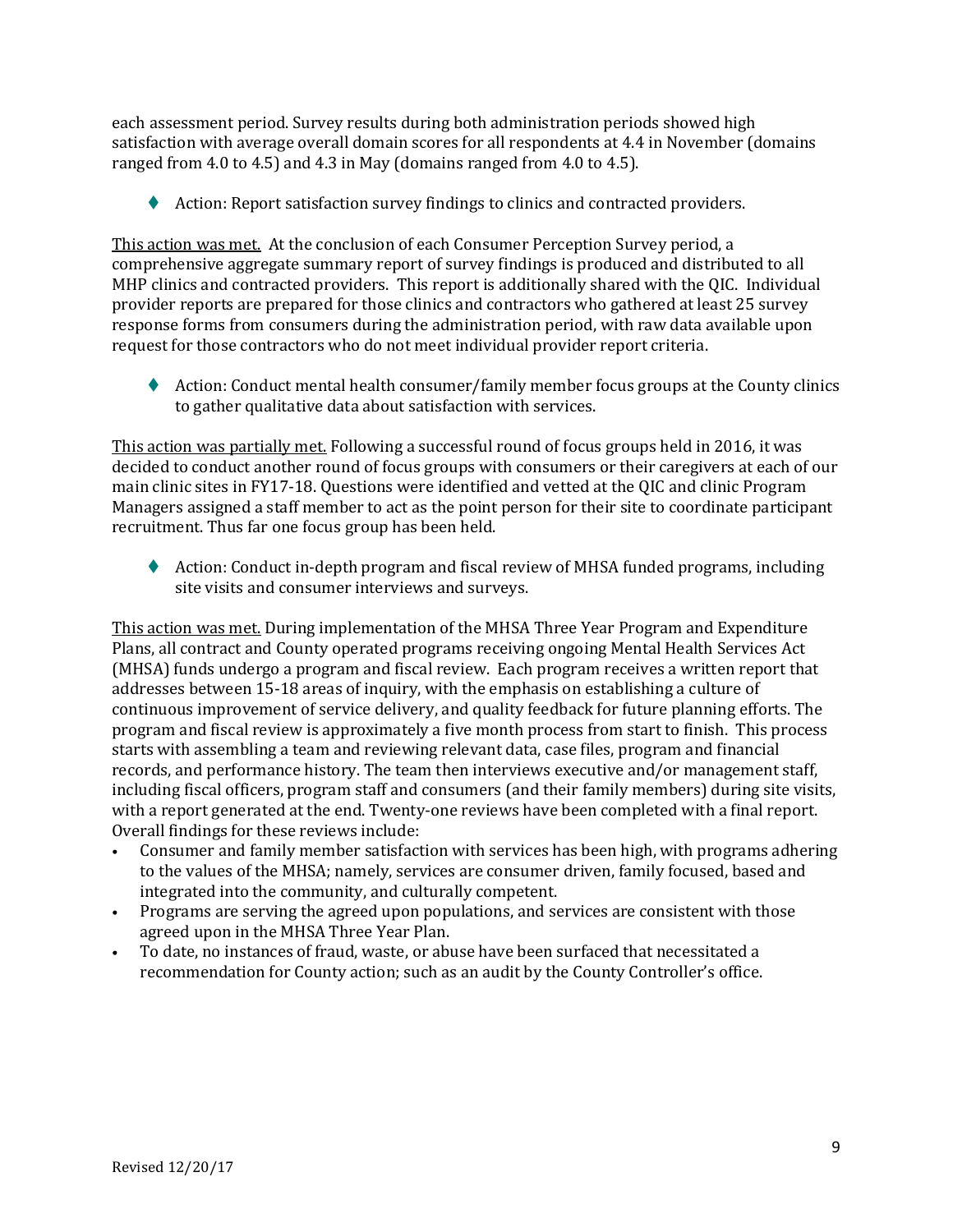each assessment period. Survey results during both administration periods showed high satisfaction with average overall domain scores for all respondents at 4.4 in November (domains ranged from 4.0 to 4.5) and 4.3 in May (domains ranged from 4.0 to 4.5).

Action: Report satisfaction survey findings to clinics and contracted providers.

This action was met. At the conclusion of each Consumer Perception Survey period, a comprehensive aggregate summary report of survey findings is produced and distributed to all MHP clinics and contracted providers. This report is additionally shared with the QIC. Individual provider reports are prepared for those clinics and contractors who gathered at least 25 survey response forms from consumers during the administration period, with raw data available upon request for those contractors who do not meet individual provider report criteria.

◆ Action: Conduct mental health consumer/family member focus groups at the County clinics to gather qualitative data about satisfaction with services.

This action was partially met. Following a successful round of focus groups held in 2016, it was decided to conduct another round of focus groups with consumers or their caregivers at each of our main clinic sites in FY17-18. Questions were identified and vetted at the QIC and clinic Program Managers assigned a staff member to act as the point person for their site to coordinate participant recruitment. Thus far one focus group has been held.

♦ Action: Conduct in-depth program and fiscal review of MHSA funded programs, including site visits and consumer interviews and surveys.

This action was met. During implementation of the MHSA Three Year Program and Expenditure Plans, all contract and County operated programs receiving ongoing Mental Health Services Act (MHSA) funds undergo a program and fiscal review. Each program receives a written report that addresses between 15-18 areas of inquiry, with the emphasis on establishing a culture of continuous improvement of service delivery, and quality feedback for future planning efforts. The program and fiscal review is approximately a five month process from start to finish. This process starts with assembling a team and reviewing relevant data, case files, program and financial records, and performance history. The team then interviews executive and/or management staff, including fiscal officers, program staff and consumers (and their family members) during site visits, with a report generated at the end. Twenty-one reviews have been completed with a final report. Overall findings for these reviews include:

- Consumer and family member satisfaction with services has been high, with programs adhering to the values of the MHSA; namely, services are consumer driven, family focused, based and integrated into the community, and culturally competent.
- Programs are serving the agreed upon populations, and services are consistent with those agreed upon in the MHSA Three Year Plan.
- To date, no instances of fraud, waste, or abuse have been surfaced that necessitated a recommendation for County action; such as an audit by the County Controller's office.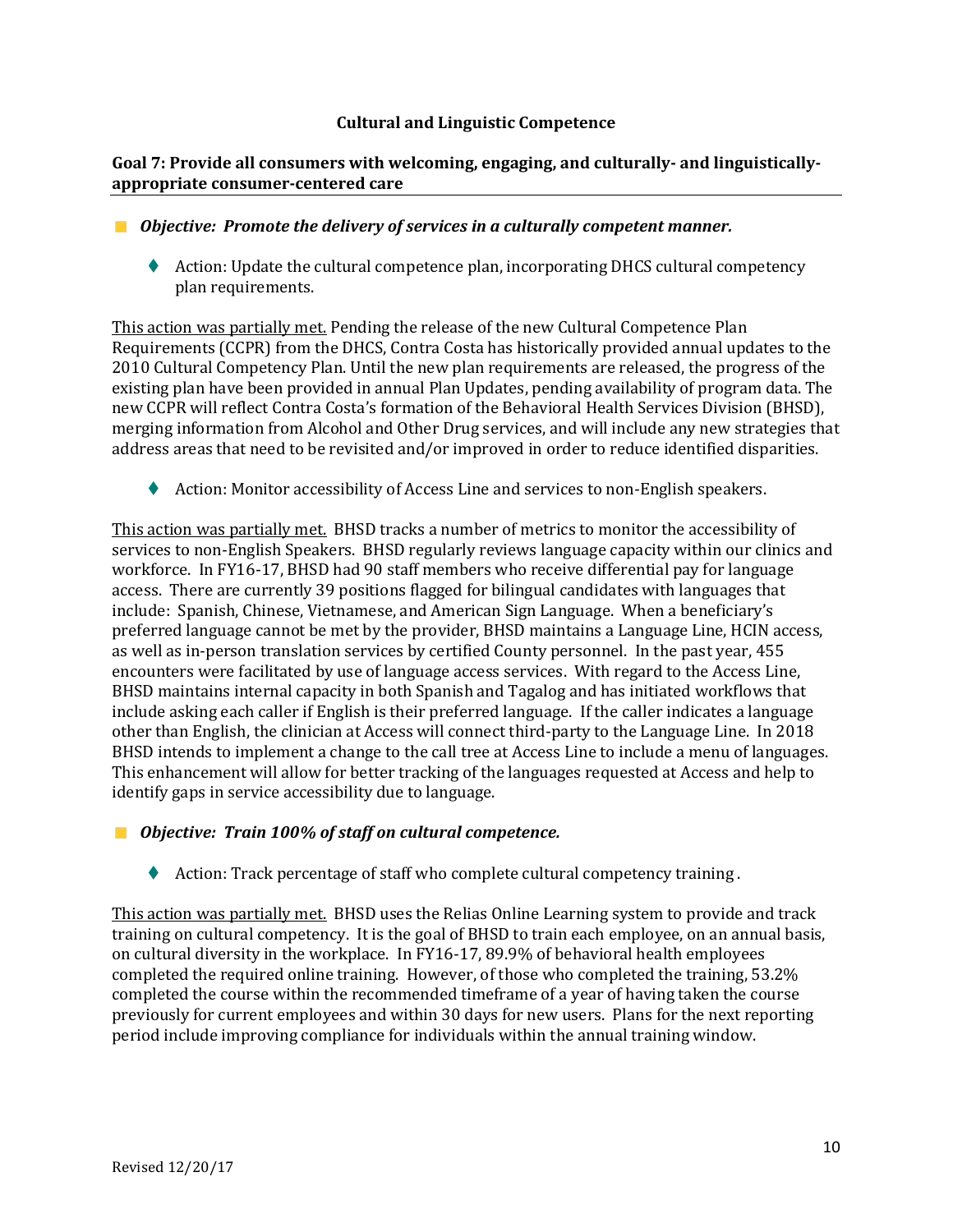## **Cultural and Linguistic Competence**

## **Goal 7: Provide all consumers with welcoming, engaging, and culturally- and linguisticallyappropriate consumer-centered care**

- *Objective: Promote the delivery of services in a culturally competent manner.*
	- ◆ Action: Update the cultural competence plan, incorporating DHCS cultural competency plan requirements.

This action was partially met. Pending the release of the new Cultural Competence Plan Requirements (CCPR) from the DHCS, Contra Costa has historically provided annual updates to the 2010 Cultural Competency Plan. Until the new plan requirements are released, the progress of the existing plan have been provided in annual Plan Updates, pending availability of program data. The new CCPR will reflect Contra Costa's formation of the Behavioral Health Services Division (BHSD), merging information from Alcohol and Other Drug services, and will include any new strategies that address areas that need to be revisited and/or improved in order to reduce identified disparities.

◆ Action: Monitor accessibility of Access Line and services to non-English speakers.

This action was partially met. BHSD tracks a number of metrics to monitor the accessibility of services to non-English Speakers. BHSD regularly reviews language capacity within our clinics and workforce. In FY16-17, BHSD had 90 staff members who receive differential pay for language access. There are currently 39 positions flagged for bilingual candidates with languages that include: Spanish, Chinese, Vietnamese, and American Sign Language. When a beneficiary's preferred language cannot be met by the provider, BHSD maintains a Language Line, HCIN access, as well as in-person translation services by certified County personnel. In the past year, 455 encounters were facilitated by use of language access services. With regard to the Access Line, BHSD maintains internal capacity in both Spanish and Tagalog and has initiated workflows that include asking each caller if English is their preferred language. If the caller indicates a language other than English, the clinician at Access will connect third-party to the Language Line. In 2018 BHSD intends to implement a change to the call tree at Access Line to include a menu of languages. This enhancement will allow for better tracking of the languages requested at Access and help to identify gaps in service accessibility due to language.

## *Objective: Train 100% of staff on cultural competence.*

◆ Action: Track percentage of staff who complete cultural competency training .

This action was partially met. BHSD uses the Relias Online Learning system to provide and track training on cultural competency. It is the goal of BHSD to train each employee, on an annual basis, on cultural diversity in the workplace. In FY16-17, 89.9% of behavioral health employees completed the required online training. However, of those who completed the training, 53.2% completed the course within the recommended timeframe of a year of having taken the course previously for current employees and within 30 days for new users. Plans for the next reporting period include improving compliance for individuals within the annual training window.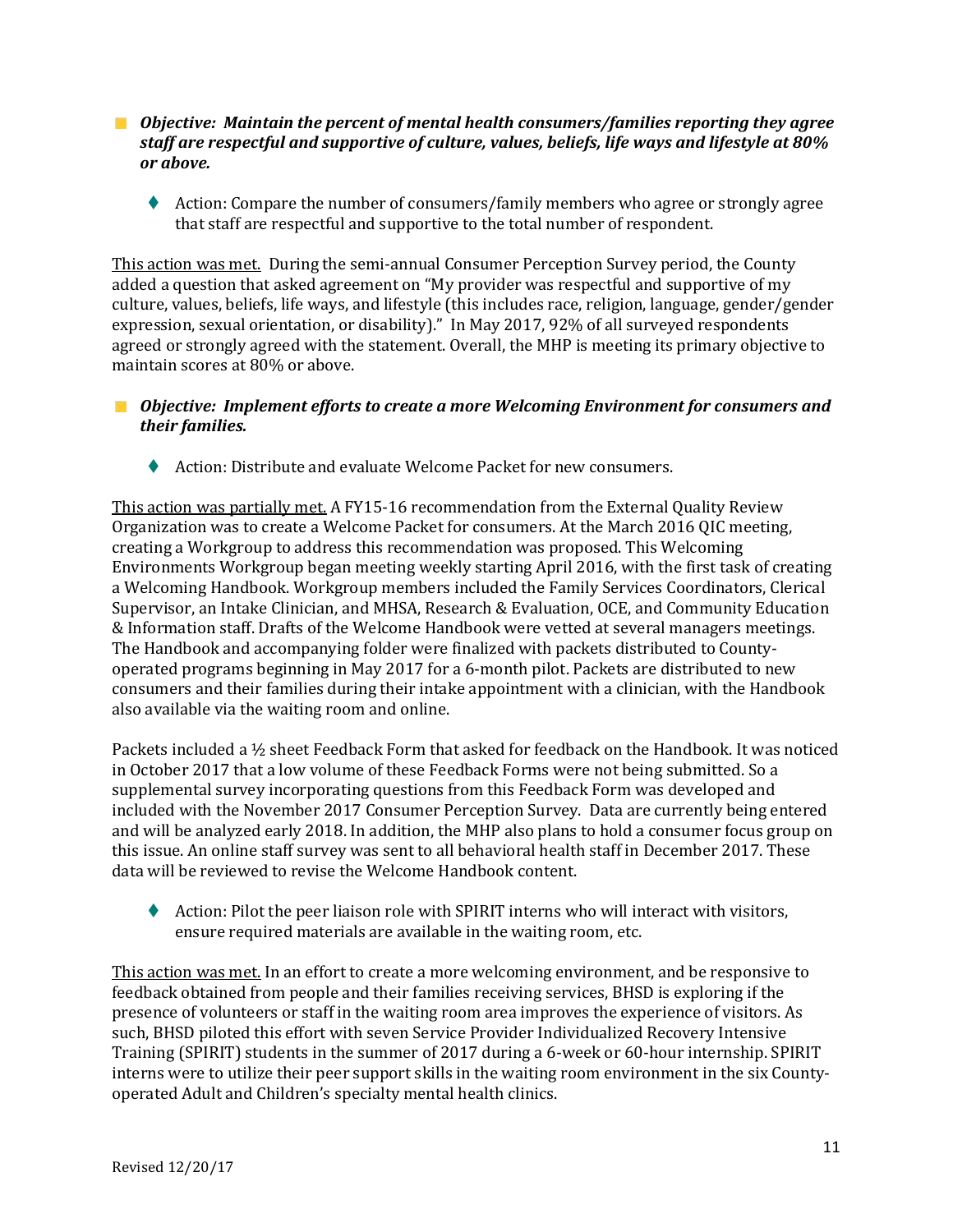## *Objective: Maintain the percent of mental health consumers/families reporting they agree staff are respectful and supportive of culture, values, beliefs, life ways and lifestyle at 80% or above.*

 Action: Compare the number of consumers/family members who agree or strongly agree that staff are respectful and supportive to the total number of respondent.

This action was met. During the semi-annual Consumer Perception Survey period, the County added a question that asked agreement on "My provider was respectful and supportive of my culture, values, beliefs, life ways, and lifestyle (this includes race, religion, language, gender/gender expression, sexual orientation, or disability)." In May 2017, 92% of all surveyed respondents agreed or strongly agreed with the statement. Overall, the MHP is meeting its primary objective to maintain scores at 80% or above.

## *Objective: Implement efforts to create a more Welcoming Environment for consumers and their families.*

Action: Distribute and evaluate Welcome Packet for new consumers.

This action was partially met. A FY15-16 recommendation from the External Quality Review Organization was to create a Welcome Packet for consumers. At the March 2016 QIC meeting, creating a Workgroup to address this recommendation was proposed. This Welcoming Environments Workgroup began meeting weekly starting April 2016, with the first task of creating a Welcoming Handbook. Workgroup members included the Family Services Coordinators, Clerical Supervisor, an Intake Clinician, and MHSA, Research & Evaluation, OCE, and Community Education & Information staff. Drafts of the Welcome Handbook were vetted at several managers meetings. The Handbook and accompanying folder were finalized with packets distributed to Countyoperated programs beginning in May 2017 for a 6-month pilot. Packets are distributed to new consumers and their families during their intake appointment with a clinician, with the Handbook also available via the waiting room and online.

Packets included a ½ sheet Feedback Form that asked for feedback on the Handbook. It was noticed in October 2017 that a low volume of these Feedback Forms were not being submitted. So a supplemental survey incorporating questions from this Feedback Form was developed and included with the November 2017 Consumer Perception Survey. Data are currently being entered and will be analyzed early 2018. In addition, the MHP also plans to hold a consumer focus group on this issue. An online staff survey was sent to all behavioral health staff in December 2017. These data will be reviewed to revise the Welcome Handbook content.

 $\blacklozenge$  Action: Pilot the peer liaison role with SPIRIT interns who will interact with visitors, ensure required materials are available in the waiting room, etc.

This action was met. In an effort to create a more welcoming environment, and be responsive to feedback obtained from people and their families receiving services, BHSD is exploring if the presence of volunteers or staff in the waiting room area improves the experience of visitors. As such, BHSD piloted this effort with seven Service Provider Individualized Recovery Intensive Training (SPIRIT) students in the summer of 2017 during a 6-week or 60-hour internship. SPIRIT interns were to utilize their peer support skills in the waiting room environment in the six Countyoperated Adult and Children's specialty mental health clinics.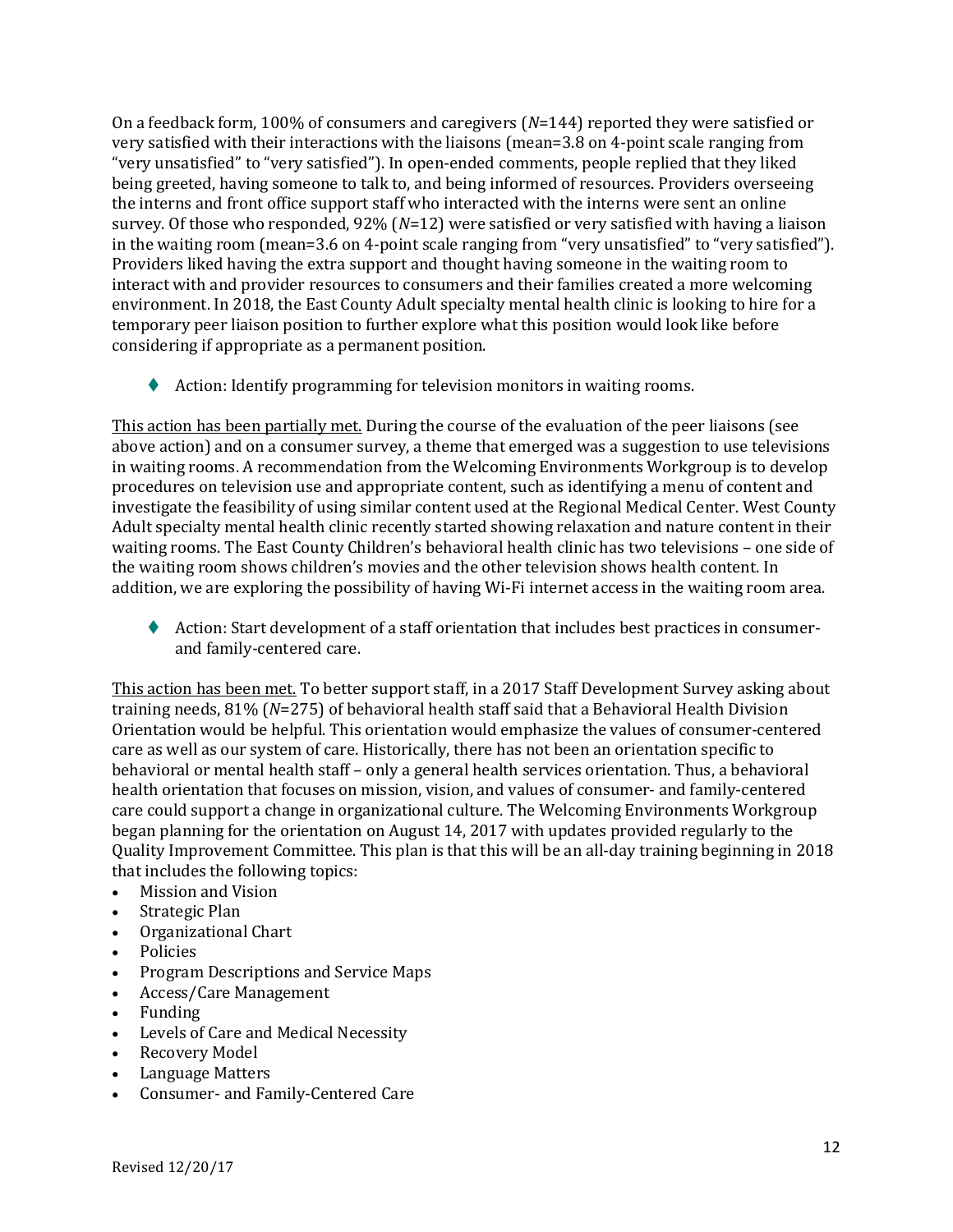On a feedback form, 100% of consumers and caregivers (*N*=144) reported they were satisfied or very satisfied with their interactions with the liaisons (mean=3.8 on 4-point scale ranging from "very unsatisfied" to "very satisfied"). In open-ended comments, people replied that they liked being greeted, having someone to talk to, and being informed of resources. Providers overseeing the interns and front office support staff who interacted with the interns were sent an online survey. Of those who responded, 92% (*N*=12) were satisfied or very satisfied with having a liaison in the waiting room (mean=3.6 on 4-point scale ranging from "very unsatisfied" to "very satisfied"). Providers liked having the extra support and thought having someone in the waiting room to interact with and provider resources to consumers and their families created a more welcoming environment. In 2018, the East County Adult specialty mental health clinic is looking to hire for a temporary peer liaison position to further explore what this position would look like before considering if appropriate as a permanent position.

◆ Action: Identify programming for television monitors in waiting rooms.

This action has been partially met. During the course of the evaluation of the peer liaisons (see above action) and on a consumer survey, a theme that emerged was a suggestion to use televisions in waiting rooms. A recommendation from the Welcoming Environments Workgroup is to develop procedures on television use and appropriate content, such as identifying a menu of content and investigate the feasibility of using similar content used at the Regional Medical Center. West County Adult specialty mental health clinic recently started showing relaxation and nature content in their waiting rooms. The East County Children's behavioral health clinic has two televisions – one side of the waiting room shows children's movies and the other television shows health content. In addition, we are exploring the possibility of having Wi-Fi internet access in the waiting room area.

 Action: Start development of a staff orientation that includes best practices in consumerand family-centered care.

This action has been met. To better support staff, in a 2017 Staff Development Survey asking about training needs, 81% (*N*=275) of behavioral health staff said that a Behavioral Health Division Orientation would be helpful. This orientation would emphasize the values of consumer-centered care as well as our system of care. Historically, there has not been an orientation specific to behavioral or mental health staff – only a general health services orientation. Thus, a behavioral health orientation that focuses on mission, vision, and values of consumer- and family-centered care could support a change in organizational culture. The Welcoming Environments Workgroup began planning for the orientation on August 14, 2017 with updates provided regularly to the Quality Improvement Committee. This plan is that this will be an all-day training beginning in 2018 that includes the following topics:

- Mission and Vision
- Strategic Plan
- Organizational Chart
- Policies
- Program Descriptions and Service Maps
- Access/Care Management
- Funding
- Levels of Care and Medical Necessity
- Recovery Model
- Language Matters
- Consumer- and Family-Centered Care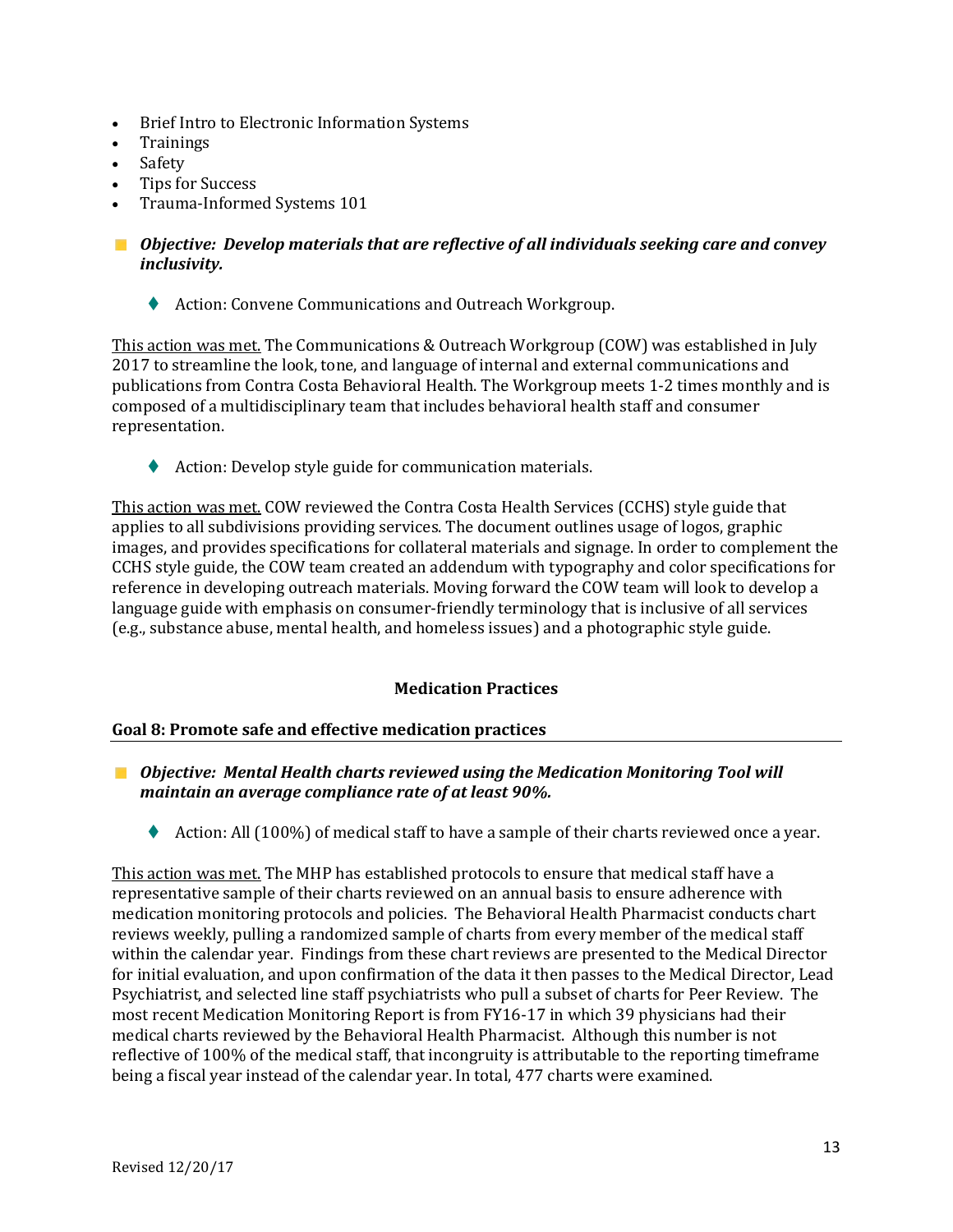- Brief Intro to Electronic Information Systems
- **Trainings**
- **Safety**
- Tips for Success
- Trauma-Informed Systems 101
- *Objective: Develop materials that are reflective of all individuals seeking care and convey inclusivity.*
	- ◆ Action: Convene Communications and Outreach Workgroup.

This action was met. The Communications & Outreach Workgroup (COW) was established in July 2017 to streamline the look, tone, and language of internal and external communications and publications from Contra Costa Behavioral Health. The Workgroup meets 1-2 times monthly and is composed of a multidisciplinary team that includes behavioral health staff and consumer representation.

◆ Action: Develop style guide for communication materials.

This action was met. COW reviewed the Contra Costa Health Services (CCHS) style guide that applies to all subdivisions providing services. The document outlines usage of logos, graphic images, and provides specifications for collateral materials and signage. In order to complement the CCHS style guide, the COW team created an addendum with typography and color specifications for reference in developing outreach materials. Moving forward the COW team will look to develop a language guide with emphasis on consumer-friendly terminology that is inclusive of all services (e.g., substance abuse, mental health, and homeless issues) and a photographic style guide.

## **Medication Practices**

## **Goal 8: Promote safe and effective medication practices**

- *Objective: Mental Health charts reviewed using the Medication Monitoring Tool will maintain an average compliance rate of at least 90%.*
	- Action: All  $(100\%)$  of medical staff to have a sample of their charts reviewed once a year.

This action was met. The MHP has established protocols to ensure that medical staff have a representative sample of their charts reviewed on an annual basis to ensure adherence with medication monitoring protocols and policies. The Behavioral Health Pharmacist conducts chart reviews weekly, pulling a randomized sample of charts from every member of the medical staff within the calendar year. Findings from these chart reviews are presented to the Medical Director for initial evaluation, and upon confirmation of the data it then passes to the Medical Director, Lead Psychiatrist, and selected line staff psychiatrists who pull a subset of charts for Peer Review. The most recent Medication Monitoring Report is from FY16-17 in which 39 physicians had their medical charts reviewed by the Behavioral Health Pharmacist. Although this number is not reflective of 100% of the medical staff, that incongruity is attributable to the reporting timeframe being a fiscal year instead of the calendar year. In total, 477 charts were examined.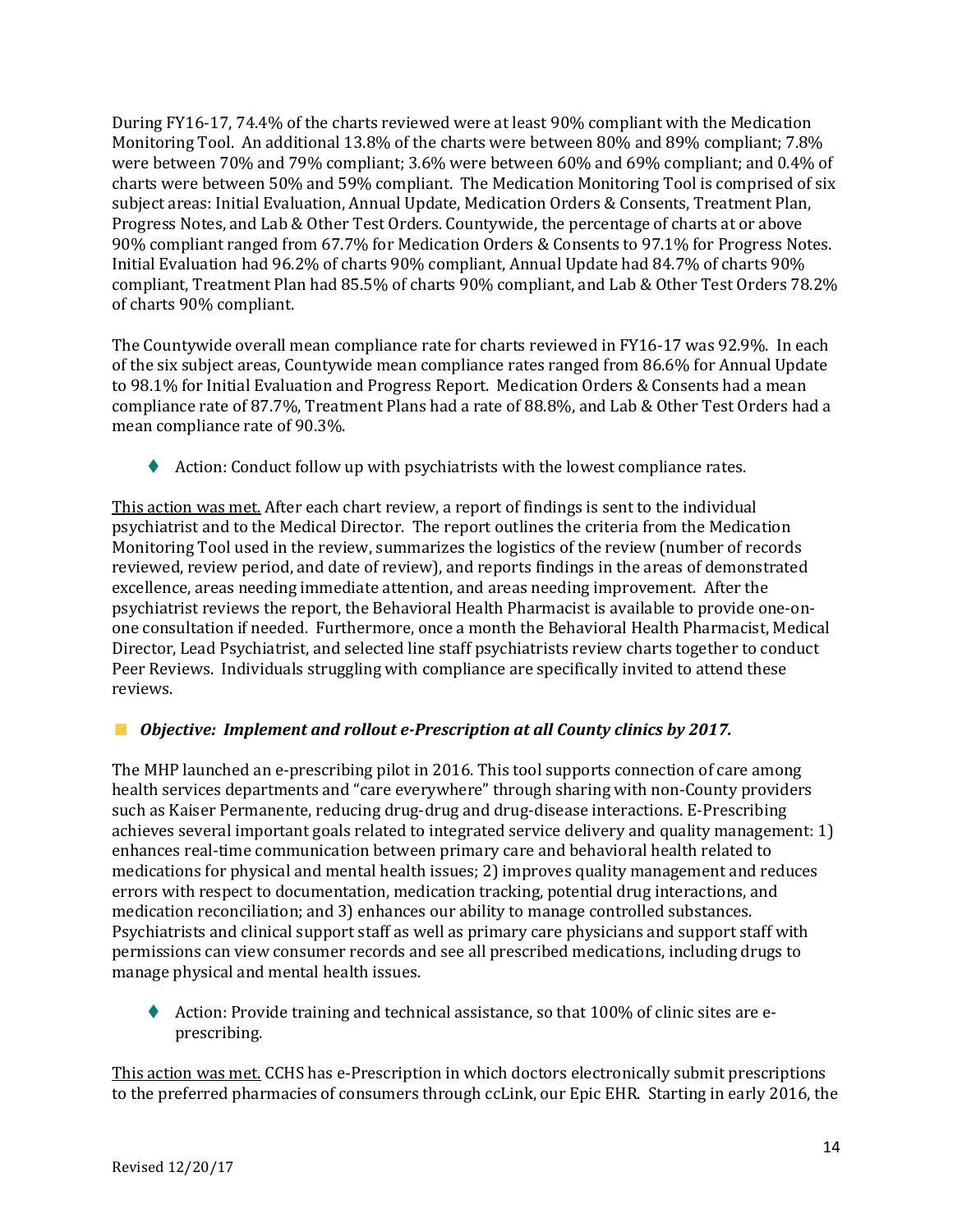During FY16-17, 74.4% of the charts reviewed were at least 90% compliant with the Medication Monitoring Tool. An additional 13.8% of the charts were between 80% and 89% compliant; 7.8% were between 70% and 79% compliant; 3.6% were between 60% and 69% compliant; and 0.4% of charts were between 50% and 59% compliant. The Medication Monitoring Tool is comprised of six subject areas: Initial Evaluation, Annual Update, Medication Orders & Consents, Treatment Plan, Progress Notes, and Lab & Other Test Orders. Countywide, the percentage of charts at or above 90% compliant ranged from 67.7% for Medication Orders & Consents to 97.1% for Progress Notes. Initial Evaluation had 96.2% of charts 90% compliant, Annual Update had 84.7% of charts 90% compliant, Treatment Plan had 85.5% of charts 90% compliant, and Lab & Other Test Orders 78.2% of charts 90% compliant.

The Countywide overall mean compliance rate for charts reviewed in FY16-17 was 92.9%. In each of the six subject areas, Countywide mean compliance rates ranged from 86.6% for Annual Update to 98.1% for Initial Evaluation and Progress Report. Medication Orders & Consents had a mean compliance rate of 87.7%, Treatment Plans had a rate of 88.8%, and Lab & Other Test Orders had a mean compliance rate of 90.3%.

◆ Action: Conduct follow up with psychiatrists with the lowest compliance rates.

This action was met. After each chart review, a report of findings is sent to the individual psychiatrist and to the Medical Director. The report outlines the criteria from the Medication Monitoring Tool used in the review, summarizes the logistics of the review (number of records reviewed, review period, and date of review), and reports findings in the areas of demonstrated excellence, areas needing immediate attention, and areas needing improvement. After the psychiatrist reviews the report, the Behavioral Health Pharmacist is available to provide one-onone consultation if needed. Furthermore, once a month the Behavioral Health Pharmacist, Medical Director, Lead Psychiatrist, and selected line staff psychiatrists review charts together to conduct Peer Reviews. Individuals struggling with compliance are specifically invited to attend these reviews.

## *Objective: Implement and rollout e-Prescription at all County clinics by 2017.*

The MHP launched an e-prescribing pilot in 2016. This tool supports connection of care among health services departments and "care everywhere" through sharing with non-County providers such as Kaiser Permanente, reducing drug-drug and drug-disease interactions. E-Prescribing achieves several important goals related to integrated service delivery and quality management: 1) enhances real-time communication between primary care and behavioral health related to medications for physical and mental health issues; 2) improves quality management and reduces errors with respect to documentation, medication tracking, potential drug interactions, and medication reconciliation; and 3) enhances our ability to manage controlled substances. Psychiatrists and clinical support staff as well as primary care physicians and support staff with permissions can view consumer records and see all prescribed medications, including drugs to manage physical and mental health issues.

 Action: Provide training and technical assistance, so that 100% of clinic sites are eprescribing.

This action was met. CCHS has e-Prescription in which doctors electronically submit prescriptions to the preferred pharmacies of consumers through ccLink, our Epic EHR. Starting in early 2016, the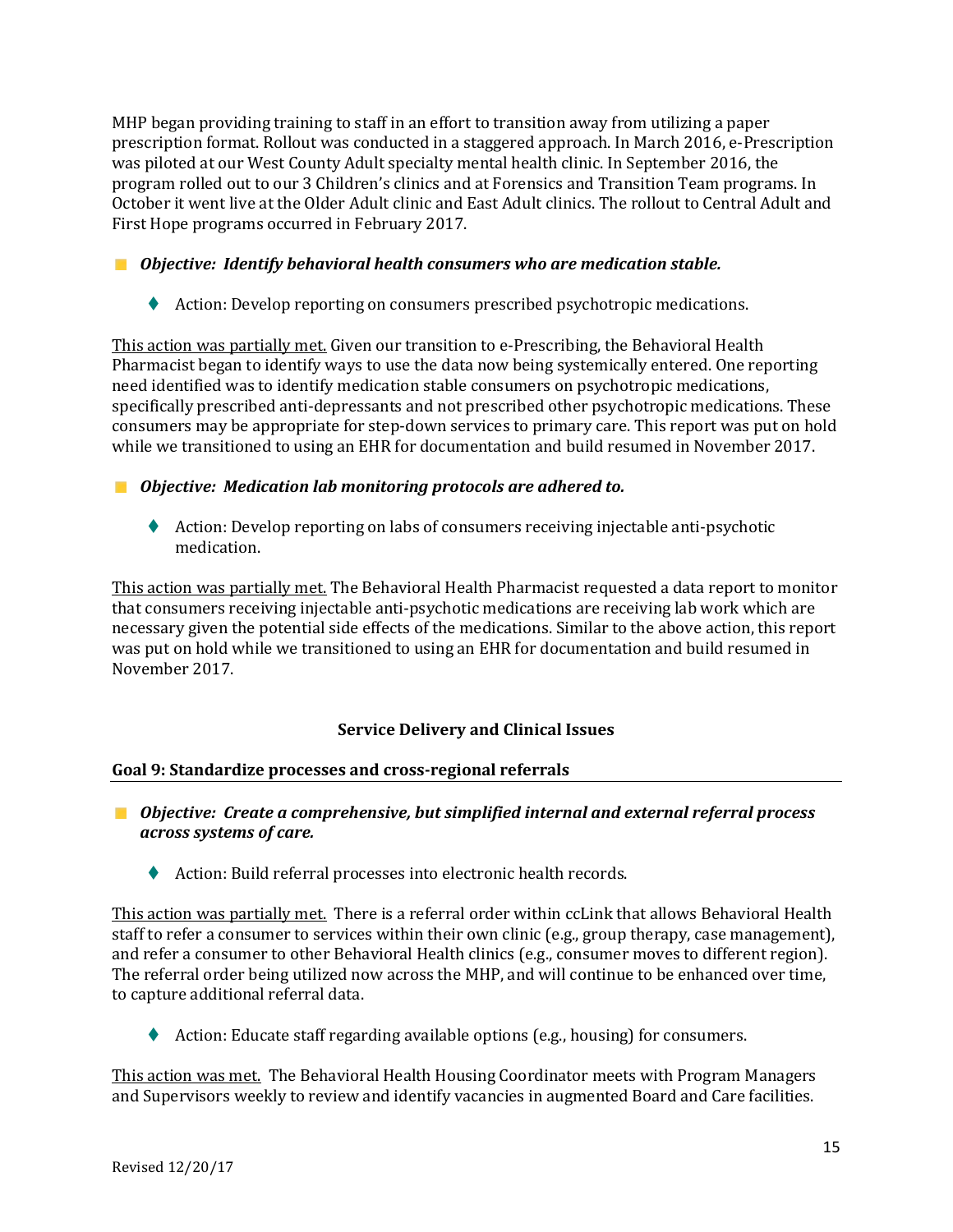MHP began providing training to staff in an effort to transition away from utilizing a paper prescription format. Rollout was conducted in a staggered approach. In March 2016, e-Prescription was piloted at our West County Adult specialty mental health clinic. In September 2016, the program rolled out to our 3 Children's clinics and at Forensics and Transition Team programs. In October it went live at the Older Adult clinic and East Adult clinics. The rollout to Central Adult and First Hope programs occurred in February 2017.

## *Objective: Identify behavioral health consumers who are medication stable.*

Action: Develop reporting on consumers prescribed psychotropic medications.

This action was partially met. Given our transition to e-Prescribing, the Behavioral Health Pharmacist began to identify ways to use the data now being systemically entered. One reporting need identified was to identify medication stable consumers on psychotropic medications, specifically prescribed anti-depressants and not prescribed other psychotropic medications. These consumers may be appropriate for step-down services to primary care. This report was put on hold while we transitioned to using an EHR for documentation and build resumed in November 2017.

## *Objective: Medication lab monitoring protocols are adhered to.*

 Action: Develop reporting on labs of consumers receiving injectable anti-psychotic medication.

This action was partially met. The Behavioral Health Pharmacist requested a data report to monitor that consumers receiving injectable anti-psychotic medications are receiving lab work which are necessary given the potential side effects of the medications. Similar to the above action, this report was put on hold while we transitioned to using an EHR for documentation and build resumed in November 2017.

## **Service Delivery and Clinical Issues**

## **Goal 9: Standardize processes and cross-regional referrals**

*Objective: Create a comprehensive, but simplified internal and external referral process across systems of care.*

◆ Action: Build referral processes into electronic health records.

This action was partially met. There is a referral order within ccLink that allows Behavioral Health staff to refer a consumer to services within their own clinic (e.g., group therapy, case management), and refer a consumer to other Behavioral Health clinics (e.g., consumer moves to different region). The referral order being utilized now across the MHP, and will continue to be enhanced over time, to capture additional referral data.

Action: Educate staff regarding available options (e.g., housing) for consumers.

This action was met. The Behavioral Health Housing Coordinator meets with Program Managers and Supervisors weekly to review and identify vacancies in augmented Board and Care facilities.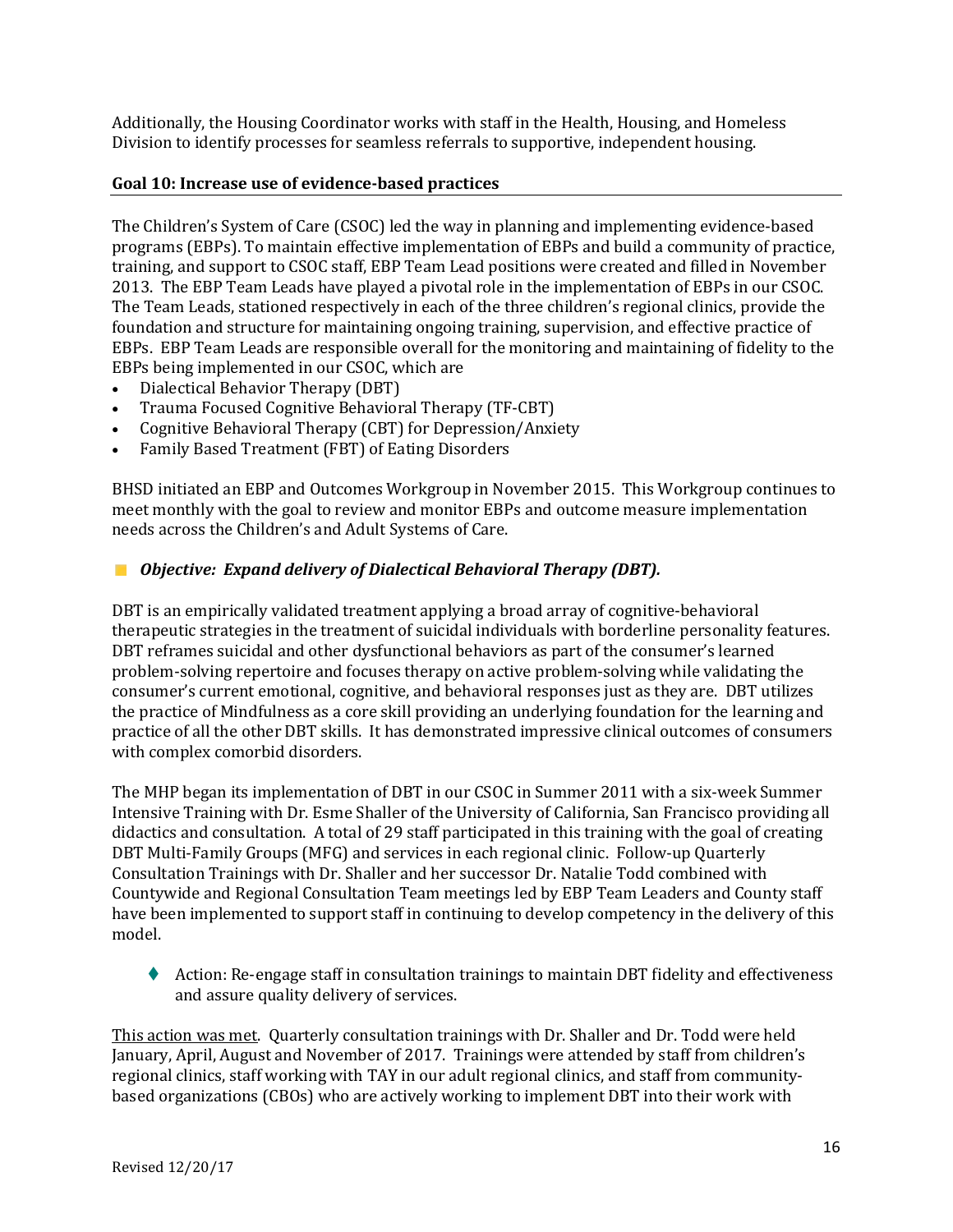Additionally, the Housing Coordinator works with staff in the Health, Housing, and Homeless Division to identify processes for seamless referrals to supportive, independent housing.

## **Goal 10: Increase use of evidence-based practices**

The Children's System of Care (CSOC) led the way in planning and implementing evidence-based programs (EBPs). To maintain effective implementation of EBPs and build a community of practice, training, and support to CSOC staff, EBP Team Lead positions were created and filled in November 2013. The EBP Team Leads have played a pivotal role in the implementation of EBPs in our CSOC. The Team Leads, stationed respectively in each of the three children's regional clinics, provide the foundation and structure for maintaining ongoing training, supervision, and effective practice of EBPs. EBP Team Leads are responsible overall for the monitoring and maintaining of fidelity to the EBPs being implemented in our CSOC, which are<br>• Dialectical Behavior Therany (DBT)

- Dialectical Behavior Therapy (DBT)
- Trauma Focused Cognitive Behavioral Therapy (TF-CBT)
- Cognitive Behavioral Therapy (CBT) for Depression/Anxiety
- Family Based Treatment (FBT) of Eating Disorders

BHSD initiated an EBP and Outcomes Workgroup in November 2015. This Workgroup continues to meet monthly with the goal to review and monitor EBPs and outcome measure implementation needs across the Children's and Adult Systems of Care.

### *Objective: Expand delivery of Dialectical Behavioral Therapy (DBT).* **Contract**

DBT is an empirically validated treatment applying a broad array of cognitive-behavioral therapeutic strategies in the treatment of suicidal individuals with borderline personality features. DBT reframes suicidal and other dysfunctional behaviors as part of the consumer's learned problem-solving repertoire and focuses therapy on active problem-solving while validating the consumer's current emotional, cognitive, and behavioral responses just as they are. DBT utilizes the practice of Mindfulness as a core skill providing an underlying foundation for the learning and practice of all the other DBT skills. It has demonstrated impressive clinical outcomes of consumers with complex comorbid disorders.

The MHP began its implementation of DBT in our CSOC in Summer 2011 with a six-week Summer Intensive Training with Dr. Esme Shaller of the University of California, San Francisco providing all didactics and consultation. A total of 29 staff participated in this training with the goal of creating DBT Multi-Family Groups (MFG) and services in each regional clinic. Follow-up Quarterly Consultation Trainings with Dr. Shaller and her successor Dr. Natalie Todd combined with Countywide and Regional Consultation Team meetings led by EBP Team Leaders and County staff have been implemented to support staff in continuing to develop competency in the delivery of this model.

◆ Action: Re-engage staff in consultation trainings to maintain DBT fidelity and effectiveness and assure quality delivery of services.

This action was met. Quarterly consultation trainings with Dr. Shaller and Dr. Todd were held January, April, August and November of 2017. Trainings were attended by staff from children's regional clinics, staff working with TAY in our adult regional clinics, and staff from communitybased organizations (CBOs) who are actively working to implement DBT into their work with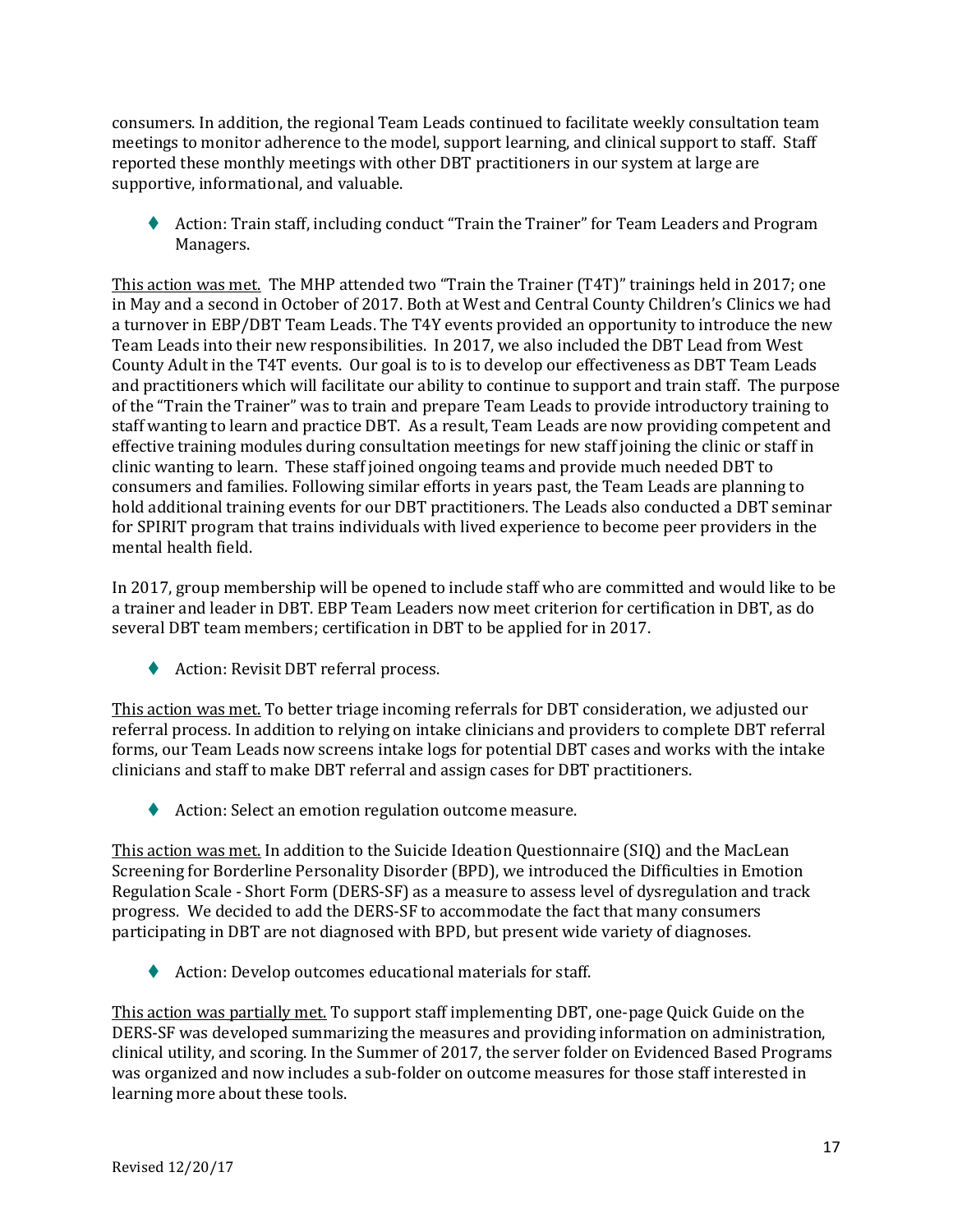consumers. In addition, the regional Team Leads continued to facilitate weekly consultation team meetings to monitor adherence to the model, support learning, and clinical support to staff. Staff reported these monthly meetings with other DBT practitioners in our system at large are supportive, informational, and valuable.

♦ Action: Train staff, including conduct "Train the Trainer" for Team Leaders and Program Managers.

This action was met. The MHP attended two "Train the Trainer (T4T)" trainings held in 2017; one in May and a second in October of 2017. Both at West and Central County Children's Clinics we had a turnover in EBP/DBT Team Leads. The T4Y events provided an opportunity to introduce the new Team Leads into their new responsibilities. In 2017, we also included the DBT Lead from West County Adult in the T4T events. Our goal is to is to develop our effectiveness as DBT Team Leads and practitioners which will facilitate our ability to continue to support and train staff. The purpose of the "Train the Trainer" was to train and prepare Team Leads to provide introductory training to staff wanting to learn and practice DBT. As a result, Team Leads are now providing competent and effective training modules during consultation meetings for new staff joining the clinic or staff in clinic wanting to learn. These staff joined ongoing teams and provide much needed DBT to consumers and families. Following similar efforts in years past, the Team Leads are planning to hold additional training events for our DBT practitioners. The Leads also conducted a DBT seminar for SPIRIT program that trains individuals with lived experience to become peer providers in the mental health field.

In 2017, group membership will be opened to include staff who are committed and would like to be a trainer and leader in DBT. EBP Team Leaders now meet criterion for certification in DBT, as do several DBT team members; certification in DBT to be applied for in 2017.

◆ Action: Revisit DBT referral process.

This action was met. To better triage incoming referrals for DBT consideration, we adjusted our referral process. In addition to relying on intake clinicians and providers to complete DBT referral forms, our Team Leads now screens intake logs for potential DBT cases and works with the intake clinicians and staff to make DBT referral and assign cases for DBT practitioners.

◆ Action: Select an emotion regulation outcome measure.

This action was met. In addition to the Suicide Ideation Questionnaire (SIQ) and the MacLean Screening for Borderline Personality Disorder (BPD), we introduced the Difficulties in Emotion Regulation Scale - Short Form (DERS-SF) as a measure to assess level of dysregulation and track progress. We decided to add the DERS-SF to accommodate the fact that many consumers participating in DBT are not diagnosed with BPD, but present wide variety of diagnoses.

◆ Action: Develop outcomes educational materials for staff.

This action was partially met. To support staff implementing DBT, one-page Quick Guide on the DERS-SF was developed summarizing the measures and providing information on administration, clinical utility, and scoring. In the Summer of 2017, the server folder on Evidenced Based Programs was organized and now includes a sub-folder on outcome measures for those staff interested in learning more about these tools.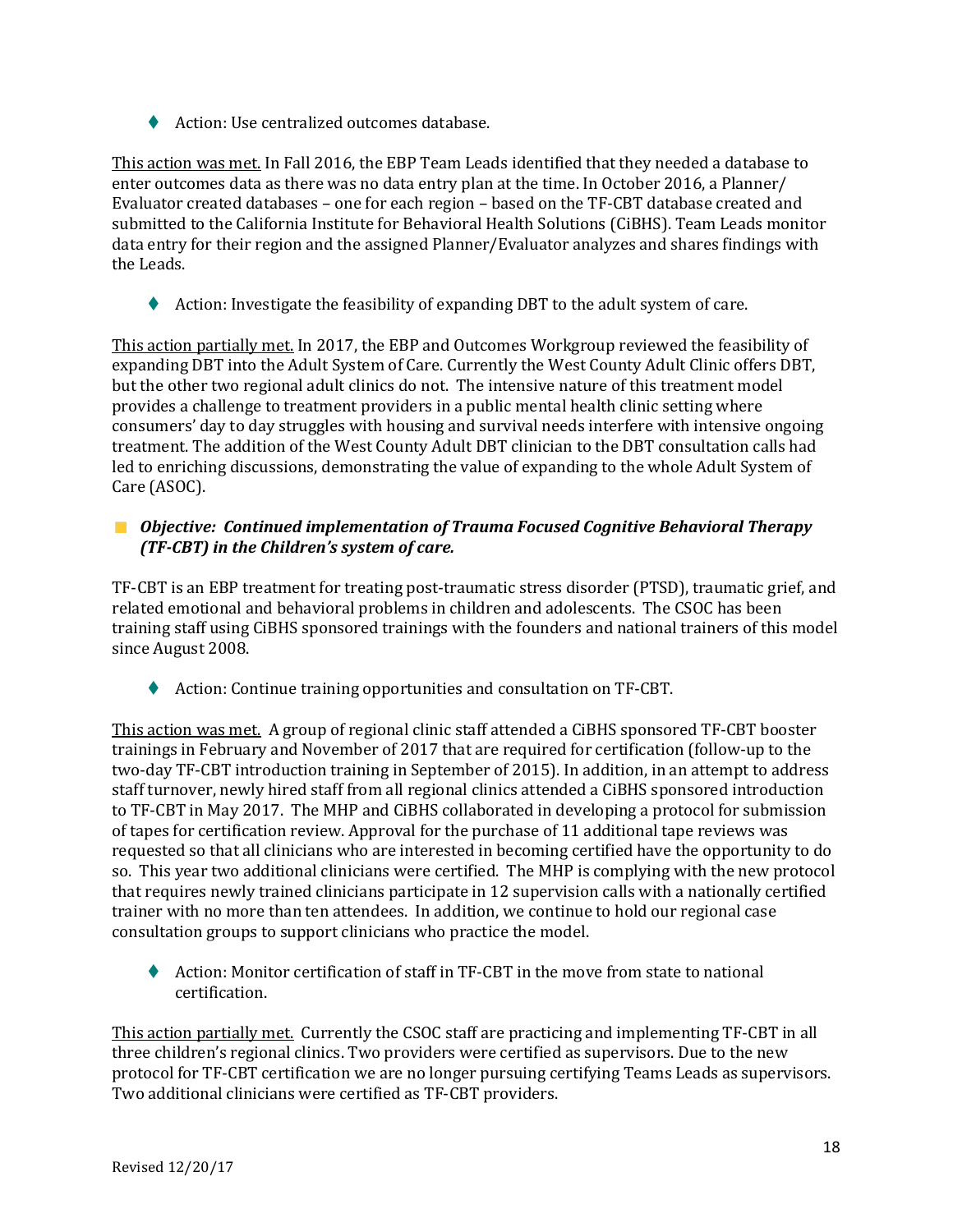◆ Action: Use centralized outcomes database.

This action was met. In Fall 2016, the EBP Team Leads identified that they needed a database to enter outcomes data as there was no data entry plan at the time. In October 2016, a Planner/ Evaluator created databases – one for each region – based on the TF-CBT database created and submitted to the California Institute for Behavioral Health Solutions (CiBHS). Team Leads monitor data entry for their region and the assigned Planner/Evaluator analyzes and shares findings with the Leads.

Action: Investigate the feasibility of expanding DBT to the adult system of care.

This action partially met. In 2017, the EBP and Outcomes Workgroup reviewed the feasibility of expanding DBT into the Adult System of Care. Currently the West County Adult Clinic offers DBT, but the other two regional adult clinics do not. The intensive nature of this treatment model provides a challenge to treatment providers in a public mental health clinic setting where consumers' day to day struggles with housing and survival needs interfere with intensive ongoing treatment. The addition of the West County Adult DBT clinician to the DBT consultation calls had led to enriching discussions, demonstrating the value of expanding to the whole Adult System of Care (ASOC).

## *Objective: Continued implementation of Trauma Focused Cognitive Behavioral Therapy (TF-CBT) in the Children's system of care.*

TF-CBT is an EBP treatment for treating post-traumatic stress disorder (PTSD), traumatic grief, and related emotional and behavioral problems in children and adolescents. The CSOC has been training staff using CiBHS sponsored trainings with the founders and national trainers of this model since August 2008.

◆ Action: Continue training opportunities and consultation on TF-CBT.

This action was met. A group of regional clinic staff attended a CiBHS sponsored TF-CBT booster trainings in February and November of 2017 that are required for certification (follow-up to the two-day TF-CBT introduction training in September of 2015). In addition, in an attempt to address staff turnover, newly hired staff from all regional clinics attended a CiBHS sponsored introduction to TF-CBT in May 2017. The MHP and CiBHS collaborated in developing a protocol for submission of tapes for certification review. Approval for the purchase of 11 additional tape reviews was requested so that all clinicians who are interested in becoming certified have the opportunity to do so. This year two additional clinicians were certified. The MHP is complying with the new protocol that requires newly trained clinicians participate in 12 supervision calls with a nationally certified trainer with no more than ten attendees. In addition, we continue to hold our regional case consultation groups to support clinicians who practice the model.

 Action: Monitor certification of staff in TF-CBT in the move from state to national certification.

This action partially met. Currently the CSOC staff are practicing and implementing TF-CBT in all three children's regional clinics. Two providers were certified as supervisors. Due to the new protocol for TF-CBT certification we are no longer pursuing certifying Teams Leads as supervisors. Two additional clinicians were certified as TF-CBT providers.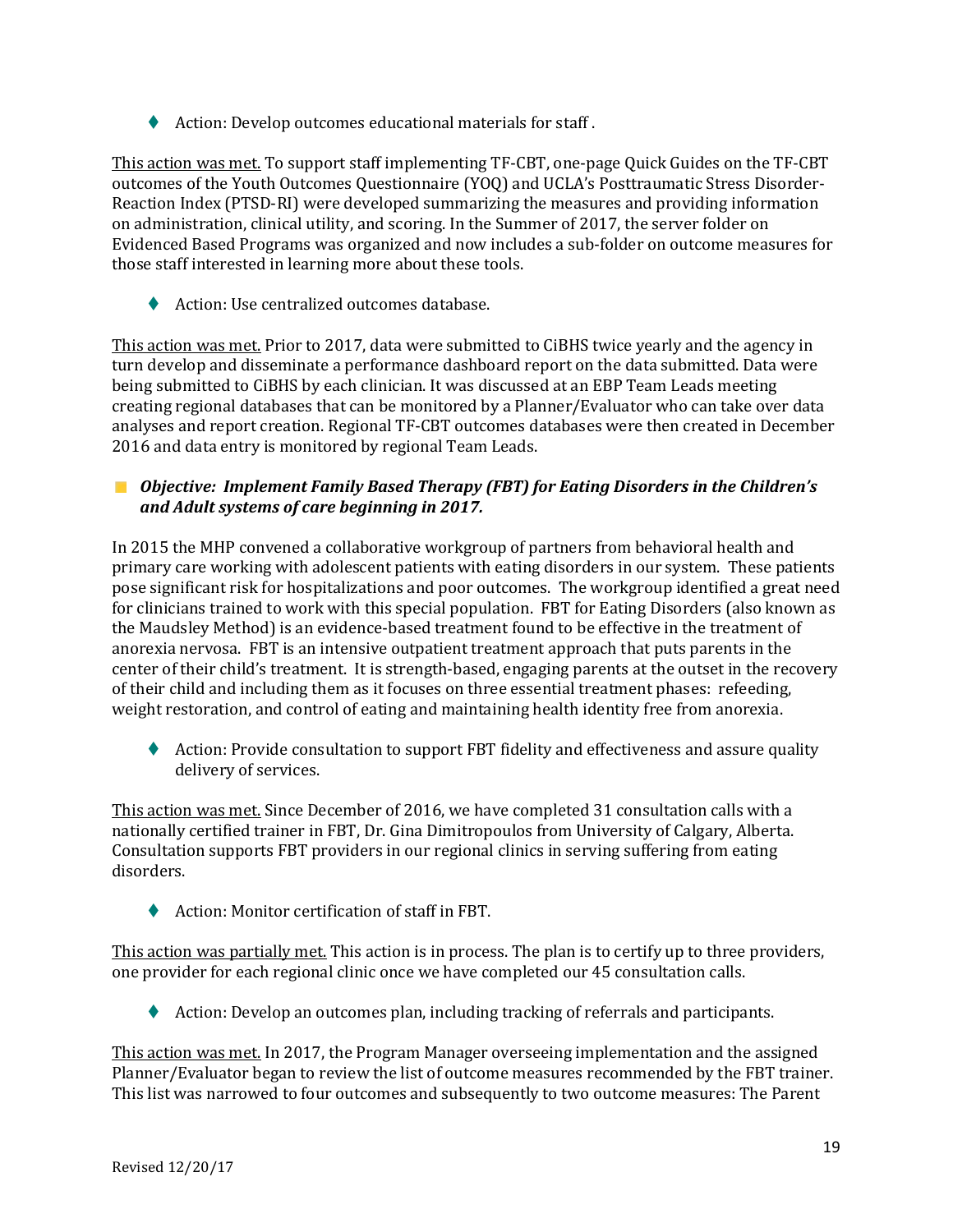◆ Action: Develop outcomes educational materials for staff.

This action was met. To support staff implementing TF-CBT, one-page Quick Guides on the TF-CBT outcomes of the Youth Outcomes Questionnaire (YOQ) and UCLA's Posttraumatic Stress Disorder-Reaction Index (PTSD-RI) were developed summarizing the measures and providing information on administration, clinical utility, and scoring. In the Summer of 2017, the server folder on Evidenced Based Programs was organized and now includes a sub-folder on outcome measures for those staff interested in learning more about these tools.

◆ Action: Use centralized outcomes database.

This action was met. Prior to 2017, data were submitted to CiBHS twice yearly and the agency in turn develop and disseminate a performance dashboard report on the data submitted. Data were being submitted to CiBHS by each clinician. It was discussed at an EBP Team Leads meeting creating regional databases that can be monitored by a Planner/Evaluator who can take over data analyses and report creation. Regional TF-CBT outcomes databases were then created in December 2016 and data entry is monitored by regional Team Leads.

## *Objective: Implement Family Based Therapy (FBT) for Eating Disorders in the Children's and Adult systems of care beginning in 2017.*

In 2015 the MHP convened a collaborative workgroup of partners from behavioral health and primary care working with adolescent patients with eating disorders in our system. These patients pose significant risk for hospitalizations and poor outcomes. The workgroup identified a great need for clinicians trained to work with this special population. FBT for Eating Disorders (also known as the Maudsley Method) is an evidence-based treatment found to be effective in the treatment of anorexia nervosa. FBT is an intensive outpatient treatment approach that puts parents in the center of their child's treatment. It is strength-based, engaging parents at the outset in the recovery of their child and including them as it focuses on three essential treatment phases: refeeding, weight restoration, and control of eating and maintaining health identity free from anorexia.

♦ Action: Provide consultation to support FBT fidelity and effectiveness and assure quality delivery of services.

This action was met. Since December of 2016, we have completed 31 consultation calls with a nationally certified trainer in FBT, Dr. Gina Dimitropoulos from University of Calgary, Alberta. Consultation supports FBT providers in our regional clinics in serving suffering from eating disorders.

Action: Monitor certification of staff in FBT.

This action was partially met. This action is in process. The plan is to certify up to three providers, one provider for each regional clinic once we have completed our 45 consultation calls.

Action: Develop an outcomes plan, including tracking of referrals and participants.

This action was met. In 2017, the Program Manager overseeing implementation and the assigned Planner/Evaluator began to review the list of outcome measures recommended by the FBT trainer. This list was narrowed to four outcomes and subsequently to two outcome measures: The Parent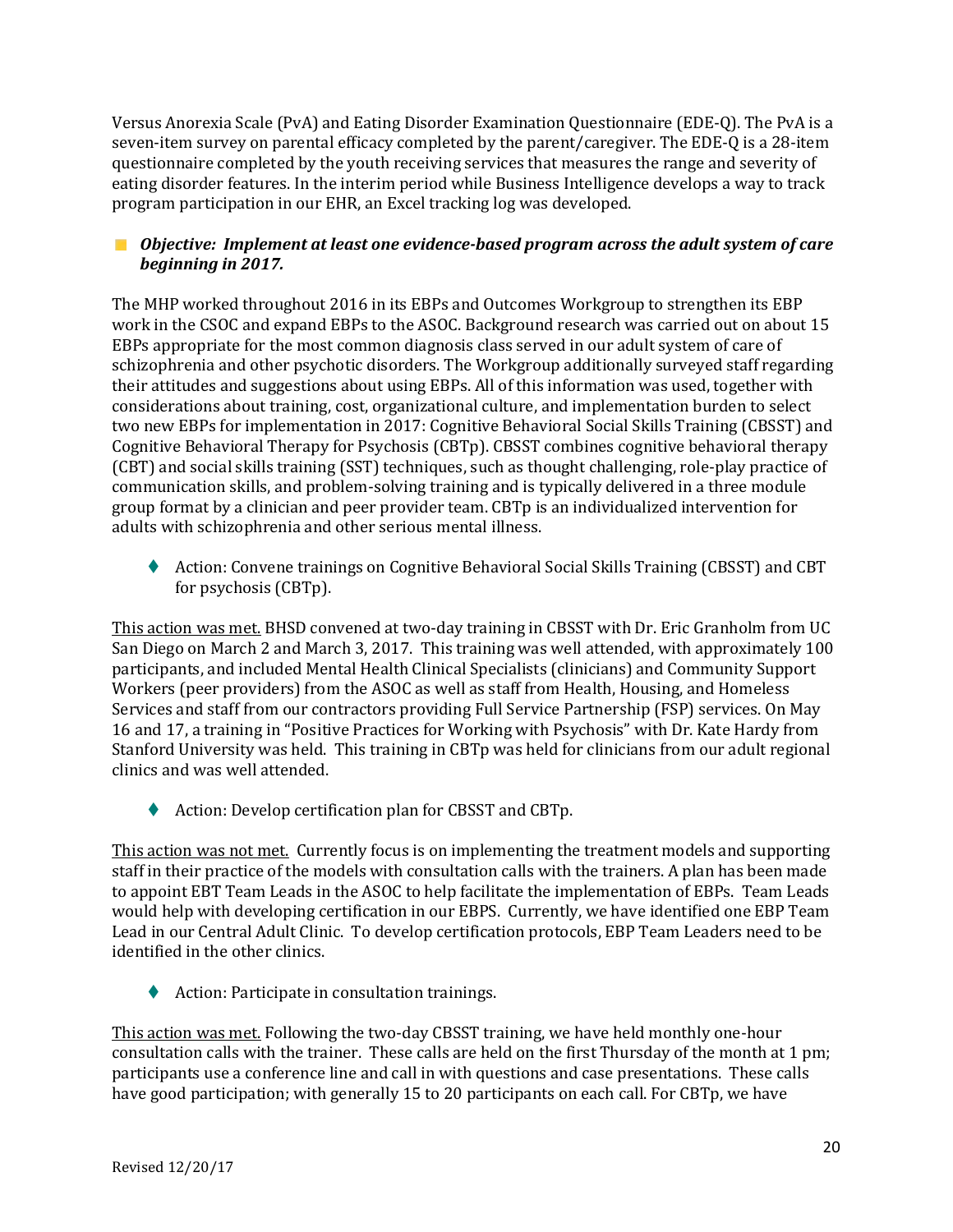Versus Anorexia Scale (PvA) and Eating Disorder Examination Questionnaire (EDE-Q). The PvA is a seven-item survey on parental efficacy completed by the parent/caregiver. The EDE-Q is a 28-item questionnaire completed by the youth receiving services that measures the range and severity of eating disorder features. In the interim period while Business Intelligence develops a way to track program participation in our EHR, an Excel tracking log was developed.

### *Objective: Implement at least one evidence-based program across the adult system of care*   $\mathcal{L}^{\text{max}}$ *beginning in 2017.*

The MHP worked throughout 2016 in its EBPs and Outcomes Workgroup to strengthen its EBP work in the CSOC and expand EBPs to the ASOC. Background research was carried out on about 15 EBPs appropriate for the most common diagnosis class served in our adult system of care of schizophrenia and other psychotic disorders. The Workgroup additionally surveyed staff regarding their attitudes and suggestions about using EBPs. All of this information was used, together with considerations about training, cost, organizational culture, and implementation burden to select two new EBPs for implementation in 2017: Cognitive Behavioral Social Skills Training (CBSST) and Cognitive Behavioral Therapy for Psychosis (CBTp). CBSST combines cognitive behavioral therapy (CBT) and social skills training (SST) techniques, such as thought challenging, role-play practice of communication skills, and problem-solving training and is typically delivered in a three module group format by a clinician and peer provider team. CBTp is an individualized intervention for adults with schizophrenia and other serious mental illness.

 Action: Convene trainings on Cognitive Behavioral Social Skills Training (CBSST) and CBT for psychosis (CBTp).

This action was met. BHSD convened at two-day training in CBSST with Dr. Eric Granholm from UC San Diego on March 2 and March 3, 2017. This training was well attended, with approximately 100 participants, and included Mental Health Clinical Specialists (clinicians) and Community Support Workers (peer providers) from the ASOC as well as staff from Health, Housing, and Homeless Services and staff from our contractors providing Full Service Partnership (FSP) services. On May 16 and 17, a training in "Positive Practices for Working with Psychosis" with Dr. Kate Hardy from Stanford University was held. This training in CBTp was held for clinicians from our adult regional clinics and was well attended.

◆ Action: Develop certification plan for CBSST and CBTp.

This action was not met. Currently focus is on implementing the treatment models and supporting staff in their practice of the models with consultation calls with the trainers. A plan has been made to appoint EBT Team Leads in the ASOC to help facilitate the implementation of EBPs. Team Leads would help with developing certification in our EBPS. Currently, we have identified one EBP Team Lead in our Central Adult Clinic. To develop certification protocols, EBP Team Leaders need to be identified in the other clinics.

◆ Action: Participate in consultation trainings.

This action was met. Following the two-day CBSST training, we have held monthly one-hour consultation calls with the trainer. These calls are held on the first Thursday of the month at 1 pm; participants use a conference line and call in with questions and case presentations. These calls have good participation; with generally 15 to 20 participants on each call. For CBTp, we have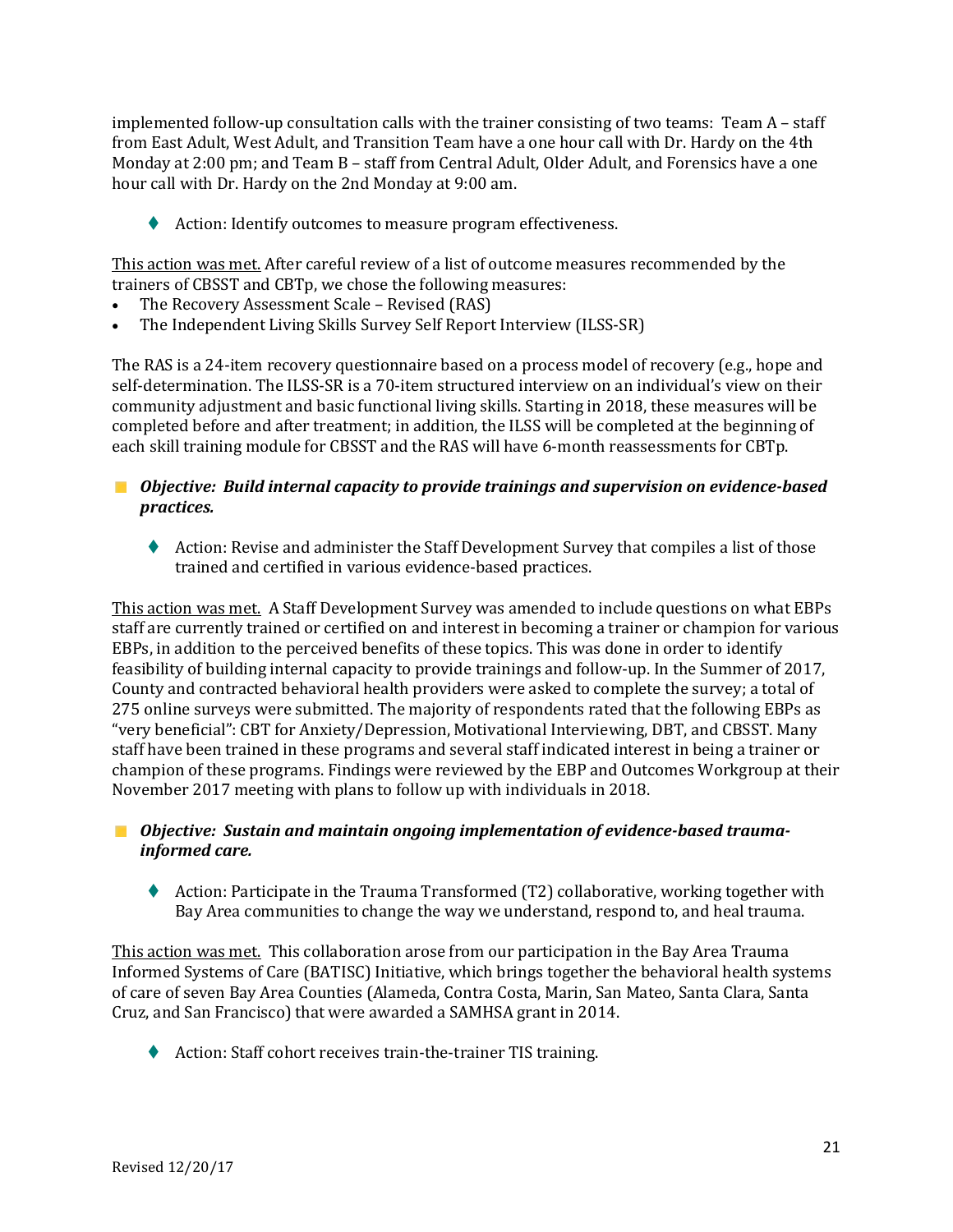implemented follow-up consultation calls with the trainer consisting of two teams: Team A – staff from East Adult, West Adult, and Transition Team have a one hour call with Dr. Hardy on the 4th Monday at 2:00 pm; and Team B – staff from Central Adult, Older Adult, and Forensics have a one hour call with Dr. Hardy on the 2nd Monday at 9:00 am.

◆ Action: Identify outcomes to measure program effectiveness.

This action was met. After careful review of a list of outcome measures recommended by the trainers of CBSST and CBTp, we chose the following measures:

- The Recovery Assessment Scale Revised (RAS)
- The Independent Living Skills Survey Self Report Interview (ILSS-SR)

The RAS is a 24-item recovery questionnaire based on a process model of recovery (e.g., hope and self-determination. The ILSS-SR is a 70-item structured interview on an individual's view on their community adjustment and basic functional living skills. Starting in 2018, these measures will be completed before and after treatment; in addition, the ILSS will be completed at the beginning of each skill training module for CBSST and the RAS will have 6-month reassessments for CBTp.

## *Objective: Build internal capacity to provide trainings and supervision on evidence-based practices.*

◆ Action: Revise and administer the Staff Development Survey that compiles a list of those trained and certified in various evidence-based practices.

This action was met. A Staff Development Survey was amended to include questions on what EBPs staff are currently trained or certified on and interest in becoming a trainer or champion for various EBPs, in addition to the perceived benefits of these topics. This was done in order to identify feasibility of building internal capacity to provide trainings and follow-up. In the Summer of 2017, County and contracted behavioral health providers were asked to complete the survey; a total of 275 online surveys were submitted. The majority of respondents rated that the following EBPs as "very beneficial": CBT for Anxiety/Depression, Motivational Interviewing, DBT, and CBSST. Many staff have been trained in these programs and several staff indicated interest in being a trainer or champion of these programs. Findings were reviewed by the EBP and Outcomes Workgroup at their November 2017 meeting with plans to follow up with individuals in 2018.

*Objective: Sustain and maintain ongoing implementation of evidence-based traumainformed care.*

Action: Participate in the Trauma Transformed  $(T2)$  collaborative, working together with Bay Area communities to change the way we understand, respond to, and heal trauma.

This action was met. This collaboration arose from our participation in the Bay Area Trauma Informed Systems of Care (BATISC) Initiative, which brings together the behavioral health systems of care of seven Bay Area Counties (Alameda, Contra Costa, Marin, San Mateo, Santa Clara, Santa Cruz, and San Francisco) that were awarded a SAMHSA grant in 2014.

◆ Action: Staff cohort receives train-the-trainer TIS training.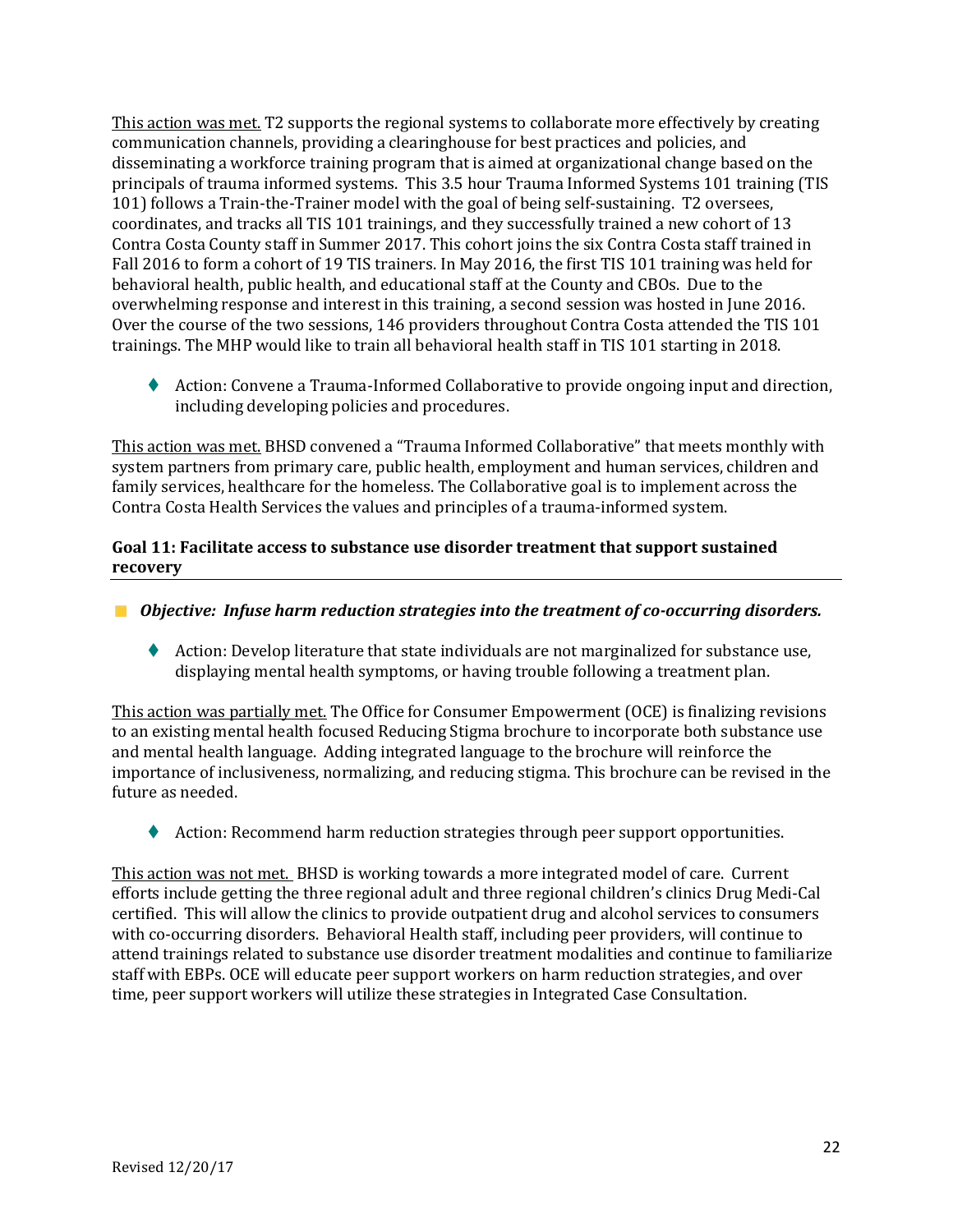This action was met. T2 supports the regional systems to collaborate more effectively by creating communication channels, providing a clearinghouse for best practices and policies, and disseminating a workforce training program that is aimed at organizational change based on the principals of trauma informed systems. This 3.5 hour Trauma Informed Systems 101 training (TIS 101) follows a Train-the-Trainer model with the goal of being self-sustaining. T2 oversees, coordinates, and tracks all TIS 101 trainings, and they successfully trained a new cohort of 13 Contra Costa County staff in Summer 2017. This cohort joins the six Contra Costa staff trained in Fall 2016 to form a cohort of 19 TIS trainers. In May 2016, the first TIS 101 training was held for behavioral health, public health, and educational staff at the County and CBOs. Due to the overwhelming response and interest in this training, a second session was hosted in June 2016. Over the course of the two sessions, 146 providers throughout Contra Costa attended the TIS 101 trainings. The MHP would like to train all behavioral health staff in TIS 101 starting in 2018.

 Action: Convene a Trauma-Informed Collaborative to provide ongoing input and direction, including developing policies and procedures.

This action was met. BHSD convened a "Trauma Informed Collaborative" that meets monthly with system partners from primary care, public health, employment and human services, children and family services, healthcare for the homeless. The Collaborative goal is to implement across the Contra Costa Health Services the values and principles of a trauma-informed system.

## **Goal 11: Facilitate access to substance use disorder treatment that support sustained recovery**

- *Objective: Infuse harm reduction strategies into the treatment of co-occurring disorders.*
	- Action: Develop literature that state individuals are not marginalized for substance use, displaying mental health symptoms, or having trouble following a treatment plan.

This action was partially met. The Office for Consumer Empowerment (OCE) is finalizing revisions to an existing mental health focused Reducing Stigma brochure to incorporate both substance use and mental health language. Adding integrated language to the brochure will reinforce the importance of inclusiveness, normalizing, and reducing stigma. This brochure can be revised in the future as needed.

Action: Recommend harm reduction strategies through peer support opportunities.

This action was not met. BHSD is working towards a more integrated model of care. Current efforts include getting the three regional adult and three regional children's clinics Drug Medi-Cal certified. This will allow the clinics to provide outpatient drug and alcohol services to consumers with co-occurring disorders. Behavioral Health staff, including peer providers, will continue to attend trainings related to substance use disorder treatment modalities and continue to familiarize staff with EBPs. OCE will educate peer support workers on harm reduction strategies, and over time, peer support workers will utilize these strategies in Integrated Case Consultation.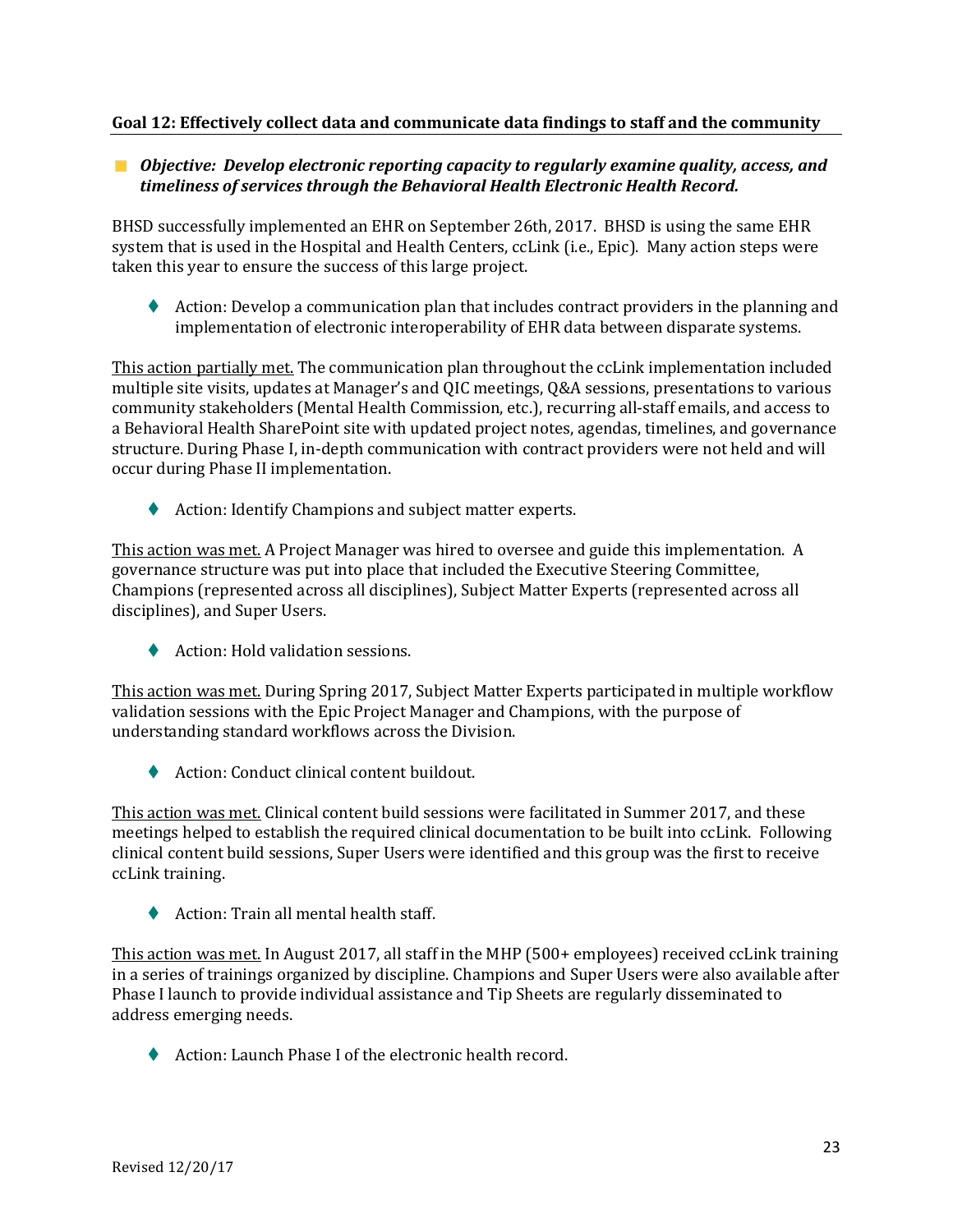## **Goal 12: Effectively collect data and communicate data findings to staff and the community**

## *Objective: Develop electronic reporting capacity to regularly examine quality, access, and timeliness of services through the Behavioral Health Electronic Health Record.*

BHSD successfully implemented an EHR on September 26th, 2017. BHSD is using the same EHR system that is used in the Hospital and Health Centers, ccLink (i.e., Epic). Many action steps were taken this year to ensure the success of this large project.

 Action: Develop a communication plan that includes contract providers in the planning and implementation of electronic interoperability of EHR data between disparate systems.

This action partially met. The communication plan throughout the ccLink implementation included multiple site visits, updates at Manager's and QIC meetings, Q&A sessions, presentations to various community stakeholders (Mental Health Commission, etc.), recurring all-staff emails, and access to a Behavioral Health SharePoint site with updated project notes, agendas, timelines, and governance structure. During Phase I, in-depth communication with contract providers were not held and will occur during Phase II implementation.

◆ Action: Identify Champions and subject matter experts.

This action was met. A Project Manager was hired to oversee and guide this implementation. A governance structure was put into place that included the Executive Steering Committee, Champions (represented across all disciplines), Subject Matter Experts (represented across all disciplines), and Super Users.

◆ Action: Hold validation sessions.

This action was met. During Spring 2017, Subject Matter Experts participated in multiple workflow validation sessions with the Epic Project Manager and Champions, with the purpose of understanding standard workflows across the Division.

◆ Action: Conduct clinical content buildout.

This action was met. Clinical content build sessions were facilitated in Summer 2017, and these meetings helped to establish the required clinical documentation to be built into ccLink. Following clinical content build sessions, Super Users were identified and this group was the first to receive ccLink training.

Action: Train all mental health staff.

This action was met. In August 2017, all staff in the MHP (500+ employees) received ccLink training in a series of trainings organized by discipline. Champions and Super Users were also available after Phase I launch to provide individual assistance and Tip Sheets are regularly disseminated to address emerging needs.

◆ Action: Launch Phase I of the electronic health record.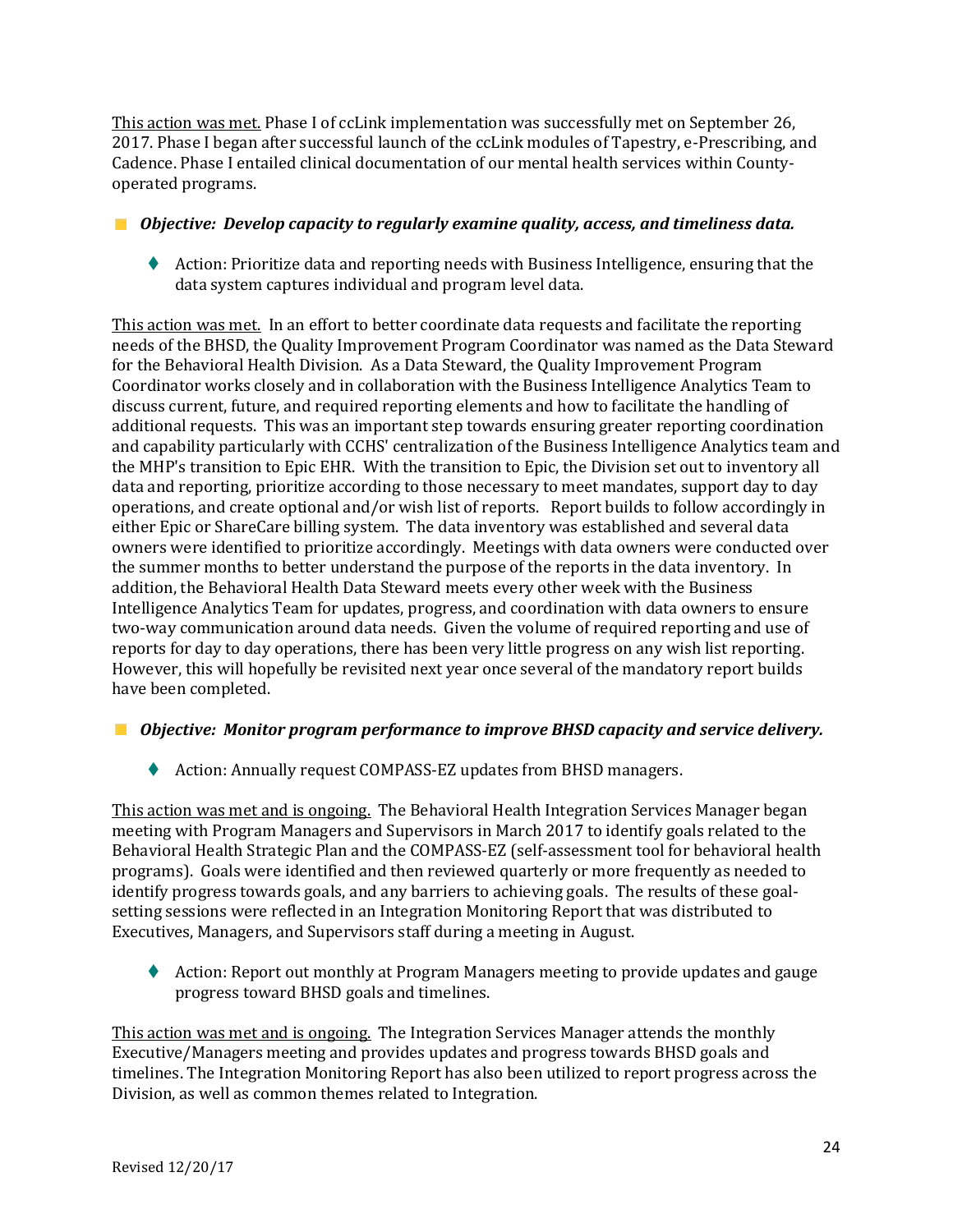This action was met. Phase I of ccLink implementation was successfully met on September 26, 2017. Phase I began after successful launch of the ccLink modules of Tapestry, e-Prescribing, and Cadence. Phase I entailed clinical documentation of our mental health services within Countyoperated programs.

## *Objective: Develop capacity to regularly examine quality, access, and timeliness data.*

 Action: Prioritize data and reporting needs with Business Intelligence, ensuring that the data system captures individual and program level data.

This action was met. In an effort to better coordinate data requests and facilitate the reporting needs of the BHSD, the Quality Improvement Program Coordinator was named as the Data Steward for the Behavioral Health Division. As a Data Steward, the Quality Improvement Program Coordinator works closely and in collaboration with the Business Intelligence Analytics Team to discuss current, future, and required reporting elements and how to facilitate the handling of additional requests. This was an important step towards ensuring greater reporting coordination and capability particularly with CCHS' centralization of the Business Intelligence Analytics team and the MHP's transition to Epic EHR. With the transition to Epic, the Division set out to inventory all data and reporting, prioritize according to those necessary to meet mandates, support day to day operations, and create optional and/or wish list of reports. Report builds to follow accordingly in either Epic or ShareCare billing system. The data inventory was established and several data owners were identified to prioritize accordingly. Meetings with data owners were conducted over the summer months to better understand the purpose of the reports in the data inventory. In addition, the Behavioral Health Data Steward meets every other week with the Business Intelligence Analytics Team for updates, progress, and coordination with data owners to ensure two-way communication around data needs. Given the volume of required reporting and use of reports for day to day operations, there has been very little progress on any wish list reporting. However, this will hopefully be revisited next year once several of the mandatory report builds have been completed.

## *Objective: Monitor program performance to improve BHSD capacity and service delivery.*

◆ Action: Annually request COMPASS-EZ updates from BHSD managers.

This action was met and is ongoing. The Behavioral Health Integration Services Manager began meeting with Program Managers and Supervisors in March 2017 to identify goals related to the Behavioral Health Strategic Plan and the COMPASS-EZ (self-assessment tool for behavioral health programs). Goals were identified and then reviewed quarterly or more frequently as needed to identify progress towards goals, and any barriers to achieving goals. The results of these goalsetting sessions were reflected in an Integration Monitoring Report that was distributed to Executives, Managers, and Supervisors staff during a meeting in August.

 Action: Report out monthly at Program Managers meeting to provide updates and gauge progress toward BHSD goals and timelines.

This action was met and is ongoing. The Integration Services Manager attends the monthly Executive/Managers meeting and provides updates and progress towards BHSD goals and timelines. The Integration Monitoring Report has also been utilized to report progress across the Division, as well as common themes related to Integration.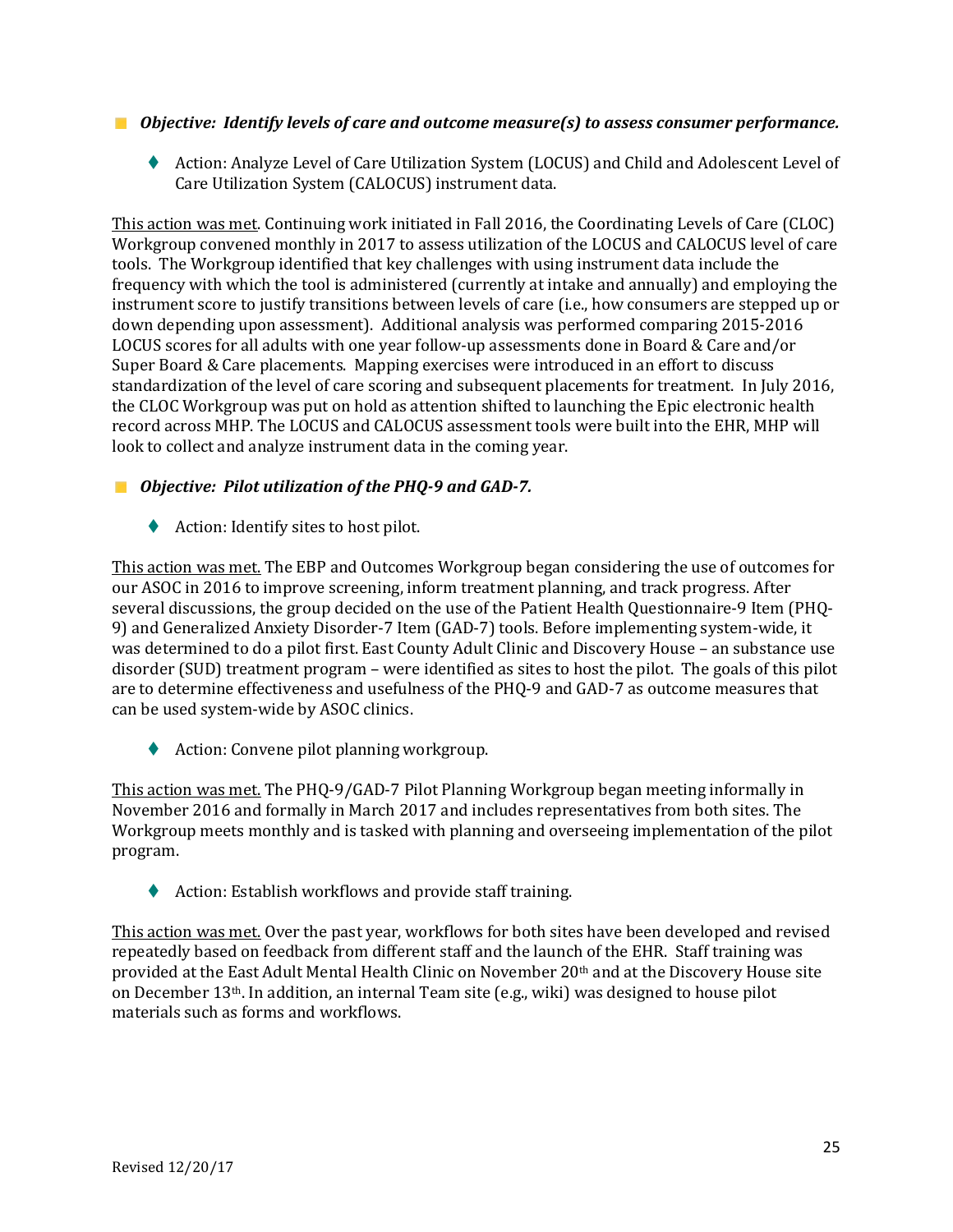## *Objective: Identify levels of care and outcome measure(s) to assess consumer performance.*

 Action: Analyze Level of Care Utilization System (LOCUS) and Child and Adolescent Level of Care Utilization System (CALOCUS) instrument data.

This action was met. Continuing work initiated in Fall 2016, the Coordinating Levels of Care (CLOC) Workgroup convened monthly in 2017 to assess utilization of the LOCUS and CALOCUS level of care tools. The Workgroup identified that key challenges with using instrument data include the frequency with which the tool is administered (currently at intake and annually) and employing the instrument score to justify transitions between levels of care (i.e., how consumers are stepped up or down depending upon assessment). Additional analysis was performed comparing 2015-2016 LOCUS scores for all adults with one year follow-up assessments done in Board & Care and/or Super Board & Care placements. Mapping exercises were introduced in an effort to discuss standardization of the level of care scoring and subsequent placements for treatment. In July 2016, the CLOC Workgroup was put on hold as attention shifted to launching the Epic electronic health record across MHP. The LOCUS and CALOCUS assessment tools were built into the EHR, MHP will look to collect and analyze instrument data in the coming year.

## *Objective: Pilot utilization of the PHQ-9 and GAD-7.*

◆ Action: Identify sites to host pilot.

This action was met. The EBP and Outcomes Workgroup began considering the use of outcomes for our ASOC in 2016 to improve screening, inform treatment planning, and track progress. After several discussions, the group decided on the use of the Patient Health Questionnaire-9 Item (PHQ-9) and Generalized Anxiety Disorder-7 Item (GAD-7) tools. Before implementing system-wide, it was determined to do a pilot first. East County Adult Clinic and Discovery House – an substance use disorder (SUD) treatment program – were identified as sites to host the pilot. The goals of this pilot are to determine effectiveness and usefulness of the PHQ-9 and GAD-7 as outcome measures that can be used system-wide by ASOC clinics.

◆ Action: Convene pilot planning workgroup.

This action was met. The PHQ-9/GAD-7 Pilot Planning Workgroup began meeting informally in November 2016 and formally in March 2017 and includes representatives from both sites. The Workgroup meets monthly and is tasked with planning and overseeing implementation of the pilot program.

Action: Establish workflows and provide staff training.

This action was met. Over the past year, workflows for both sites have been developed and revised repeatedly based on feedback from different staff and the launch of the EHR. Staff training was provided at the East Adult Mental Health Clinic on November 20th and at the Discovery House site on December 13th. In addition, an internal Team site (e.g., wiki) was designed to house pilot materials such as forms and workflows.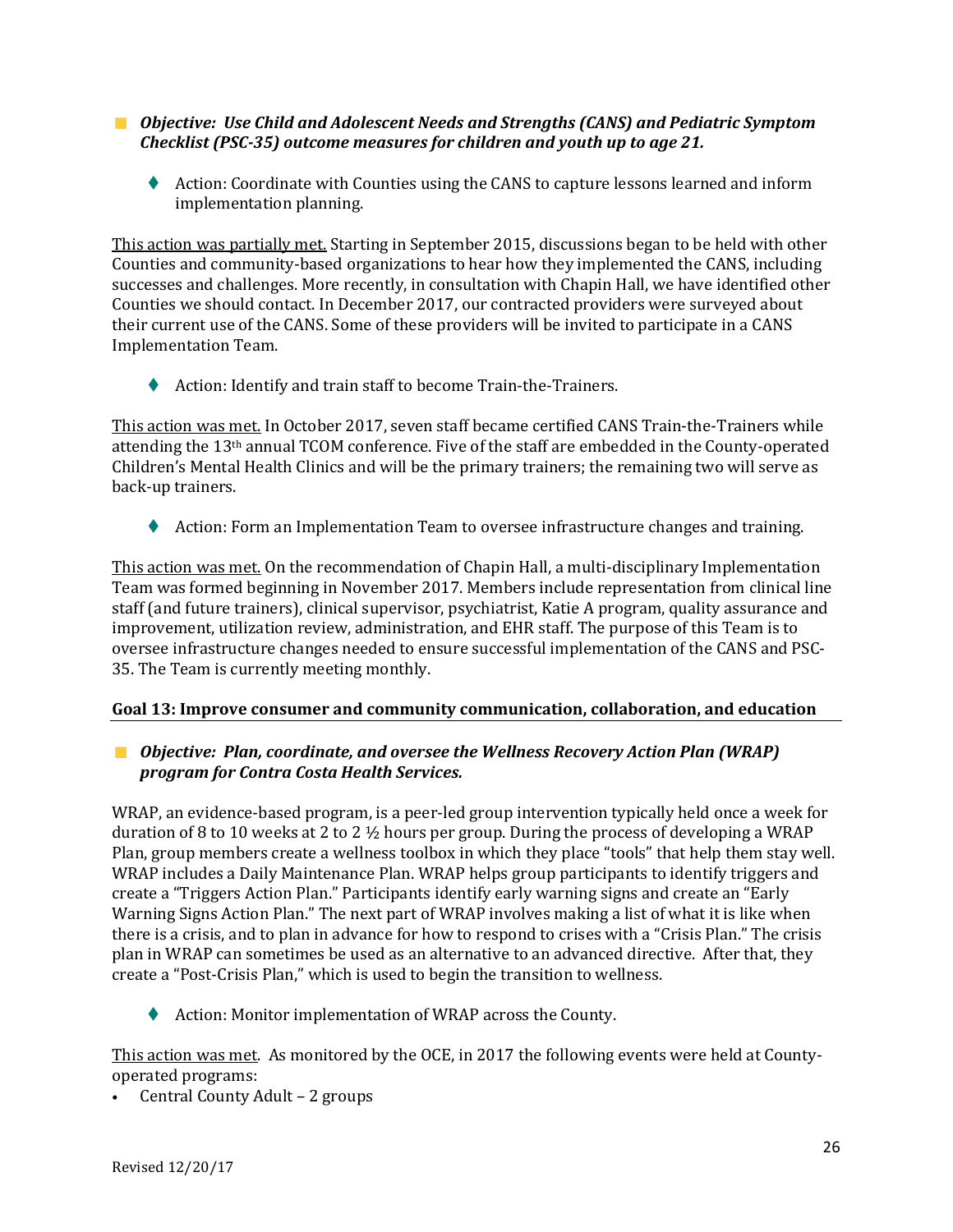## *Objective: Use Child and Adolescent Needs and Strengths (CANS) and Pediatric Symptom Checklist (PSC-35) outcome measures for children and youth up to age 21.*

 Action: Coordinate with Counties using the CANS to capture lessons learned and inform implementation planning.

This action was partially met. Starting in September 2015, discussions began to be held with other Counties and community-based organizations to hear how they implemented the CANS, including successes and challenges. More recently, in consultation with Chapin Hall, we have identified other Counties we should contact. In December 2017, our contracted providers were surveyed about their current use of the CANS. Some of these providers will be invited to participate in a CANS Implementation Team.

◆ Action: Identify and train staff to become Train-the-Trainers.

This action was met. In October 2017, seven staff became certified CANS Train-the-Trainers while attending the 13th annual TCOM conference. Five of the staff are embedded in the County-operated Children's Mental Health Clinics and will be the primary trainers; the remaining two will serve as back-up trainers.

Action: Form an Implementation Team to oversee infrastructure changes and training.

This action was met. On the recommendation of Chapin Hall, a multi-disciplinary Implementation Team was formed beginning in November 2017. Members include representation from clinical line staff (and future trainers), clinical supervisor, psychiatrist, Katie A program, quality assurance and improvement, utilization review, administration, and EHR staff. The purpose of this Team is to oversee infrastructure changes needed to ensure successful implementation of the CANS and PSC-35. The Team is currently meeting monthly.

## **Goal 13: Improve consumer and community communication, collaboration, and education**

## *Objective: Plan, coordinate, and oversee the Wellness Recovery Action Plan (WRAP) program for Contra Costa Health Services.*

WRAP, an evidence-based program, is a peer-led group intervention typically held once a week for duration of 8 to 10 weeks at 2 to 2  $\frac{1}{2}$  hours per group. During the process of developing a WRAP Plan, group members create a wellness toolbox in which they place "tools" that help them stay well. WRAP includes a Daily Maintenance Plan. WRAP helps group participants to identify triggers and create a "Triggers Action Plan." Participants identify early warning signs and create an "Early Warning Signs Action Plan." The next part of WRAP involves making a list of what it is like when there is a crisis, and to plan in advance for how to respond to crises with a "Crisis Plan." The crisis plan in WRAP can sometimes be used as an alternative to an advanced directive. After that, they create a "Post-Crisis Plan," which is used to begin the transition to wellness.

◆ Action: Monitor implementation of WRAP across the County.

This action was met. As monitored by the OCE, in 2017 the following events were held at Countyoperated programs:

• Central County Adult – 2 groups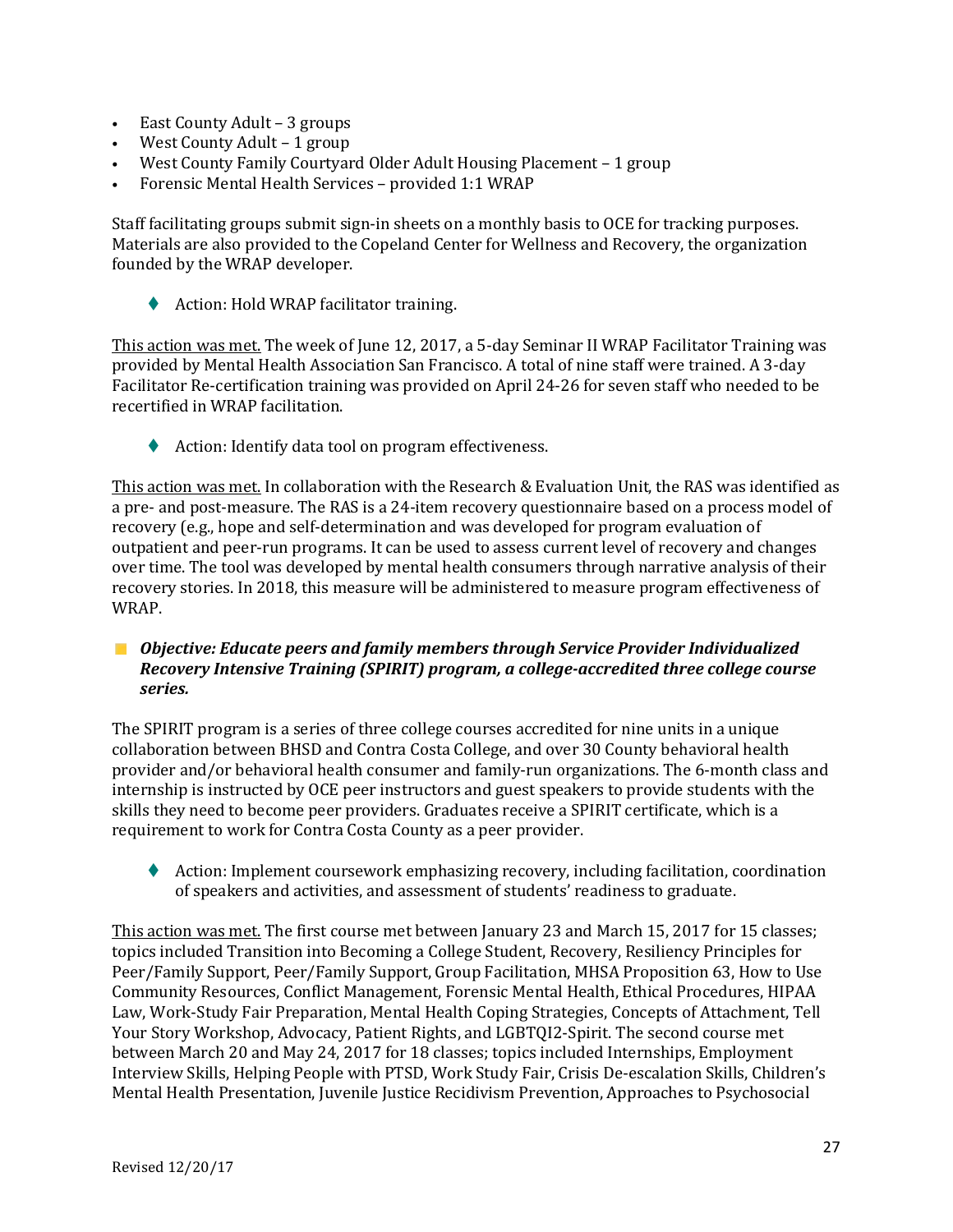- East County Adult 3 groups
- West County Adult 1 group
- West County Family Courtyard Older Adult Housing Placement 1 group
- Forensic Mental Health Services provided 1:1 WRAP

Staff facilitating groups submit sign-in sheets on a monthly basis to OCE for tracking purposes. Materials are also provided to the Copeland Center for Wellness and Recovery, the organization founded by the WRAP developer.

◆ Action: Hold WRAP facilitator training.

This action was met. The week of June 12, 2017, a 5-day Seminar II WRAP Facilitator Training was provided by Mental Health Association San Francisco. A total of nine staff were trained. A 3-day Facilitator Re-certification training was provided on April 24-26 for seven staff who needed to be recertified in WRAP facilitation.

◆ Action: Identify data tool on program effectiveness.

This action was met. In collaboration with the Research & Evaluation Unit, the RAS was identified as a pre- and post-measure. The RAS is a 24-item recovery questionnaire based on a process model of recovery (e.g., hope and self-determination and was developed for program evaluation of outpatient and peer-run programs. It can be used to assess current level of recovery and changes over time. The tool was developed by mental health consumers through narrative analysis of their recovery stories. In 2018, this measure will be administered to measure program effectiveness of WRAP.

## *Objective: Educate peers and family members through Service Provider Individualized Recovery Intensive Training (SPIRIT) program, a college-accredited three college course series.*

The SPIRIT program is a series of three college courses accredited for nine units in a unique collaboration between BHSD and Contra Costa College, and over 30 County behavioral health provider and/or behavioral health consumer and family-run organizations. The 6-month class and internship is instructed by OCE peer instructors and guest speakers to provide students with the skills they need to become peer providers. Graduates receive a SPIRIT certificate, which is a requirement to work for Contra Costa County as a peer provider.

 Action: Implement coursework emphasizing recovery, including facilitation, coordination of speakers and activities, and assessment of students' readiness to graduate.

This action was met. The first course met between January 23 and March 15, 2017 for 15 classes; topics included Transition into Becoming a College Student, Recovery, Resiliency Principles for Peer/Family Support, Peer/Family Support, Group Facilitation, MHSA Proposition 63, How to Use Community Resources, Conflict Management, Forensic Mental Health, Ethical Procedures, HIPAA Law, Work-Study Fair Preparation, Mental Health Coping Strategies, Concepts of Attachment, Tell Your Story Workshop, Advocacy, Patient Rights, and LGBTQI2-Spirit. The second course met between March 20 and May 24, 2017 for 18 classes; topics included Internships, Employment Interview Skills, Helping People with PTSD, Work Study Fair, Crisis De-escalation Skills, Children's Mental Health Presentation, Juvenile Justice Recidivism Prevention, Approaches to Psychosocial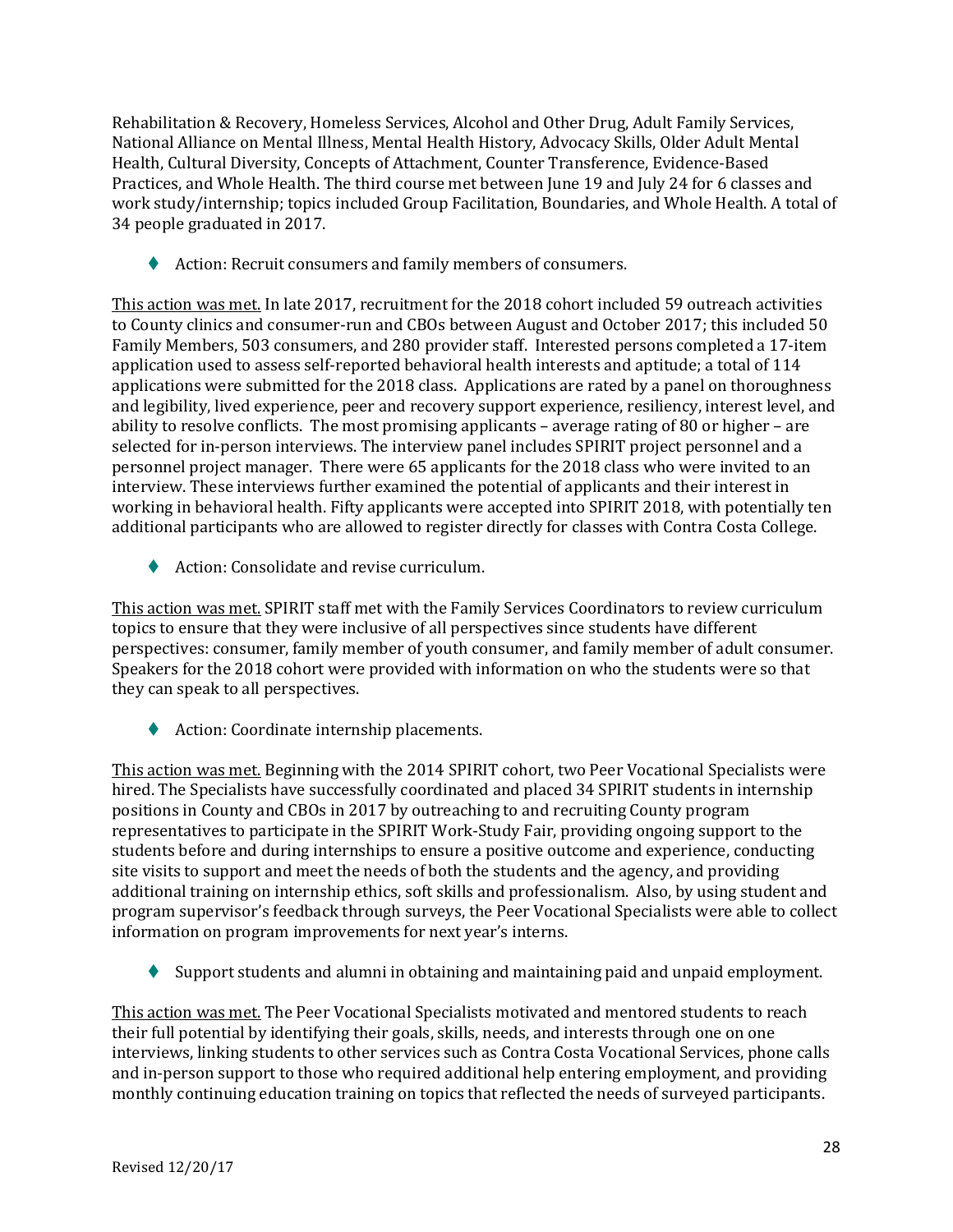Rehabilitation & Recovery, Homeless Services, Alcohol and Other Drug, Adult Family Services, National Alliance on Mental Illness, Mental Health History, Advocacy Skills, Older Adult Mental Health, Cultural Diversity, Concepts of Attachment, Counter Transference, Evidence-Based Practices, and Whole Health. The third course met between June 19 and July 24 for 6 classes and work study/internship; topics included Group Facilitation, Boundaries, and Whole Health. A total of 34 people graduated in 2017.

◆ Action: Recruit consumers and family members of consumers.

This action was met. In late 2017, recruitment for the 2018 cohort included 59 outreach activities to County clinics and consumer-run and CBOs between August and October 2017; this included 50 Family Members, 503 consumers, and 280 provider staff. Interested persons completed a 17-item application used to assess self-reported behavioral health interests and aptitude; a total of 114 applications were submitted for the 2018 class. Applications are rated by a panel on thoroughness and legibility, lived experience, peer and recovery support experience, resiliency, interest level, and ability to resolve conflicts. The most promising applicants – average rating of 80 or higher – are selected for in-person interviews. The interview panel includes SPIRIT project personnel and a personnel project manager. There were 65 applicants for the 2018 class who were invited to an interview. These interviews further examined the potential of applicants and their interest in working in behavioral health. Fifty applicants were accepted into SPIRIT 2018, with potentially ten additional participants who are allowed to register directly for classes with Contra Costa College.

◆ Action: Consolidate and revise curriculum.

This action was met. SPIRIT staff met with the Family Services Coordinators to review curriculum topics to ensure that they were inclusive of all perspectives since students have different perspectives: consumer, family member of youth consumer, and family member of adult consumer. Speakers for the 2018 cohort were provided with information on who the students were so that they can speak to all perspectives.

◆ Action: Coordinate internship placements.

This action was met. Beginning with the 2014 SPIRIT cohort, two Peer Vocational Specialists were hired. The Specialists have successfully coordinated and placed 34 SPIRIT students in internship positions in County and CBOs in 2017 by outreaching to and recruiting County program representatives to participate in the SPIRIT Work-Study Fair, providing ongoing support to the students before and during internships to ensure a positive outcome and experience, conducting site visits to support and meet the needs of both the students and the agency, and providing additional training on internship ethics, soft skills and professionalism. Also, by using student and program supervisor's feedback through surveys, the Peer Vocational Specialists were able to collect information on program improvements for next year's interns.

Support students and alumni in obtaining and maintaining paid and unpaid employment.

This action was met. The Peer Vocational Specialists motivated and mentored students to reach their full potential by identifying their goals, skills, needs, and interests through one on one interviews, linking students to other services such as Contra Costa Vocational Services, phone calls and in-person support to those who required additional help entering employment, and providing monthly continuing education training on topics that reflected the needs of surveyed participants.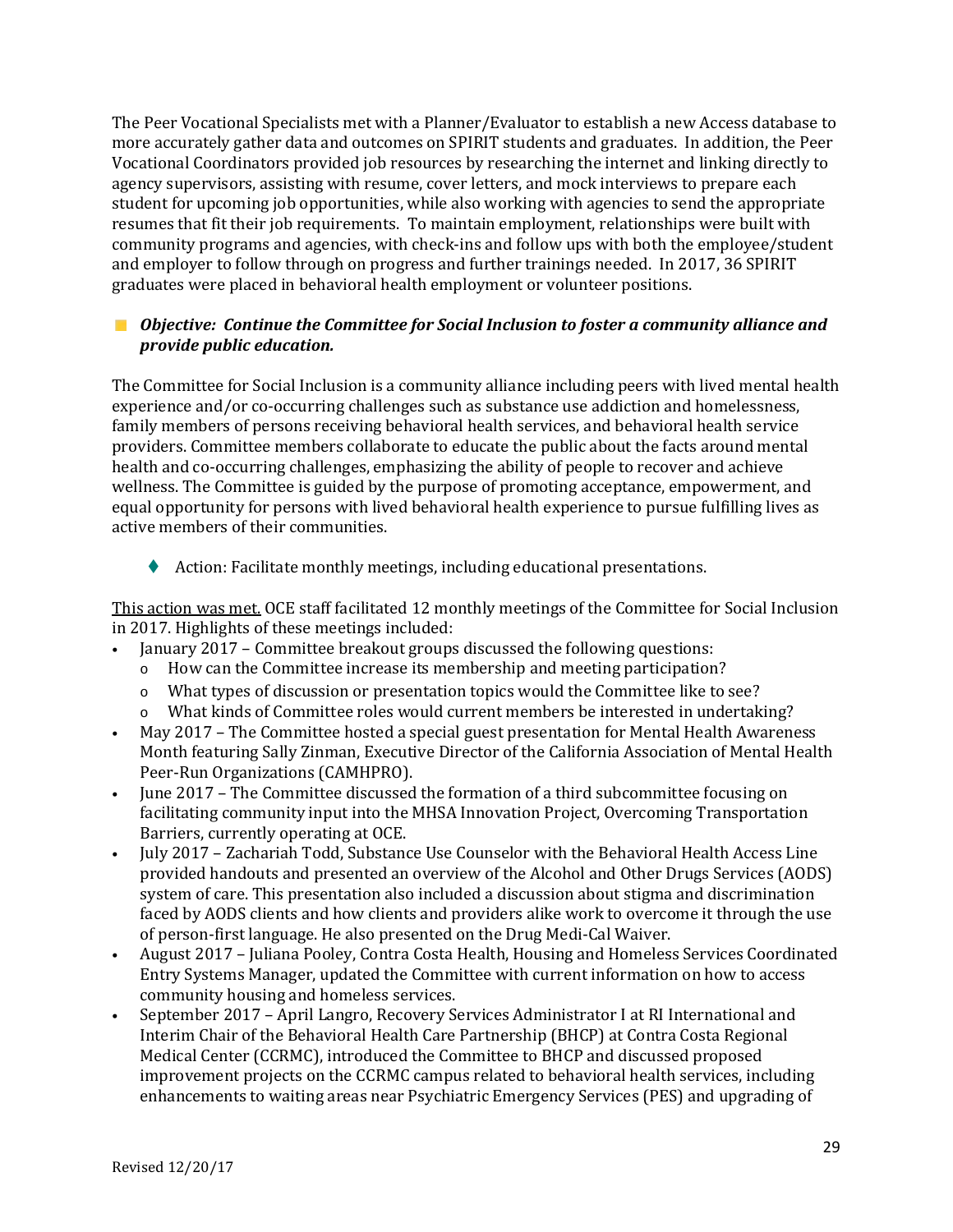The Peer Vocational Specialists met with a Planner/Evaluator to establish a new Access database to more accurately gather data and outcomes on SPIRIT students and graduates. In addition, the Peer Vocational Coordinators provided job resources by researching the internet and linking directly to agency supervisors, assisting with resume, cover letters, and mock interviews to prepare each student for upcoming job opportunities, while also working with agencies to send the appropriate resumes that fit their job requirements. To maintain employment, relationships were built with community programs and agencies, with check-ins and follow ups with both the employee/student and employer to follow through on progress and further trainings needed. In 2017, 36 SPIRIT graduates were placed in behavioral health employment or volunteer positions.

## *Objective: Continue the Committee for Social Inclusion to foster a community alliance and provide public education.*

The Committee for Social Inclusion is a community alliance including peers with lived mental health experience and/or co-occurring challenges such as substance use addiction and homelessness, family members of persons receiving behavioral health services, and behavioral health service providers. Committee members collaborate to educate the public about the facts around mental health and co-occurring challenges, emphasizing the ability of people to recover and achieve wellness. The Committee is guided by the purpose of promoting acceptance, empowerment, and equal opportunity for persons with lived behavioral health experience to pursue fulfilling lives as active members of their communities.

Action: Facilitate monthly meetings, including educational presentations.

This action was met. OCE staff facilitated 12 monthly meetings of the Committee for Social Inclusion in 2017. Highlights of these meetings included:

- January 2017 Committee breakout groups discussed the following questions:
	- o How can the Committee increase its membership and meeting participation?
	- o What types of discussion or presentation topics would the Committee like to see?
	- o What kinds of Committee roles would current members be interested in undertaking?
- May 2017 The Committee hosted a special guest presentation for Mental Health Awareness Month featuring Sally Zinman, Executive Director of the California Association of Mental Health Peer-Run Organizations (CAMHPRO).
- June 2017 The Committee discussed the formation of a third subcommittee focusing on facilitating community input into the MHSA Innovation Project, Overcoming Transportation Barriers, currently operating at OCE.
- July 2017 Zachariah Todd, Substance Use Counselor with the Behavioral Health Access Line provided handouts and presented an overview of the Alcohol and Other Drugs Services (AODS) system of care. This presentation also included a discussion about stigma and discrimination faced by AODS clients and how clients and providers alike work to overcome it through the use of person-first language. He also presented on the Drug Medi-Cal Waiver.
- August 2017 Juliana Pooley, Contra Costa Health, Housing and Homeless Services Coordinated Entry Systems Manager, updated the Committee with current information on how to access community housing and homeless services.
- September 2017 April Langro, Recovery Services Administrator I at RI International and Interim Chair of the Behavioral Health Care Partnership (BHCP) at Contra Costa Regional Medical Center (CCRMC), introduced the Committee to BHCP and discussed proposed improvement projects on the CCRMC campus related to behavioral health services, including enhancements to waiting areas near Psychiatric Emergency Services (PES) and upgrading of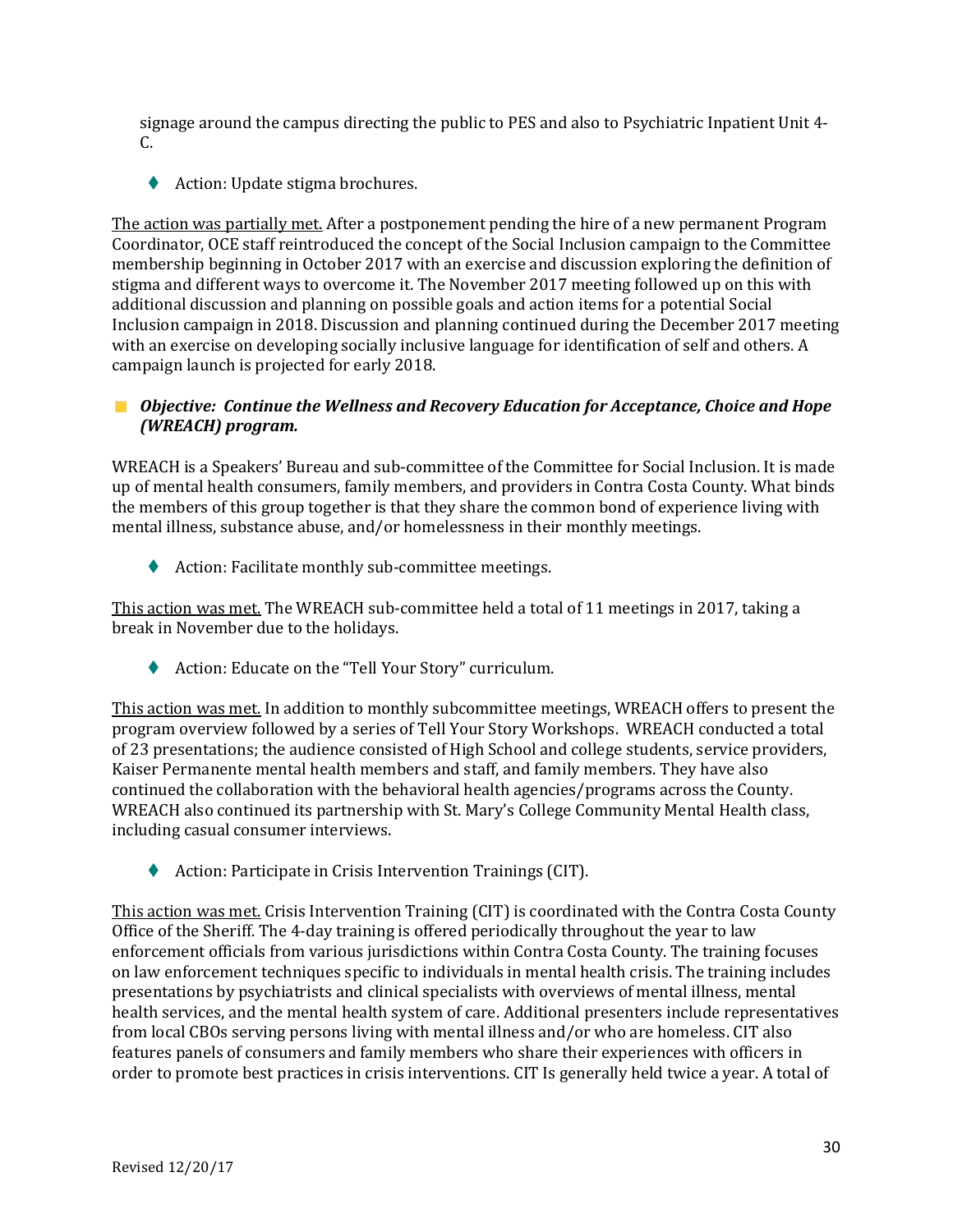signage around the campus directing the public to PES and also to Psychiatric Inpatient Unit 4- C.

◆ Action: Update stigma brochures.

The action was partially met. After a postponement pending the hire of a new permanent Program Coordinator, OCE staff reintroduced the concept of the Social Inclusion campaign to the Committee membership beginning in October 2017 with an exercise and discussion exploring the definition of stigma and different ways to overcome it. The November 2017 meeting followed up on this with additional discussion and planning on possible goals and action items for a potential Social Inclusion campaign in 2018. Discussion and planning continued during the December 2017 meeting with an exercise on developing socially inclusive language for identification of self and others. A campaign launch is projected for early 2018.

## *Objective: Continue the Wellness and Recovery Education for Acceptance, Choice and Hope (WREACH) program.*

WREACH is a Speakers' Bureau and sub-committee of the Committee for Social Inclusion. It is made up of mental health consumers, family members, and providers in Contra Costa County. What binds the members of this group together is that they share the common bond of experience living with mental illness, substance abuse, and/or homelessness in their monthly meetings.

◆ Action: Facilitate monthly sub-committee meetings.

This action was met. The WREACH sub-committee held a total of 11 meetings in 2017, taking a break in November due to the holidays.

◆ Action: Educate on the "Tell Your Story" curriculum.

This action was met. In addition to monthly subcommittee meetings, WREACH offers to present the program overview followed by a series of Tell Your Story Workshops. WREACH conducted a total of 23 presentations; the audience consisted of High School and college students, service providers, Kaiser Permanente mental health members and staff, and family members. They have also continued the collaboration with the behavioral health agencies/programs across the County. WREACH also continued its partnership with St. Mary's College Community Mental Health class, including casual consumer interviews.

◆ Action: Participate in Crisis Intervention Trainings (CIT).

This action was met. Crisis Intervention Training (CIT) is coordinated with the Contra Costa County Office of the Sheriff. The 4-day training is offered periodically throughout the year to law enforcement officials from various jurisdictions within Contra Costa County. The training focuses on law enforcement techniques specific to individuals in mental health crisis. The training includes presentations by psychiatrists and clinical specialists with overviews of mental illness, mental health services, and the mental health system of care. Additional presenters include representatives from local CBOs serving persons living with mental illness and/or who are homeless. CIT also features panels of consumers and family members who share their experiences with officers in order to promote best practices in crisis interventions. CIT Is generally held twice a year. A total of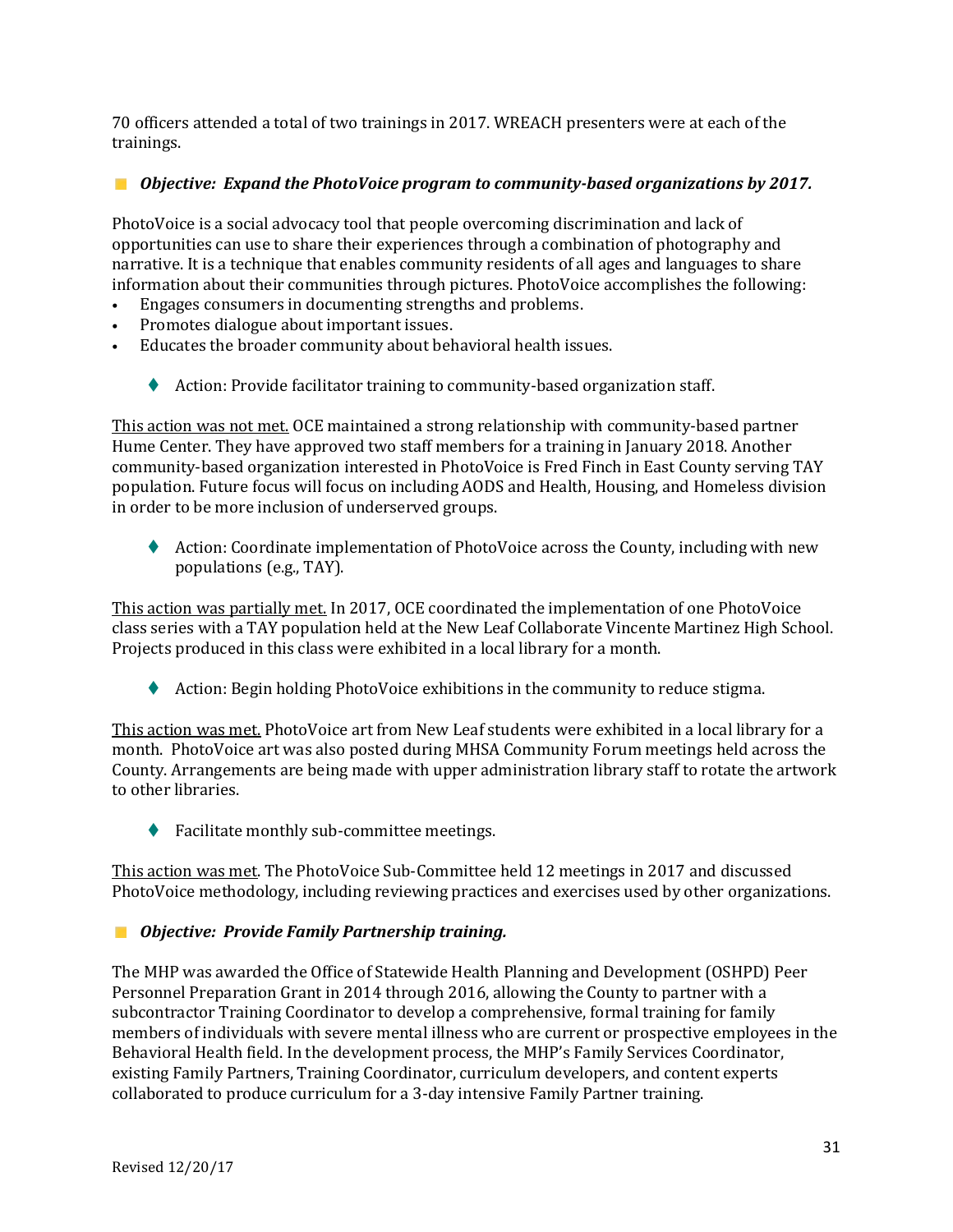70 officers attended a total of two trainings in 2017. WREACH presenters were at each of the trainings.

## *Objective: Expand the PhotoVoice program to community-based organizations by 2017.*

PhotoVoice is a social advocacy tool that people overcoming discrimination and lack of opportunities can use to share their experiences through a combination of photography and narrative. It is a technique that enables community residents of all ages and languages to share information about their communities through pictures. PhotoVoice accomplishes the following:

- Engages consumers in documenting strengths and problems.
- Promotes dialogue about important issues.
- Educates the broader community about behavioral health issues.
	- ◆ Action: Provide facilitator training to community-based organization staff.

This action was not met. OCE maintained a strong relationship with community-based partner Hume Center. They have approved two staff members for a training in January 2018. Another community-based organization interested in PhotoVoice is Fred Finch in East County serving TAY population. Future focus will focus on including AODS and Health, Housing, and Homeless division in order to be more inclusion of underserved groups.

◆ Action: Coordinate implementation of PhotoVoice across the County, including with new populations (e.g., TAY).

This action was partially met. In 2017, OCE coordinated the implementation of one PhotoVoice class series with a TAY population held at the New Leaf Collaborate Vincente Martinez High School. Projects produced in this class were exhibited in a local library for a month.

Action: Begin holding PhotoVoice exhibitions in the community to reduce stigma.

This action was met. PhotoVoice art from New Leaf students were exhibited in a local library for a month. PhotoVoice art was also posted during MHSA Community Forum meetings held across the County. Arrangements are being made with upper administration library staff to rotate the artwork to other libraries.

◆ Facilitate monthly sub-committee meetings.

This action was met. The PhotoVoice Sub-Committee held 12 meetings in 2017 and discussed PhotoVoice methodology, including reviewing practices and exercises used by other organizations.

## *Objective: Provide Family Partnership training.*

The MHP was awarded the Office of Statewide Health Planning and Development (OSHPD) Peer Personnel Preparation Grant in 2014 through 2016, allowing the County to partner with a subcontractor Training Coordinator to develop a comprehensive, formal training for family members of individuals with severe mental illness who are current or prospective employees in the Behavioral Health field. In the development process, the MHP's Family Services Coordinator, existing Family Partners, Training Coordinator, curriculum developers, and content experts collaborated to produce curriculum for a 3-day intensive Family Partner training.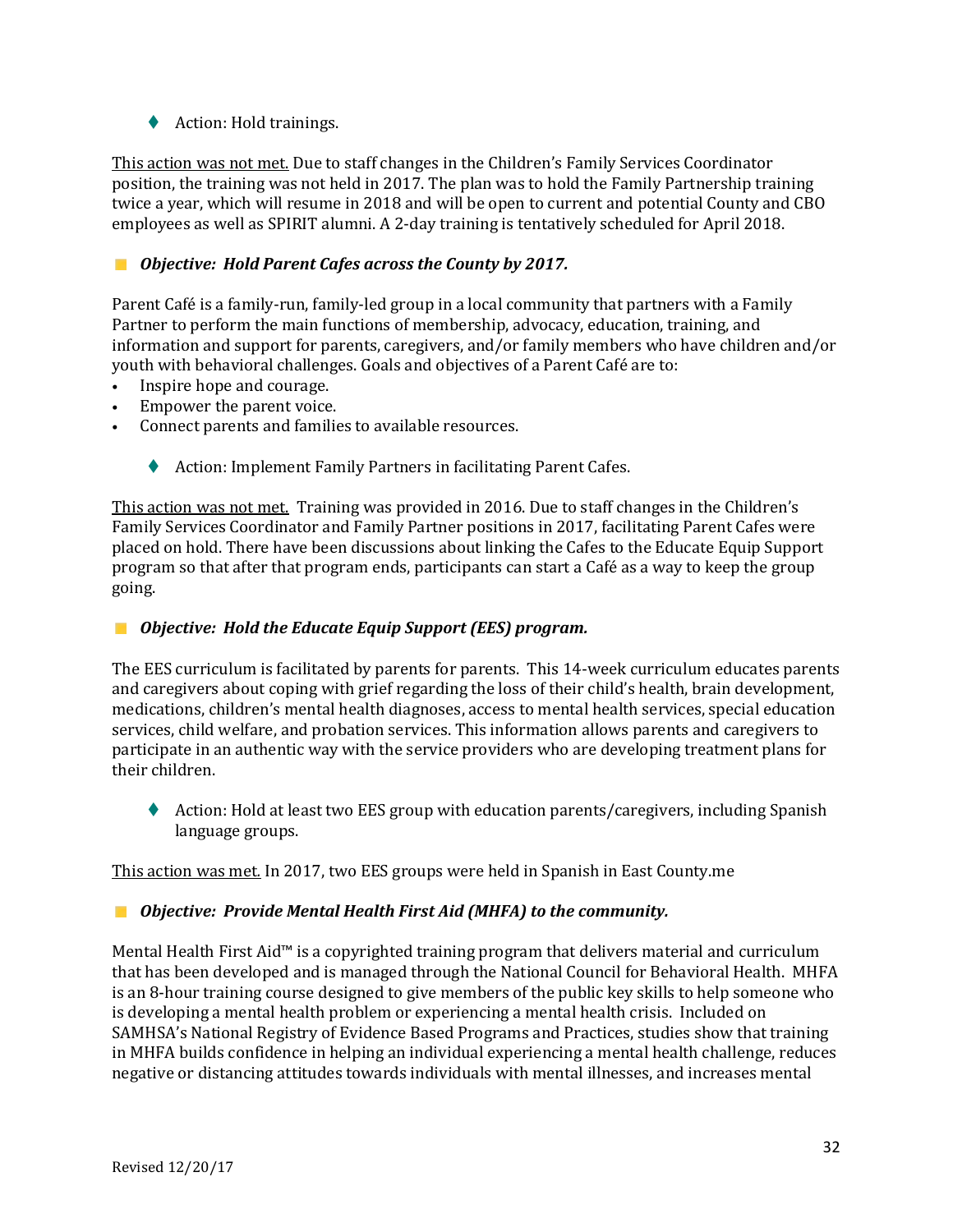◆ Action: Hold trainings.

This action was not met. Due to staff changes in the Children's Family Services Coordinator position, the training was not held in 2017. The plan was to hold the Family Partnership training twice a year, which will resume in 2018 and will be open to current and potential County and CBO employees as well as SPIRIT alumni. A 2-day training is tentatively scheduled for April 2018.

## *Objective: Hold Parent Cafes across the County by 2017.*

Parent Café is a family-run, family-led group in a local community that partners with a Family Partner to perform the main functions of membership, advocacy, education, training, and information and support for parents, caregivers, and/or family members who have children and/or youth with behavioral challenges. Goals and objectives of a Parent Café are to:

- Inspire hope and courage.
- Empower the parent voice.
- Connect parents and families to available resources.
	- ◆ Action: Implement Family Partners in facilitating Parent Cafes.

This action was not met. Training was provided in 2016. Due to staff changes in the Children's Family Services Coordinator and Family Partner positions in 2017, facilitating Parent Cafes were placed on hold. There have been discussions about linking the Cafes to the Educate Equip Support program so that after that program ends, participants can start a Café as a way to keep the group going.

#### $\mathcal{L}^{\mathcal{A}}$ *Objective: Hold the Educate Equip Support (EES) program.*

The EES curriculum is facilitated by parents for parents. This 14-week curriculum educates parents and caregivers about coping with grief regarding the loss of their child's health, brain development, medications, children's mental health diagnoses, access to mental health services, special education services, child welfare, and probation services. This information allows parents and caregivers to participate in an authentic way with the service providers who are developing treatment plans for their children.

◆ Action: Hold at least two EES group with education parents/caregivers, including Spanish language groups.

This action was met*.* In 2017, two EES groups were held in Spanish in East County.me

## *Objective: Provide Mental Health First Aid (MHFA) to the community.*

Mental Health First Aid™ is a copyrighted training program that delivers material and curriculum that has been developed and is managed through the National Council for Behavioral Health. MHFA is an 8-hour training course designed to give members of the public key skills to help someone who is developing a mental health problem or experiencing a mental health crisis. Included on SAMHSA's National Registry of Evidence Based Programs and Practices, studies show that training in MHFA builds confidence in helping an individual experiencing a mental health challenge, reduces negative or distancing attitudes towards individuals with mental illnesses, and increases mental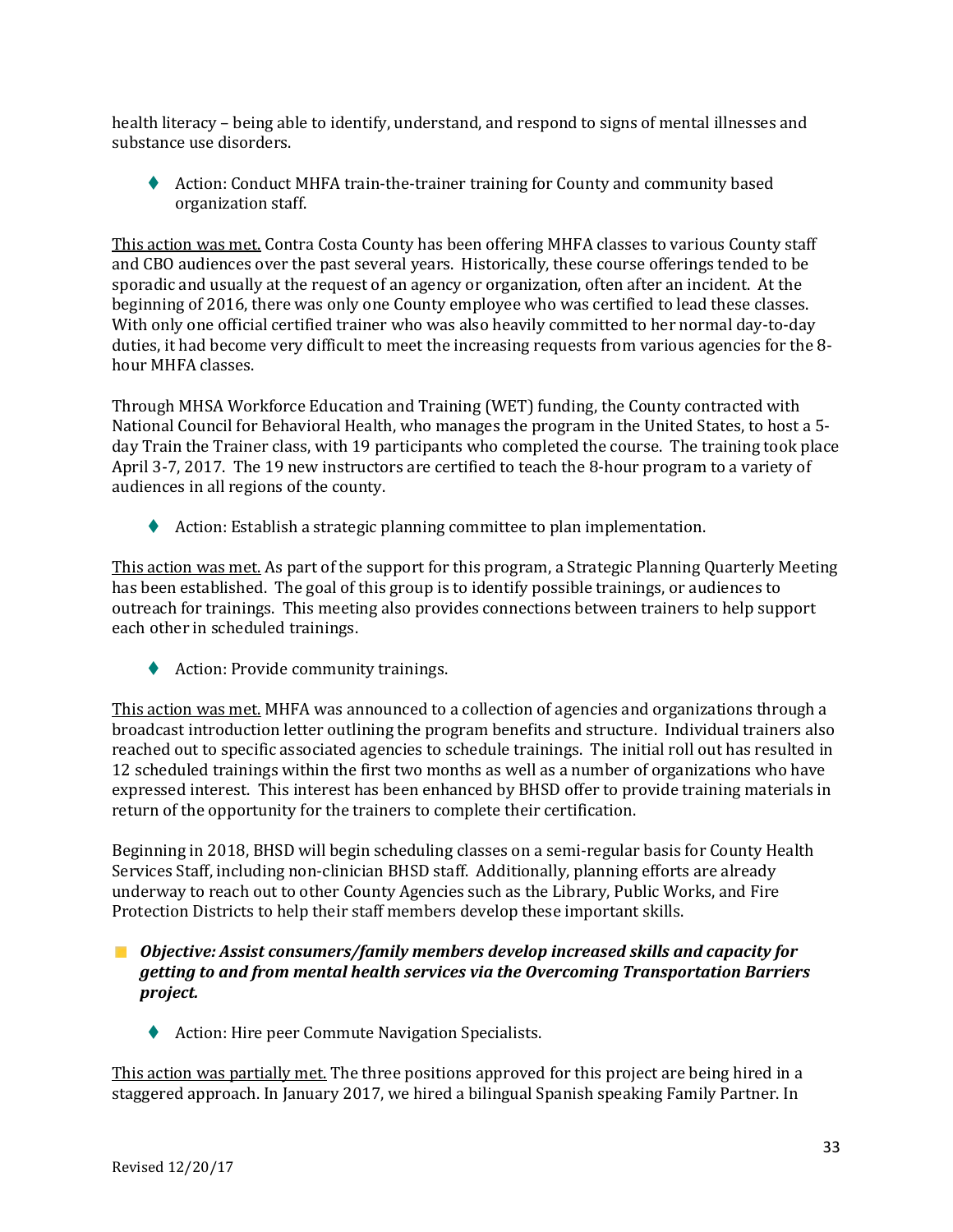health literacy – being able to identify, understand, and respond to signs of mental illnesses and substance use disorders.

◆ Action: Conduct MHFA train-the-trainer training for County and community based organization staff.

This action was met. Contra Costa County has been offering MHFA classes to various County staff and CBO audiences over the past several years. Historically, these course offerings tended to be sporadic and usually at the request of an agency or organization, often after an incident. At the beginning of 2016, there was only one County employee who was certified to lead these classes. With only one official certified trainer who was also heavily committed to her normal day-to-day duties, it had become very difficult to meet the increasing requests from various agencies for the 8 hour MHFA classes.

Through MHSA Workforce Education and Training (WET) funding, the County contracted with National Council for Behavioral Health, who manages the program in the United States, to host a 5 day Train the Trainer class, with 19 participants who completed the course. The training took place April 3-7, 2017. The 19 new instructors are certified to teach the 8-hour program to a variety of audiences in all regions of the county.

◆ Action: Establish a strategic planning committee to plan implementation.

This action was met. As part of the support for this program, a Strategic Planning Quarterly Meeting has been established. The goal of this group is to identify possible trainings, or audiences to outreach for trainings. This meeting also provides connections between trainers to help support each other in scheduled trainings.

◆ Action: Provide community trainings.

This action was met. MHFA was announced to a collection of agencies and organizations through a broadcast introduction letter outlining the program benefits and structure. Individual trainers also reached out to specific associated agencies to schedule trainings. The initial roll out has resulted in 12 scheduled trainings within the first two months as well as a number of organizations who have expressed interest. This interest has been enhanced by BHSD offer to provide training materials in return of the opportunity for the trainers to complete their certification.

Beginning in 2018, BHSD will begin scheduling classes on a semi-regular basis for County Health Services Staff, including non-clinician BHSD staff. Additionally, planning efforts are already underway to reach out to other County Agencies such as the Library, Public Works, and Fire Protection Districts to help their staff members develop these important skills.

## *Objective: Assist consumers/family members develop increased skills and capacity for getting to and from mental health services via the Overcoming Transportation Barriers project.*

◆ Action: Hire peer Commute Navigation Specialists.

This action was partially met. The three positions approved for this project are being hired in a staggered approach. In January 2017, we hired a bilingual Spanish speaking Family Partner. In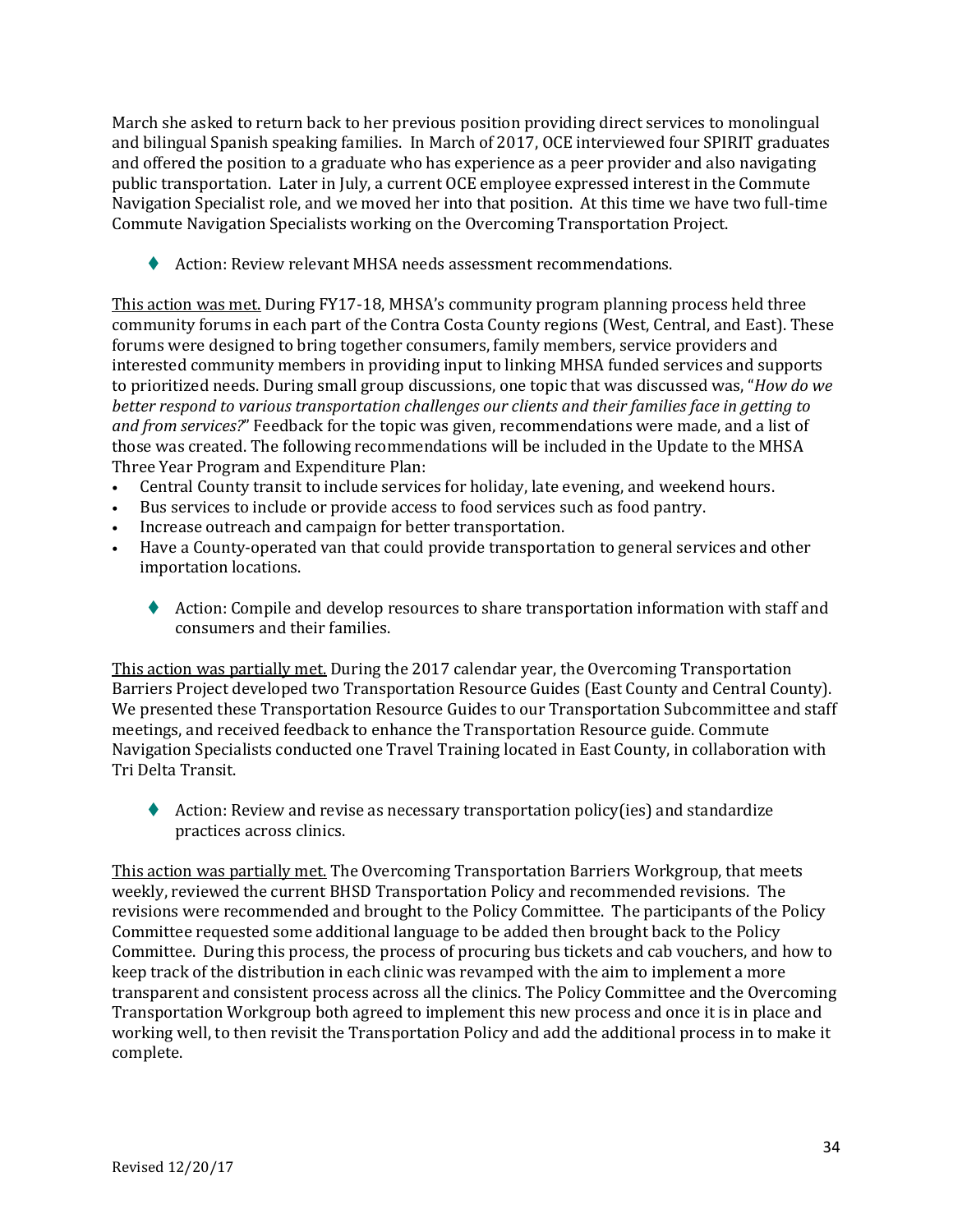March she asked to return back to her previous position providing direct services to monolingual and bilingual Spanish speaking families. In March of 2017, OCE interviewed four SPIRIT graduates and offered the position to a graduate who has experience as a peer provider and also navigating public transportation. Later in July, a current OCE employee expressed interest in the Commute Navigation Specialist role, and we moved her into that position. At this time we have two full-time Commute Navigation Specialists working on the Overcoming Transportation Project.

Action: Review relevant MHSA needs assessment recommendations.

This action was met. During FY17-18, MHSA's community program planning process held three community forums in each part of the Contra Costa County regions (West, Central, and East). These forums were designed to bring together consumers, family members, service providers and interested community members in providing input to linking MHSA funded services and supports to prioritized needs. During small group discussions, one topic that was discussed was, "*How do we better respond to various transportation challenges our clients and their families face in getting to and from services?*" Feedback for the topic was given, recommendations were made, and a list of those was created. The following recommendations will be included in the Update to the MHSA Three Year Program and Expenditure Plan:

- Central County transit to include services for holiday, late evening, and weekend hours.
- Bus services to include or provide access to food services such as food pantry.
- Increase outreach and campaign for better transportation.
- Have a County-operated van that could provide transportation to general services and other importation locations.
	- Action: Compile and develop resources to share transportation information with staff and consumers and their families.

This action was partially met. During the 2017 calendar year, the Overcoming Transportation Barriers Project developed two Transportation Resource Guides (East County and Central County). We presented these Transportation Resource Guides to our Transportation Subcommittee and staff meetings, and received feedback to enhance the Transportation Resource guide. Commute Navigation Specialists conducted one Travel Training located in East County, in collaboration with Tri Delta Transit.

Action: Review and revise as necessary transportation policy(ies) and standardize practices across clinics.

This action was partially met. The Overcoming Transportation Barriers Workgroup, that meets weekly, reviewed the current BHSD Transportation Policy and recommended revisions. The revisions were recommended and brought to the Policy Committee. The participants of the Policy Committee requested some additional language to be added then brought back to the Policy Committee. During this process, the process of procuring bus tickets and cab vouchers, and how to keep track of the distribution in each clinic was revamped with the aim to implement a more transparent and consistent process across all the clinics. The Policy Committee and the Overcoming Transportation Workgroup both agreed to implement this new process and once it is in place and working well, to then revisit the Transportation Policy and add the additional process in to make it complete.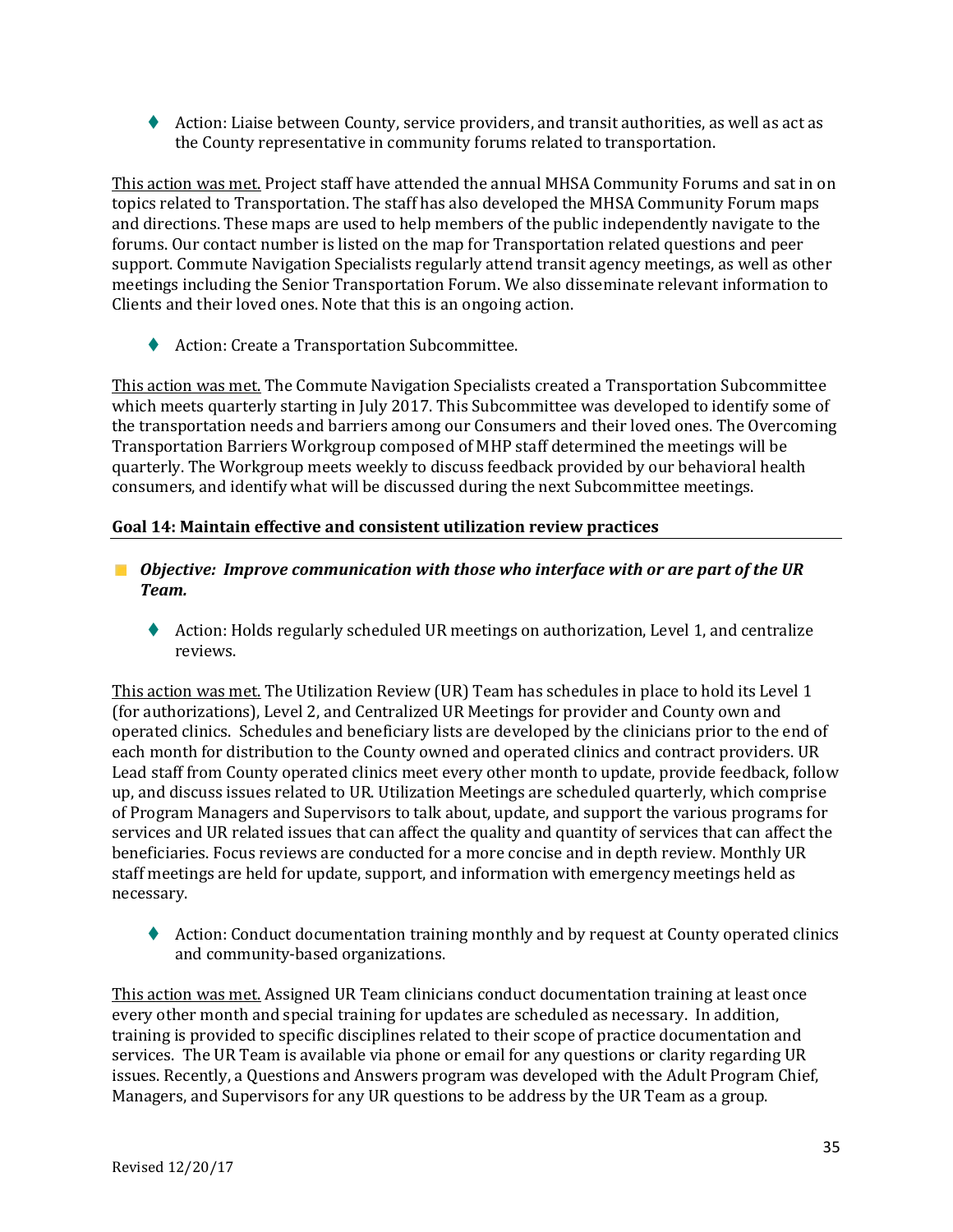Action: Liaise between County, service providers, and transit authorities, as well as act as the County representative in community forums related to transportation.

This action was met. Project staff have attended the annual MHSA Community Forums and sat in on topics related to Transportation. The staff has also developed the MHSA Community Forum maps and directions. These maps are used to help members of the public independently navigate to the forums. Our contact number is listed on the map for Transportation related questions and peer support. Commute Navigation Specialists regularly attend transit agency meetings, as well as other meetings including the Senior Transportation Forum. We also disseminate relevant information to Clients and their loved ones. Note that this is an ongoing action.

◆ Action: Create a Transportation Subcommittee.

This action was met. The Commute Navigation Specialists created a Transportation Subcommittee which meets quarterly starting in July 2017. This Subcommittee was developed to identify some of the transportation needs and barriers among our Consumers and their loved ones. The Overcoming Transportation Barriers Workgroup composed of MHP staff determined the meetings will be quarterly. The Workgroup meets weekly to discuss feedback provided by our behavioral health consumers, and identify what will be discussed during the next Subcommittee meetings.

## **Goal 14: Maintain effective and consistent utilization review practices**

- *Objective: Improve communication with those who interface with or are part of the UR Team.*
	- ◆ Action: Holds regularly scheduled UR meetings on authorization, Level 1, and centralize reviews.

This action was met. The Utilization Review (UR) Team has schedules in place to hold its Level 1 (for authorizations), Level 2, and Centralized UR Meetings for provider and County own and operated clinics. Schedules and beneficiary lists are developed by the clinicians prior to the end of each month for distribution to the County owned and operated clinics and contract providers. UR Lead staff from County operated clinics meet every other month to update, provide feedback, follow up, and discuss issues related to UR. Utilization Meetings are scheduled quarterly, which comprise of Program Managers and Supervisors to talk about, update, and support the various programs for services and UR related issues that can affect the quality and quantity of services that can affect the beneficiaries. Focus reviews are conducted for a more concise and in depth review. Monthly UR staff meetings are held for update, support, and information with emergency meetings held as necessary.

♦ Action: Conduct documentation training monthly and by request at County operated clinics and community-based organizations.

This action was met. Assigned UR Team clinicians conduct documentation training at least once every other month and special training for updates are scheduled as necessary. In addition, training is provided to specific disciplines related to their scope of practice documentation and services. The UR Team is available via phone or email for any questions or clarity regarding UR issues. Recently, a Questions and Answers program was developed with the Adult Program Chief, Managers, and Supervisors for any UR questions to be address by the UR Team as a group.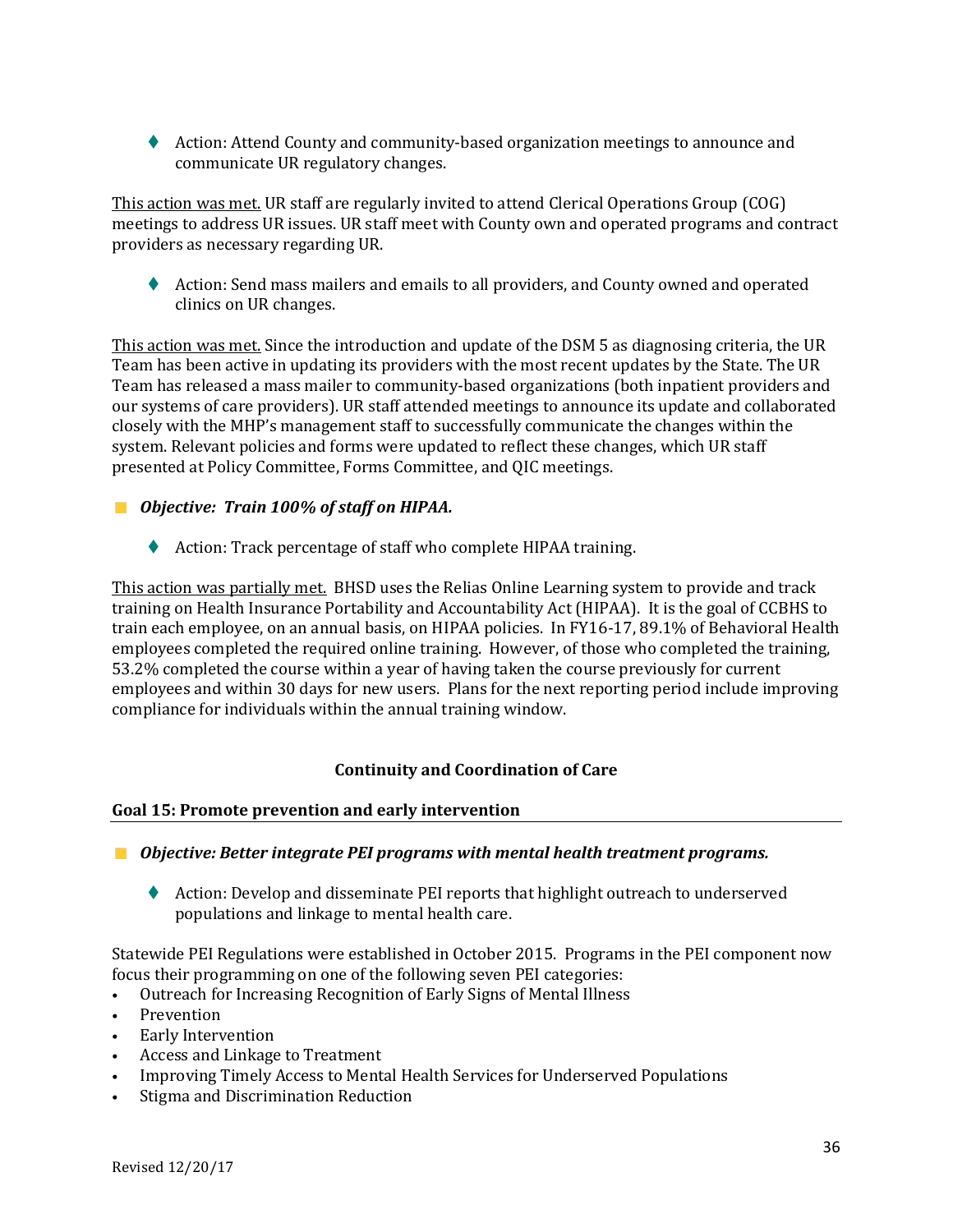Action: Attend County and community-based organization meetings to announce and communicate UR regulatory changes.

This action was met. UR staff are regularly invited to attend Clerical Operations Group (COG) meetings to address UR issues. UR staff meet with County own and operated programs and contract providers as necessary regarding UR.

 Action: Send mass mailers and emails to all providers, and County owned and operated clinics on UR changes.

This action was met. Since the introduction and update of the DSM 5 as diagnosing criteria, the UR Team has been active in updating its providers with the most recent updates by the State. The UR Team has released a mass mailer to community-based organizations (both inpatient providers and our systems of care providers). UR staff attended meetings to announce its update and collaborated closely with the MHP's management staff to successfully communicate the changes within the system. Relevant policies and forms were updated to reflect these changes, which UR staff presented at Policy Committee, Forms Committee, and QIC meetings.

## *Objective: Train 100% of staff on HIPAA.*

◆ Action: Track percentage of staff who complete HIPAA training.

This action was partially met. BHSD uses the Relias Online Learning system to provide and track training on Health Insurance Portability and Accountability Act (HIPAA). It is the goal of CCBHS to train each employee, on an annual basis, on HIPAA policies. In FY16-17, 89.1% of Behavioral Health employees completed the required online training. However, of those who completed the training, 53.2% completed the course within a year of having taken the course previously for current employees and within 30 days for new users. Plans for the next reporting period include improving compliance for individuals within the annual training window.

## **Continuity and Coordination of Care**

## **Goal 15: Promote prevention and early intervention**

*Objective: Better integrate PEI programs with mental health treatment programs.*

 Action: Develop and disseminate PEI reports that highlight outreach to underserved populations and linkage to mental health care.

Statewide PEI Regulations were established in October 2015. Programs in the PEI component now focus their programming on one of the following seven PEI categories:<br>• Outreach for Increasing Recognition of Early Signs of Mental Illness

- Outreach for Increasing Recognition of Early Signs of Mental Illness
- **Prevention**
- Early Intervention
- Access and Linkage to Treatment
- Improving Timely Access to Mental Health Services for Underserved Populations
- Stigma and Discrimination Reduction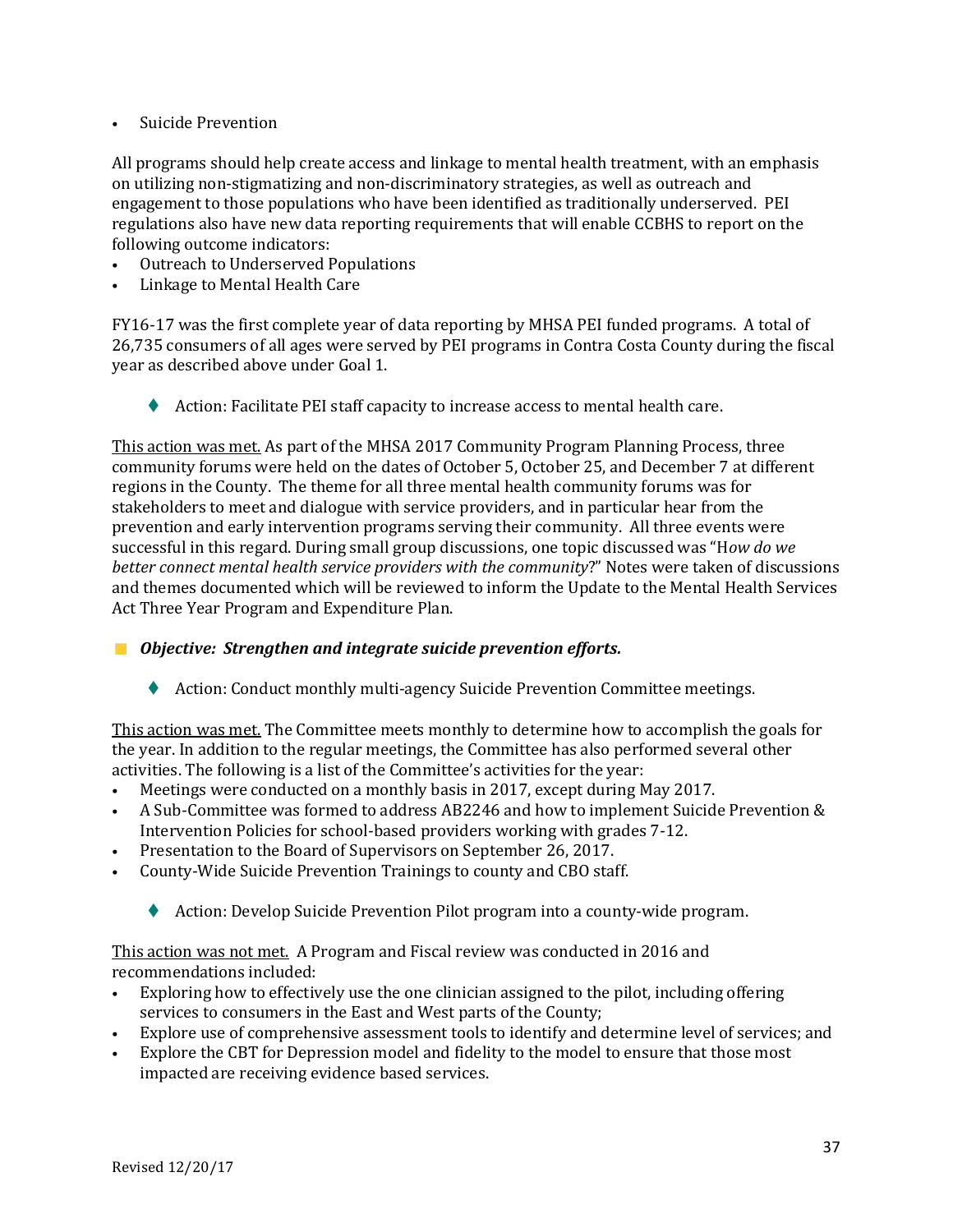• Suicide Prevention

All programs should help create access and linkage to mental health treatment, with an emphasis on utilizing non-stigmatizing and non-discriminatory strategies, as well as outreach and engagement to those populations who have been identified as traditionally underserved. PEI regulations also have new data reporting requirements that will enable CCBHS to report on the following outcome indicators:

- Outreach to Underserved Populations
- Linkage to Mental Health Care

FY16-17 was the first complete year of data reporting by MHSA PEI funded programs. A total of 26,735 consumers of all ages were served by PEI programs in Contra Costa County during the fiscal year as described above under Goal 1.

Action: Facilitate PEI staff capacity to increase access to mental health care.

This action was met. As part of the MHSA 2017 Community Program Planning Process, three community forums were held on the dates of October 5, October 25, and December 7 at different regions in the County. The theme for all three mental health community forums was for stakeholders to meet and dialogue with service providers, and in particular hear from the prevention and early intervention programs serving their community. All three events were successful in this regard. During small group discussions, one topic discussed was "H*ow do we better connect mental health service providers with the community*?" Notes were taken of discussions and themes documented which will be reviewed to inform the Update to the Mental Health Services Act Three Year Program and Expenditure Plan.

## *Objective: Strengthen and integrate suicide prevention efforts.*

Action: Conduct monthly multi-agency Suicide Prevention Committee meetings.

This action was met. The Committee meets monthly to determine how to accomplish the goals for the year. In addition to the regular meetings, the Committee has also performed several other activities. The following is a list of the Committee's activities for the year:

- Meetings were conducted on a monthly basis in 2017, except during May 2017.
- A Sub-Committee was formed to address AB2246 and how to implement Suicide Prevention & Intervention Policies for school-based providers working with grades 7-12.
- Presentation to the Board of Supervisors on September 26, 2017.
- County-Wide Suicide Prevention Trainings to county and CBO staff.
	- Action: Develop Suicide Prevention Pilot program into a county-wide program.

This action was not met. A Program and Fiscal review was conducted in 2016 and recommendations included:

- Exploring how to effectively use the one clinician assigned to the pilot, including offering services to consumers in the East and West parts of the County;
- Explore use of comprehensive assessment tools to identify and determine level of services; and
- Explore the CBT for Depression model and fidelity to the model to ensure that those most impacted are receiving evidence based services.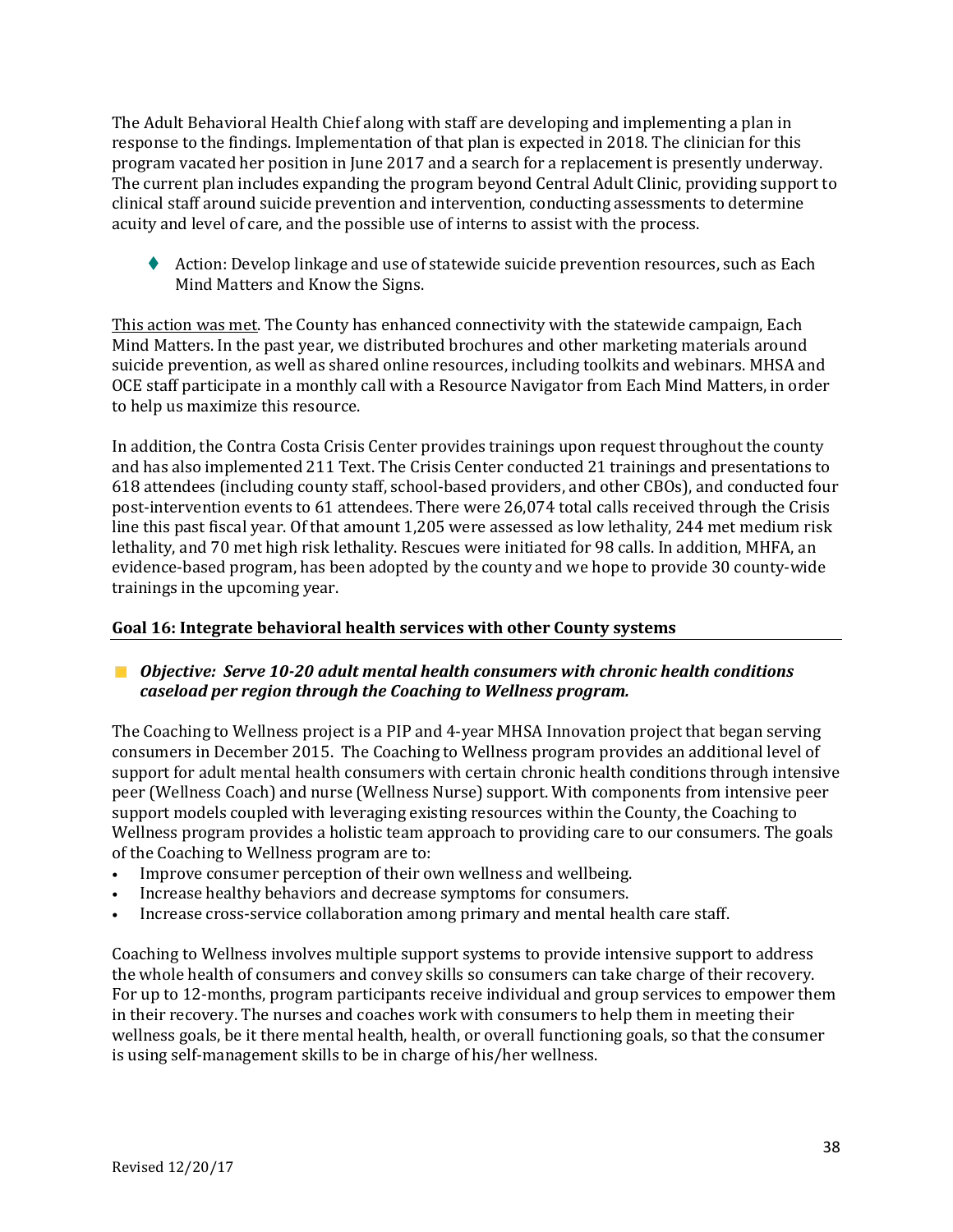The Adult Behavioral Health Chief along with staff are developing and implementing a plan in response to the findings. Implementation of that plan is expected in 2018. The clinician for this program vacated her position in June 2017 and a search for a replacement is presently underway. The current plan includes expanding the program beyond Central Adult Clinic, providing support to clinical staff around suicide prevention and intervention, conducting assessments to determine acuity and level of care, and the possible use of interns to assist with the process.

◆ Action: Develop linkage and use of statewide suicide prevention resources, such as Each Mind Matters and Know the Signs.

This action was met. The County has enhanced connectivity with the statewide campaign, Each Mind Matters. In the past year, we distributed brochures and other marketing materials around suicide prevention, as well as shared online resources, including toolkits and webinars. MHSA and OCE staff participate in a monthly call with a Resource Navigator from Each Mind Matters, in order to help us maximize this resource.

In addition, the Contra Costa Crisis Center provides trainings upon request throughout the county and has also implemented 211 Text. The Crisis Center conducted 21 trainings and presentations to 618 attendees (including county staff, school-based providers, and other CBOs), and conducted four post-intervention events to 61 attendees. There were 26,074 total calls received through the Crisis line this past fiscal year. Of that amount 1,205 were assessed as low lethality, 244 met medium risk lethality, and 70 met high risk lethality. Rescues were initiated for 98 calls. In addition, MHFA, an evidence-based program, has been adopted by the county and we hope to provide 30 county-wide trainings in the upcoming year.

## **Goal 16: Integrate behavioral health services with other County systems**

## *Objective: Serve 10-20 adult mental health consumers with chronic health conditions caseload per region through the Coaching to Wellness program.*

The Coaching to Wellness project is a PIP and 4-year MHSA Innovation project that began serving consumers in December 2015. The Coaching to Wellness program provides an additional level of support for adult mental health consumers with certain chronic health conditions through intensive peer (Wellness Coach) and nurse (Wellness Nurse) support. With components from intensive peer support models coupled with leveraging existing resources within the County, the Coaching to Wellness program provides a holistic team approach to providing care to our consumers. The goals of the Coaching to Wellness program are to:

- Improve consumer perception of their own wellness and wellbeing.
- Increase healthy behaviors and decrease symptoms for consumers.
- Increase cross-service collaboration among primary and mental health care staff.

Coaching to Wellness involves multiple support systems to provide intensive support to address the whole health of consumers and convey skills so consumers can take charge of their recovery. For up to 12-months, program participants receive individual and group services to empower them in their recovery. The nurses and coaches work with consumers to help them in meeting their wellness goals, be it there mental health, health, or overall functioning goals, so that the consumer is using self-management skills to be in charge of his/her wellness.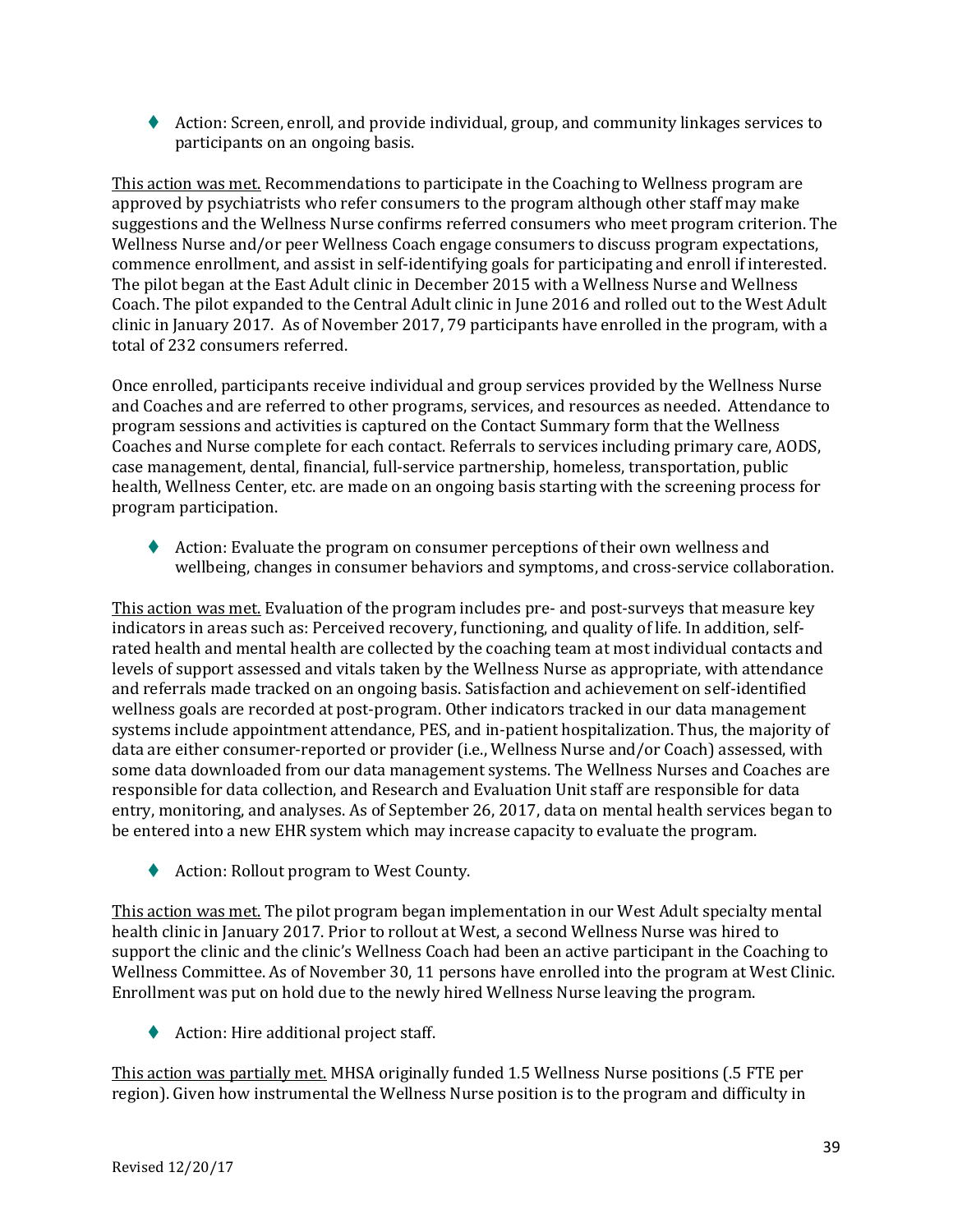Action: Screen, enroll, and provide individual, group, and community linkages services to participants on an ongoing basis.

This action was met. Recommendations to participate in the Coaching to Wellness program are approved by psychiatrists who refer consumers to the program although other staff may make suggestions and the Wellness Nurse confirms referred consumers who meet program criterion. The Wellness Nurse and/or peer Wellness Coach engage consumers to discuss program expectations, commence enrollment, and assist in self-identifying goals for participating and enroll if interested. The pilot began at the East Adult clinic in December 2015 with a Wellness Nurse and Wellness Coach. The pilot expanded to the Central Adult clinic in June 2016 and rolled out to the West Adult clinic in January 2017. As of November 2017, 79 participants have enrolled in the program, with a total of 232 consumers referred.

Once enrolled, participants receive individual and group services provided by the Wellness Nurse and Coaches and are referred to other programs, services, and resources as needed. Attendance to program sessions and activities is captured on the Contact Summary form that the Wellness Coaches and Nurse complete for each contact. Referrals to services including primary care, AODS, case management, dental, financial, full-service partnership, homeless, transportation, public health, Wellness Center, etc. are made on an ongoing basis starting with the screening process for program participation.

◆ Action: Evaluate the program on consumer perceptions of their own wellness and wellbeing, changes in consumer behaviors and symptoms, and cross-service collaboration.

This action was met. Evaluation of the program includes pre- and post-surveys that measure key indicators in areas such as: Perceived recovery, functioning, and quality of life. In addition, selfrated health and mental health are collected by the coaching team at most individual contacts and levels of support assessed and vitals taken by the Wellness Nurse as appropriate, with attendance and referrals made tracked on an ongoing basis. Satisfaction and achievement on self-identified wellness goals are recorded at post-program. Other indicators tracked in our data management systems include appointment attendance, PES, and in-patient hospitalization. Thus, the majority of data are either consumer-reported or provider (i.e., Wellness Nurse and/or Coach) assessed, with some data downloaded from our data management systems. The Wellness Nurses and Coaches are responsible for data collection, and Research and Evaluation Unit staff are responsible for data entry, monitoring, and analyses. As of September 26, 2017, data on mental health services began to be entered into a new EHR system which may increase capacity to evaluate the program.

◆ Action: Rollout program to West County.

This action was met. The pilot program began implementation in our West Adult specialty mental health clinic in January 2017. Prior to rollout at West, a second Wellness Nurse was hired to support the clinic and the clinic's Wellness Coach had been an active participant in the Coaching to Wellness Committee. As of November 30, 11 persons have enrolled into the program at West Clinic. Enrollment was put on hold due to the newly hired Wellness Nurse leaving the program.

◆ Action: Hire additional project staff.

This action was partially met. MHSA originally funded 1.5 Wellness Nurse positions (.5 FTE per region). Given how instrumental the Wellness Nurse position is to the program and difficulty in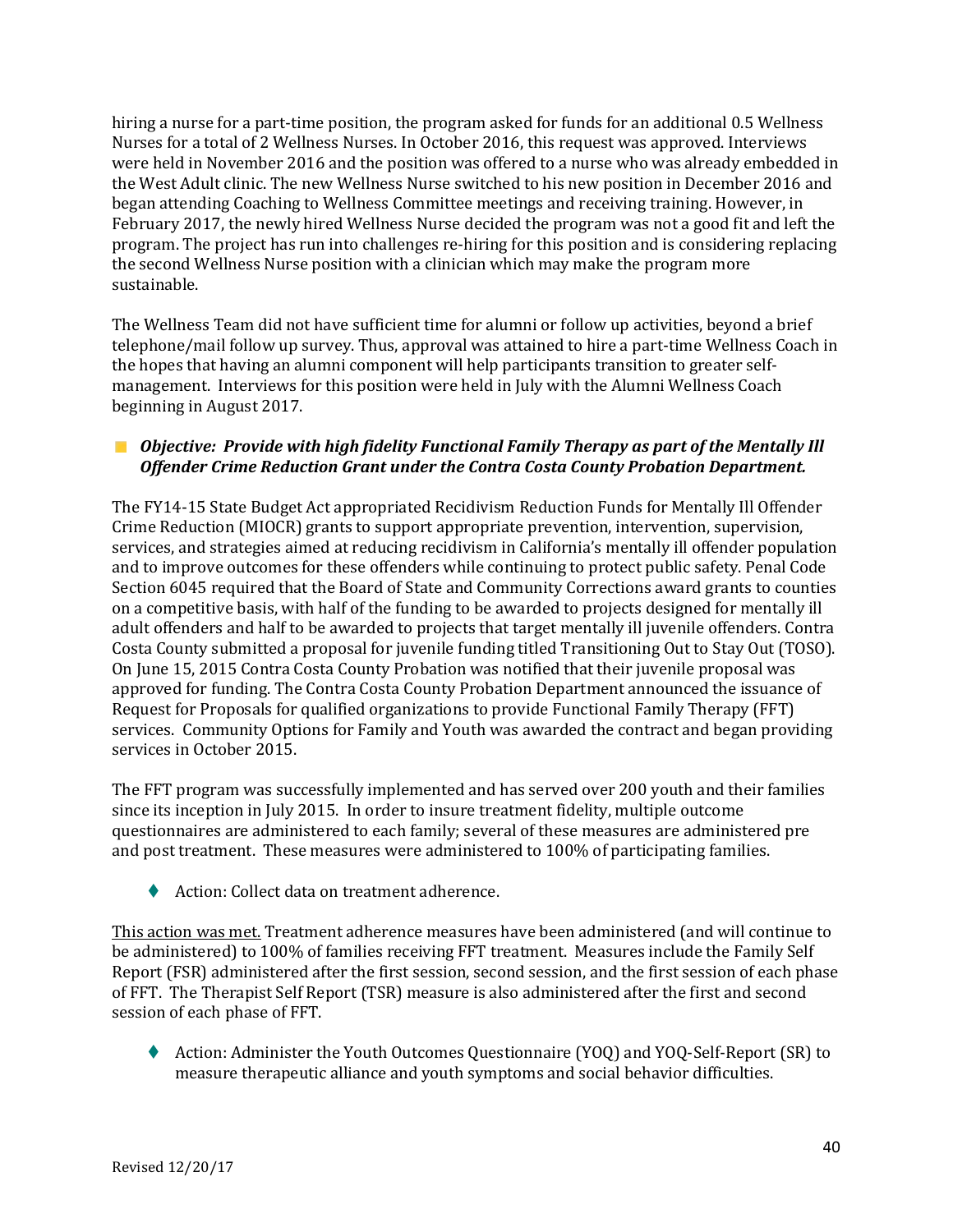hiring a nurse for a part-time position, the program asked for funds for an additional 0.5 Wellness Nurses for a total of 2 Wellness Nurses. In October 2016, this request was approved. Interviews were held in November 2016 and the position was offered to a nurse who was already embedded in the West Adult clinic. The new Wellness Nurse switched to his new position in December 2016 and began attending Coaching to Wellness Committee meetings and receiving training. However, in February 2017, the newly hired Wellness Nurse decided the program was not a good fit and left the program. The project has run into challenges re-hiring for this position and is considering replacing the second Wellness Nurse position with a clinician which may make the program more sustainable.

The Wellness Team did not have sufficient time for alumni or follow up activities, beyond a brief telephone/mail follow up survey. Thus, approval was attained to hire a part-time Wellness Coach in the hopes that having an alumni component will help participants transition to greater selfmanagement. Interviews for this position were held in July with the Alumni Wellness Coach beginning in August 2017.

## *Objective: Provide with high fidelity Functional Family Therapy as part of the Mentally Ill Offender Crime Reduction Grant under the Contra Costa County Probation Department.*

The FY14-15 State Budget Act appropriated Recidivism Reduction Funds for Mentally Ill Offender Crime Reduction (MIOCR) grants to support appropriate prevention, intervention, supervision, services, and strategies aimed at reducing recidivism in California's mentally ill offender population and to improve outcomes for these offenders while continuing to protect public safety. Penal Code Section 6045 required that the Board of State and Community Corrections award grants to counties on a competitive basis, with half of the funding to be awarded to projects designed for mentally ill adult offenders and half to be awarded to projects that target mentally ill juvenile offenders. Contra Costa County submitted a proposal for juvenile funding titled Transitioning Out to Stay Out (TOSO). On June 15, 2015 Contra Costa County Probation was notified that their juvenile proposal was approved for funding. The Contra Costa County Probation Department announced the issuance of Request for Proposals for qualified organizations to provide Functional Family Therapy (FFT) services. Community Options for Family and Youth was awarded the contract and began providing services in October 2015.

The FFT program was successfully implemented and has served over 200 youth and their families since its inception in July 2015. In order to insure treatment fidelity, multiple outcome questionnaires are administered to each family; several of these measures are administered pre and post treatment. These measures were administered to 100% of participating families.

Action: Collect data on treatment adherence.

This action was met. Treatment adherence measures have been administered (and will continue to be administered) to 100% of families receiving FFT treatment. Measures include the Family Self Report (FSR) administered after the first session, second session, and the first session of each phase of FFT. The Therapist Self Report (TSR) measure is also administered after the first and second session of each phase of FFT.

◆ Action: Administer the Youth Outcomes Questionnaire (YOQ) and YOQ-Self-Report (SR) to measure therapeutic alliance and youth symptoms and social behavior difficulties.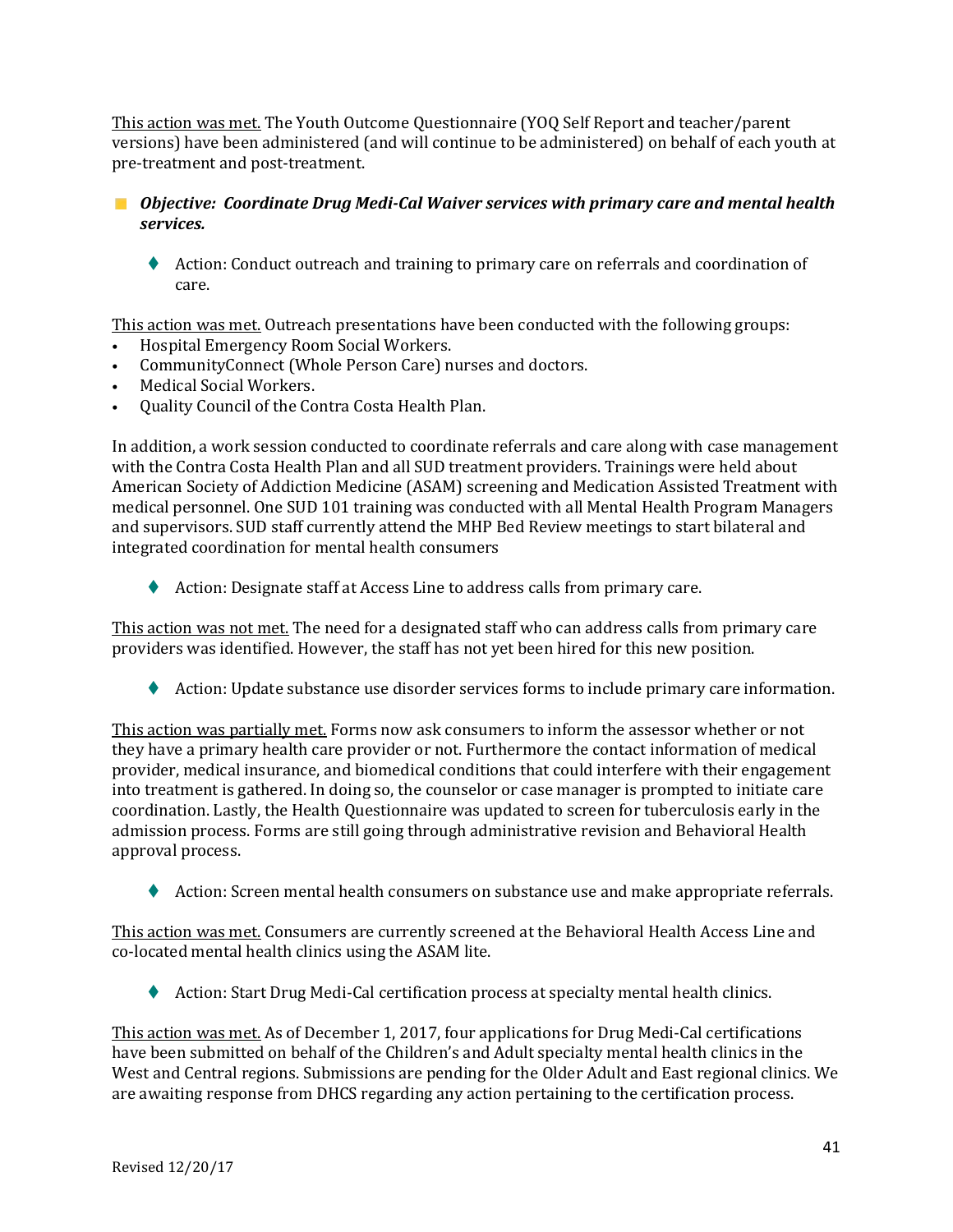This action was met. The Youth Outcome Questionnaire (YOQ Self Report and teacher/parent versions) have been administered (and will continue to be administered) on behalf of each youth at pre-treatment and post-treatment.

## *Objective: Coordinate Drug Medi-Cal Waiver services with primary care and mental health services.*

 Action: Conduct outreach and training to primary care on referrals and coordination of care.

This action was met. Outreach presentations have been conducted with the following groups:

- Hospital Emergency Room Social Workers.
- CommunityConnect (Whole Person Care) nurses and doctors.
- Medical Social Workers.
- Quality Council of the Contra Costa Health Plan.

In addition, a work session conducted to coordinate referrals and care along with case management with the Contra Costa Health Plan and all SUD treatment providers. Trainings were held about American Society of Addiction Medicine (ASAM) screening and Medication Assisted Treatment with medical personnel. One SUD 101 training was conducted with all Mental Health Program Managers and supervisors. SUD staff currently attend the MHP Bed Review meetings to start bilateral and integrated coordination for mental health consumers

◆ Action: Designate staff at Access Line to address calls from primary care.

This action was not met. The need for a designated staff who can address calls from primary care providers was identified. However, the staff has not yet been hired for this new position.

Action: Update substance use disorder services forms to include primary care information.

This action was partially met. Forms now ask consumers to inform the assessor whether or not they have a primary health care provider or not. Furthermore the contact information of medical provider, medical insurance, and biomedical conditions that could interfere with their engagement into treatment is gathered. In doing so, the counselor or case manager is prompted to initiate care coordination. Lastly, the Health Questionnaire was updated to screen for tuberculosis early in the admission process. Forms are still going through administrative revision and Behavioral Health approval process.

Action: Screen mental health consumers on substance use and make appropriate referrals.

This action was met. Consumers are currently screened at the Behavioral Health Access Line and co-located mental health clinics using the ASAM lite.

◆ Action: Start Drug Medi-Cal certification process at specialty mental health clinics.

This action was met. As of December 1, 2017, four applications for Drug Medi-Cal certifications have been submitted on behalf of the Children's and Adult specialty mental health clinics in the West and Central regions. Submissions are pending for the Older Adult and East regional clinics. We are awaiting response from DHCS regarding any action pertaining to the certification process.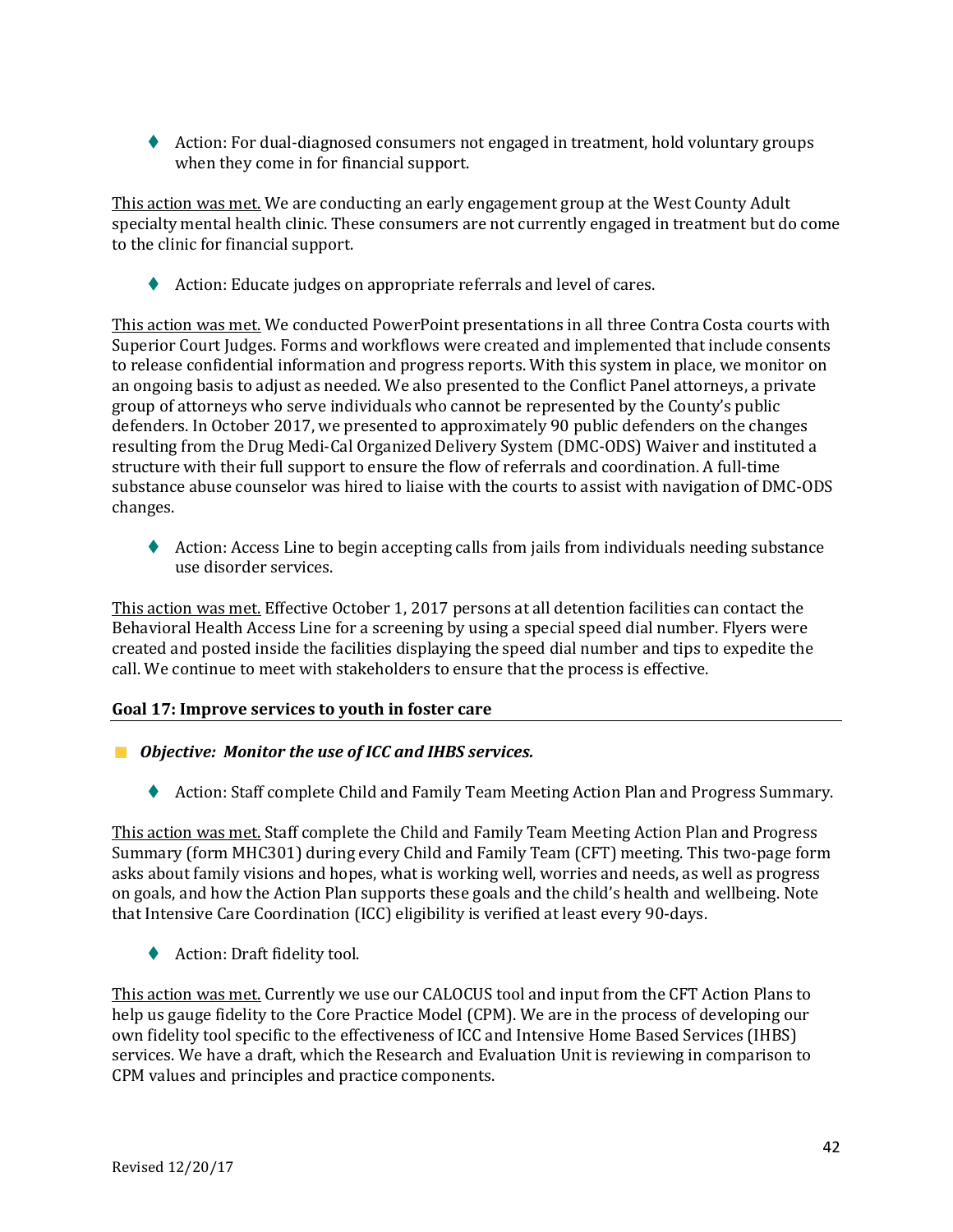◆ Action: For dual-diagnosed consumers not engaged in treatment, hold voluntary groups when they come in for financial support.

This action was met. We are conducting an early engagement group at the West County Adult specialty mental health clinic. These consumers are not currently engaged in treatment but do come to the clinic for financial support.

Action: Educate judges on appropriate referrals and level of cares.

This action was met. We conducted PowerPoint presentations in all three Contra Costa courts with Superior Court Judges. Forms and workflows were created and implemented that include consents to release confidential information and progress reports. With this system in place, we monitor on an ongoing basis to adjust as needed. We also presented to the Conflict Panel attorneys, a private group of attorneys who serve individuals who cannot be represented by the County's public defenders. In October 2017, we presented to approximately 90 public defenders on the changes resulting from the Drug Medi-Cal Organized Delivery System (DMC-ODS) Waiver and instituted a structure with their full support to ensure the flow of referrals and coordination. A full-time substance abuse counselor was hired to liaise with the courts to assist with navigation of DMC-ODS changes.

◆ Action: Access Line to begin accepting calls from jails from individuals needing substance use disorder services.

This action was met. Effective October 1, 2017 persons at all detention facilities can contact the Behavioral Health Access Line for a screening by using a special speed dial number. Flyers were created and posted inside the facilities displaying the speed dial number and tips to expedite the call. We continue to meet with stakeholders to ensure that the process is effective.

## **Goal 17: Improve services to youth in foster care**

- *Objective: Monitor the use of ICC and IHBS services.*
	- ◆ Action: Staff complete Child and Family Team Meeting Action Plan and Progress Summary.

This action was met. Staff complete the Child and Family Team Meeting Action Plan and Progress Summary (form MHC301) during every Child and Family Team (CFT) meeting. This two-page form asks about family visions and hopes, what is working well, worries and needs, as well as progress on goals, and how the Action Plan supports these goals and the child's health and wellbeing. Note that Intensive Care Coordination (ICC) eligibility is verified at least every 90-days.

◆ Action: Draft fidelity tool.

This action was met. Currently we use our CALOCUS tool and input from the CFT Action Plans to help us gauge fidelity to the Core Practice Model (CPM). We are in the process of developing our own fidelity tool specific to the effectiveness of ICC and Intensive Home Based Services (IHBS) services. We have a draft, which the Research and Evaluation Unit is reviewing in comparison to CPM values and principles and practice components.